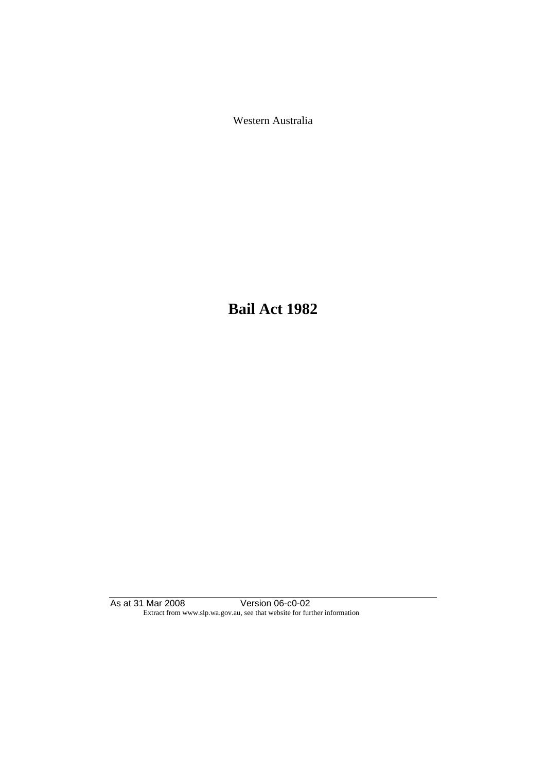Western Australia

**Bail Act 1982**

As at 31 Mar 2008 Version 06-c0-02 Extract from www.slp.wa.gov.au, see that website for further information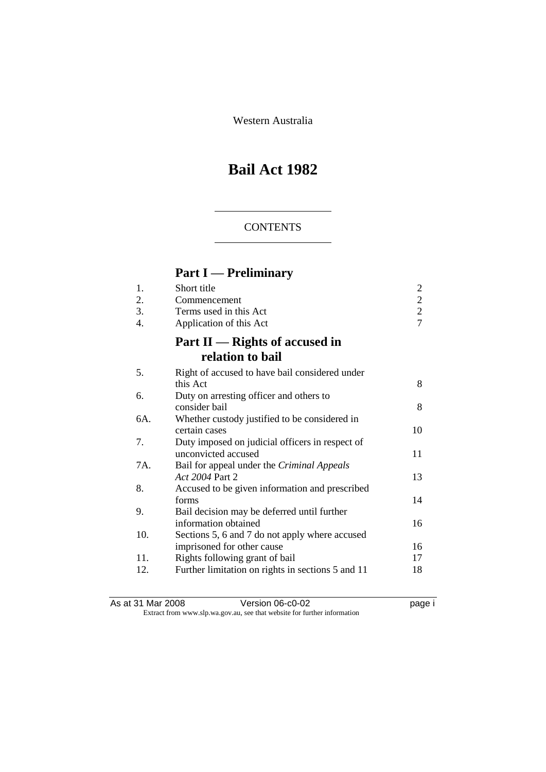Western Australia

# **Bail Act 1982**

### **CONTENTS**

# **Part I — Preliminary**

| 1.<br>2.<br>3.   | Short title<br>Commencement<br>Terms used in this Act                           | $\overline{c}$<br>$\frac{2}{7}$ |
|------------------|---------------------------------------------------------------------------------|---------------------------------|
| $\overline{4}$ . | Application of this Act<br>Part $II$ — Rights of accused in<br>relation to bail |                                 |
| 5.               | Right of accused to have bail considered under<br>this Act                      | 8                               |
| 6.               | Duty on arresting officer and others to<br>consider bail                        | 8                               |
| 6A.              | Whether custody justified to be considered in<br>certain cases                  | 10                              |
| 7.               | Duty imposed on judicial officers in respect of<br>unconvicted accused          | 11                              |
| 7A.              | Bail for appeal under the Criminal Appeals<br>Act 2004 Part 2                   | 13                              |
| 8.               | Accused to be given information and prescribed<br>forms                         | 14                              |
| 9.               | Bail decision may be deferred until further<br>information obtained             | 16                              |
| 10.              | Sections 5, 6 and 7 do not apply where accused<br>imprisoned for other cause    | 16                              |
| 11.              | Rights following grant of bail                                                  | 17                              |
| 12.              | Further limitation on rights in sections 5 and 11                               | 18                              |

As at 31 Mar 2008 **Version 06-c0-02 Page i page i** Extract from www.slp.wa.gov.au, see that website for further information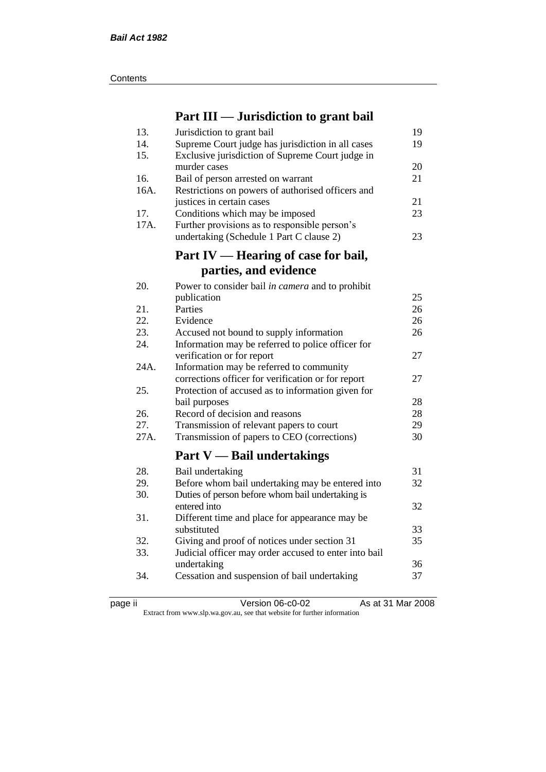| Contents |
|----------|
|----------|

## **Part III — Jurisdiction to grant bail**

| 13.  | Jurisdiction to grant bail                                  | 19 |
|------|-------------------------------------------------------------|----|
| 14.  | Supreme Court judge has jurisdiction in all cases           | 19 |
| 15.  | Exclusive jurisdiction of Supreme Court judge in            |    |
|      | murder cases                                                | 20 |
| 16.  | Bail of person arrested on warrant                          | 21 |
| 16A. | Restrictions on powers of authorised officers and           |    |
|      | justices in certain cases                                   | 21 |
| 17.  | Conditions which may be imposed                             | 23 |
| 17A. | Further provisions as to responsible person's               |    |
|      | undertaking (Schedule 1 Part C clause 2)                    | 23 |
|      |                                                             |    |
|      | Part IV — Hearing of case for bail,                         |    |
|      | parties, and evidence                                       |    |
| 20.  | Power to consider bail in camera and to prohibit            |    |
|      | publication                                                 | 25 |
| 21.  | Parties                                                     | 26 |
| 22.  | Evidence                                                    | 26 |
| 23.  | Accused not bound to supply information                     | 26 |
| 24.  | Information may be referred to police officer for           |    |
|      | verification or for report                                  | 27 |
| 24A. | Information may be referred to community                    |    |
|      | corrections officer for verification or for report          | 27 |
| 25.  | Protection of accused as to information given for           |    |
|      | bail purposes                                               | 28 |
| 26.  | Record of decision and reasons                              | 28 |
| 27.  | Transmission of relevant papers to court                    | 29 |
| 27A. | Transmission of papers to CEO (corrections)                 | 30 |
|      |                                                             |    |
|      | <b>Part V</b> — Bail undertakings                           |    |
| 28.  | Bail undertaking                                            | 31 |
| 29.  | Before whom bail undertaking may be entered into            | 32 |
| 30.  | Duties of person before whom bail undertaking is            |    |
|      | entered into                                                | 32 |
| 31.  | Different time and place for appearance may be              |    |
|      | substituted                                                 | 33 |
| 32.  | Giving and proof of notices under section 31                | 35 |
| 33.  | Judicial officer may order accused to enter into bail       |    |
|      |                                                             | 36 |
|      |                                                             | 37 |
| 34.  | undertaking<br>Cessation and suspension of bail undertaking |    |

page ii Version 06-c0-02 As at 31 Mar 2008

Extract from www.slp.wa.gov.au, see that website for further information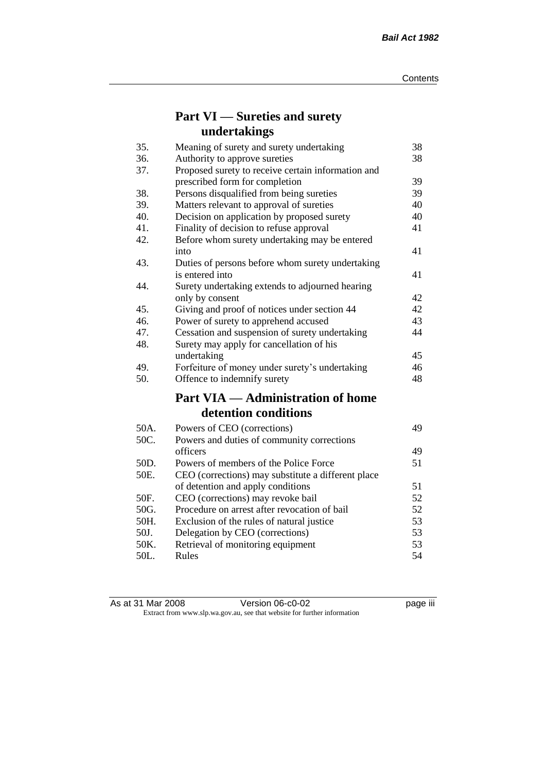## **Part VI — Sureties and surety undertakings**

| 35.  | Meaning of surety and surety undertaking           | 38 |
|------|----------------------------------------------------|----|
| 36.  | Authority to approve sureties                      | 38 |
| 37.  | Proposed surety to receive certain information and |    |
|      | prescribed form for completion                     | 39 |
| 38.  | Persons disqualified from being sureties           | 39 |
| 39.  | Matters relevant to approval of sureties           | 40 |
| 40.  | Decision on application by proposed surety         | 40 |
| 41.  | Finality of decision to refuse approval            | 41 |
| 42.  | Before whom surety undertaking may be entered      |    |
|      | into                                               | 41 |
| 43.  | Duties of persons before whom surety undertaking   |    |
|      | is entered into                                    | 41 |
| 44.  | Surety undertaking extends to adjourned hearing    |    |
|      | only by consent                                    | 42 |
| 45.  | Giving and proof of notices under section 44       | 42 |
| 46.  | Power of surety to apprehend accused               | 43 |
| 47.  | Cessation and suspension of surety undertaking     | 44 |
| 48.  | Surety may apply for cancellation of his           |    |
|      | undertaking                                        | 45 |
| 49.  | Forfeiture of money under surety's undertaking     | 46 |
| 50.  | Offence to indemnify surety                        | 48 |
|      | <b>Part VIA — Administration of home</b>           |    |
|      | detention conditions                               |    |
| 50A. | Powers of CEO (corrections)                        | 49 |
| 50C. | Powers and duties of community corrections         |    |
|      | officers                                           | 49 |
| 50D. | Powers of members of the Police Force              | 51 |
| 50E. | CEO (corrections) may substitute a different place |    |
|      | of detention and apply conditions                  | 51 |
| 50F. | CEO (corrections) may revoke bail                  | 52 |
| 50G. | Procedure on arrest after revocation of bail       | 52 |
| 50H. | Exclusion of the rules of natural justice          | 53 |
| 50J. | Delegation by CEO (corrections)                    | 53 |
| 50K. | Retrieval of monitoring equipment                  | 53 |
| 50L. | Rules                                              | 54 |

| As at 31 Mar 2008 | Version 06-c0-02                                                         | <br>page III |
|-------------------|--------------------------------------------------------------------------|--------------|
|                   | Extract from www.slp.wa.gov.au, see that website for further information |              |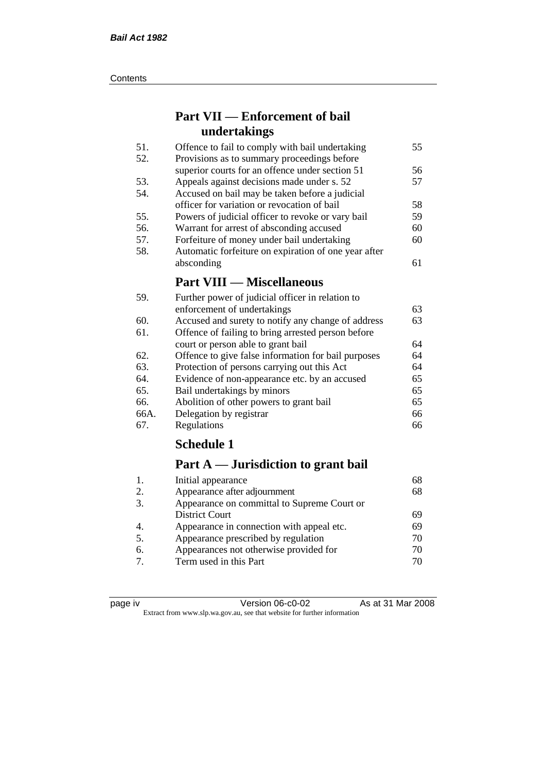#### **Contents**

## **Part VII — Enforcement of bail undertakings**

| 51. | Offence to fail to comply with bail undertaking      | 55 |
|-----|------------------------------------------------------|----|
| 52. | Provisions as to summary proceedings before          |    |
|     | superior courts for an offence under section 51      | 56 |
| 53. | Appeals against decisions made under s. 52           | 57 |
| 54. | Accused on bail may be taken before a judicial       |    |
|     | officer for variation or revocation of bail          | 58 |
| 55. | Powers of judicial officer to revoke or vary bail    | 59 |
| 56. | Warrant for arrest of absconding accused             | 60 |
| 57. | Forfeiture of money under bail undertaking           | 60 |
| 58. | Automatic forfeiture on expiration of one year after |    |
|     | absconding                                           | 61 |
|     | <b>Part VIII — Miscellaneous</b>                     |    |
| 59. | Further power of judicial officer in relation to     |    |

| 59.  | Further power of judicial officer in relation to    |    |
|------|-----------------------------------------------------|----|
|      | enforcement of undertakings                         | 63 |
| 60.  | Accused and surety to notify any change of address  | 63 |
| 61.  | Offence of failing to bring arrested person before  |    |
|      | court or person able to grant bail                  | 64 |
| 62.  | Offence to give false information for bail purposes | 64 |
| 63.  | Protection of persons carrying out this Act         | 64 |
| 64.  | Evidence of non-appearance etc. by an accused       | 65 |
| 65.  | Bail undertakings by minors                         | 65 |
| 66.  | Abolition of other powers to grant bail             | 65 |
| 66A. | Delegation by registrar                             | 66 |
| 67.  | Regulations                                         | 66 |

## **Schedule 1**

## **Part A — Jurisdiction to grant bail**

| 1.               | Initial appearance                          | 68 |
|------------------|---------------------------------------------|----|
| 2.               | Appearance after adjournment                | 68 |
| 3.               | Appearance on committal to Supreme Court or |    |
|                  | District Court                              | 69 |
| $\overline{4}$ . | Appearance in connection with appeal etc.   | 69 |
| 5.               | Appearance prescribed by regulation         | 70 |
| 6.               | Appearances not otherwise provided for      | 70 |
| $\tau$           | Term used in this Part                      | 70 |
|                  |                                             |    |

| د،<br>חומ |  |
|-----------|--|
|           |  |
|           |  |
|           |  |

Version 06-c0-02 As at 31 Mar 2008 Extract from www.slp.wa.gov.au, see that website for further information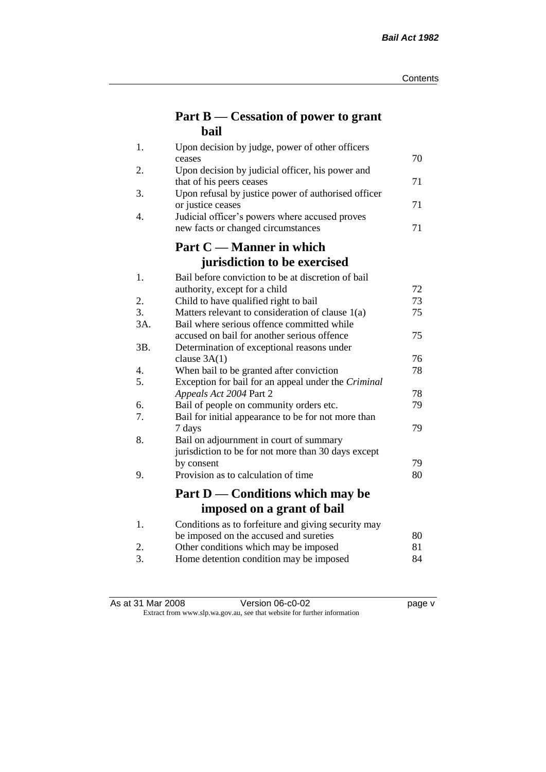## **Part B — Cessation of power to grant bail**

| 1.  | Upon decision by judge, power of other officers                              |    |
|-----|------------------------------------------------------------------------------|----|
|     | ceases                                                                       | 70 |
| 2.  | Upon decision by judicial officer, his power and<br>that of his peers ceases | 71 |
| 3.  | Upon refusal by justice power of authorised officer                          |    |
|     | or justice ceases                                                            | 71 |
| 4.  | Judicial officer's powers where accused proves                               |    |
|     | new facts or changed circumstances                                           | 71 |
|     | Part C — Manner in which                                                     |    |
|     | jurisdiction to be exercised                                                 |    |
| 1.  | Bail before conviction to be at discretion of bail                           |    |
|     | authority, except for a child                                                | 72 |
| 2.  | Child to have qualified right to bail                                        | 73 |
| 3.  | Matters relevant to consideration of clause 1(a)                             | 75 |
| 3A. | Bail where serious offence committed while                                   |    |
|     | accused on bail for another serious offence                                  | 75 |
| 3B. | Determination of exceptional reasons under                                   |    |
|     | clause $3A(1)$                                                               | 76 |
| 4.  | When bail to be granted after conviction                                     | 78 |
| 5.  | Exception for bail for an appeal under the Criminal                          |    |
|     | Appeals Act 2004 Part 2                                                      | 78 |
| 6.  | Bail of people on community orders etc.                                      | 79 |
| 7.  | Bail for initial appearance to be for not more than                          |    |
| 8.  | 7 days                                                                       | 79 |
|     | Bail on adjournment in court of summary                                      |    |
|     | jurisdiction to be for not more than 30 days except<br>by consent            | 79 |
| 9.  | Provision as to calculation of time                                          | 80 |
|     |                                                                              |    |
|     | Part D — Conditions which may be                                             |    |
|     | imposed on a grant of bail                                                   |    |
| 1.  | Conditions as to forfeiture and giving security may                          |    |
|     | be imposed on the accused and sureties                                       | 80 |
| 2.  | Other conditions which may be imposed                                        | 81 |
| 3.  | Home detention condition may be imposed                                      | 84 |

As at 31 Mar 2008 Version 06-c0-02 Page v

Extract from www.slp.wa.gov.au, see that website for further information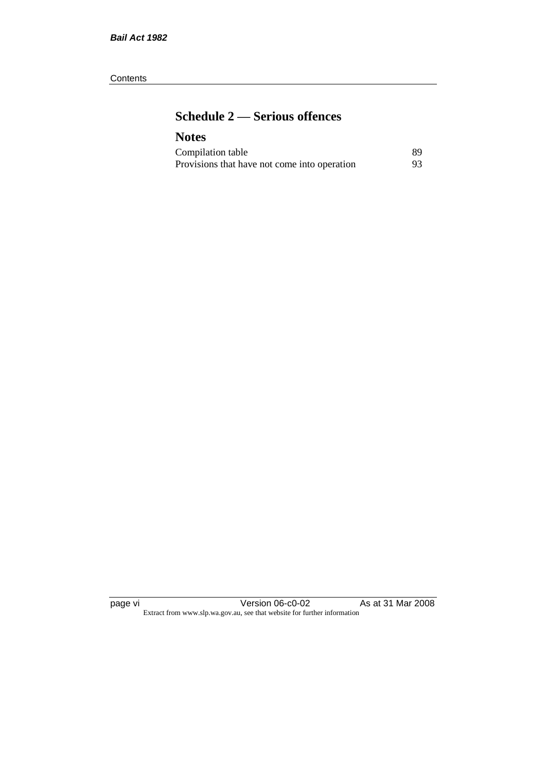#### **Contents**

## **Schedule 2 — Serious offences**

## **Notes**

| Compilation table                            | 89. |
|----------------------------------------------|-----|
| Provisions that have not come into operation | 93  |

page vi Version 06-c0-02 As at 31 Mar 2008 Extract from www.slp.wa.gov.au, see that website for further information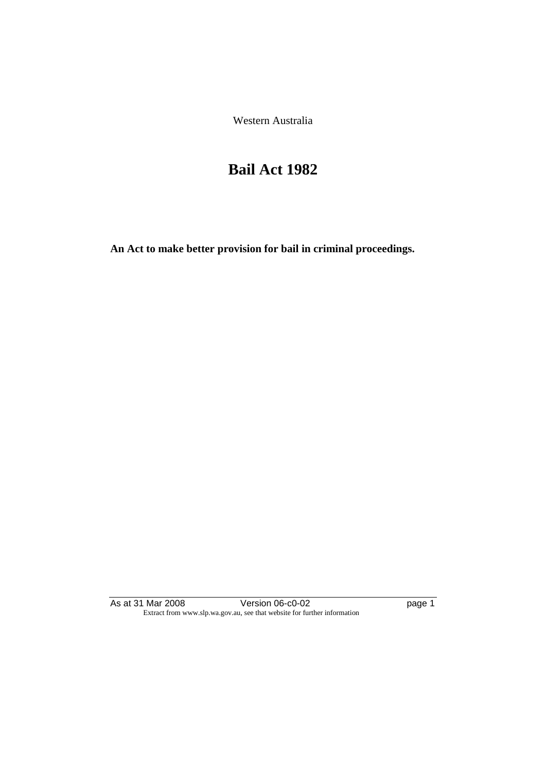Western Australia

# **Bail Act 1982**

**An Act to make better provision for bail in criminal proceedings.** 

As at 31 Mar 2008 **Version 06-c0-02 Page 1** Page 1 Extract from www.slp.wa.gov.au, see that website for further information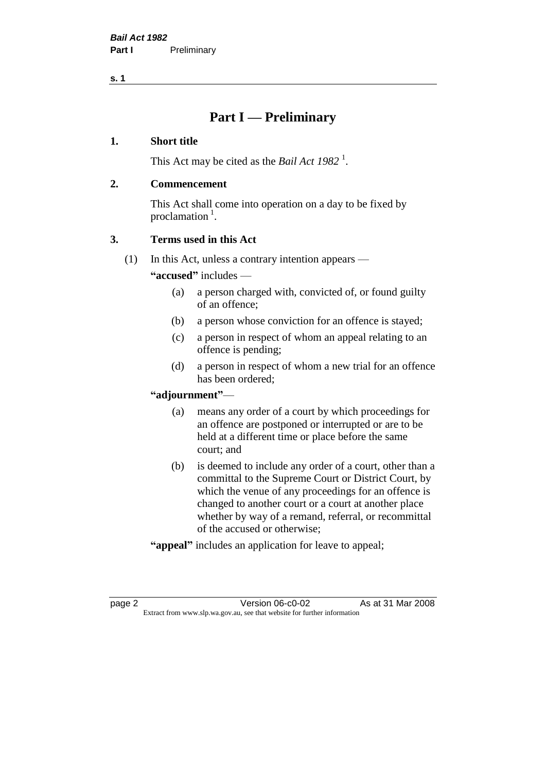## **Part I — Preliminary**

#### **1. Short title**

This Act may be cited as the *Bail Act* 1982<sup>1</sup>.

#### **2. Commencement**

This Act shall come into operation on a day to be fixed by proclamation  $<sup>1</sup>$ .</sup>

### **3. Terms used in this Act**

(1) In this Act, unless a contrary intention appears —

**"accused"** includes —

- (a) a person charged with, convicted of, or found guilty of an offence;
- (b) a person whose conviction for an offence is stayed;
- (c) a person in respect of whom an appeal relating to an offence is pending;
- (d) a person in respect of whom a new trial for an offence has been ordered;

#### **"adjournment"**—

- (a) means any order of a court by which proceedings for an offence are postponed or interrupted or are to be held at a different time or place before the same court; and
- (b) is deemed to include any order of a court, other than a committal to the Supreme Court or District Court, by which the venue of any proceedings for an offence is changed to another court or a court at another place whether by way of a remand, referral, or recommittal of the accused or otherwise;
- **"appeal"** includes an application for leave to appeal;

page 2 Version 06-c0-02 As at 31 Mar 2008 Extract from www.slp.wa.gov.au, see that website for further information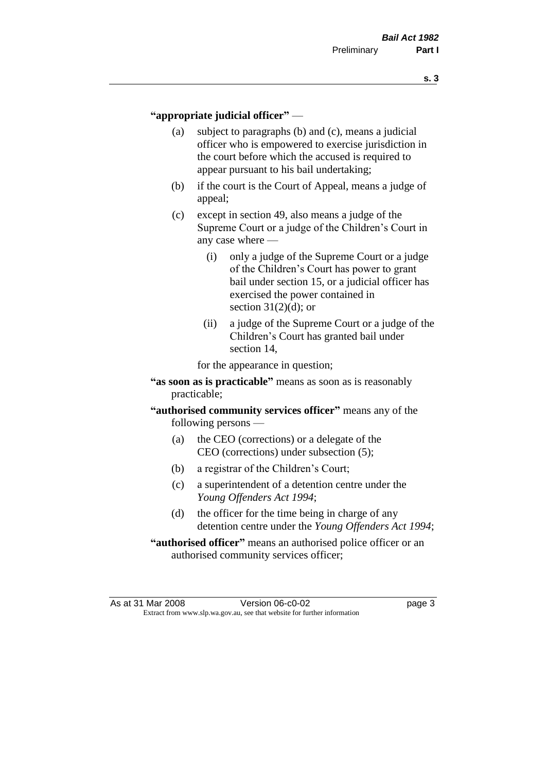#### **"appropriate judicial officer"** —

- (a) subject to paragraphs (b) and (c), means a judicial officer who is empowered to exercise jurisdiction in the court before which the accused is required to appear pursuant to his bail undertaking;
- (b) if the court is the Court of Appeal, means a judge of appeal;
- (c) except in section 49, also means a judge of the Supreme Court or a judge of the Children's Court in any case where —
	- (i) only a judge of the Supreme Court or a judge of the Children's Court has power to grant bail under section 15, or a judicial officer has exercised the power contained in section  $31(2)(d)$ ; or
	- (ii) a judge of the Supreme Court or a judge of the Children's Court has granted bail under section 14,

for the appearance in question;

- **"as soon as is practicable"** means as soon as is reasonably practicable;
- **"authorised community services officer"** means any of the following persons —
	- (a) the CEO (corrections) or a delegate of the CEO (corrections) under subsection (5);
	- (b) a registrar of the Children's Court;
	- (c) a superintendent of a detention centre under the *Young Offenders Act 1994*;
	- (d) the officer for the time being in charge of any detention centre under the *Young Offenders Act 1994*;
- **"authorised officer"** means an authorised police officer or an authorised community services officer;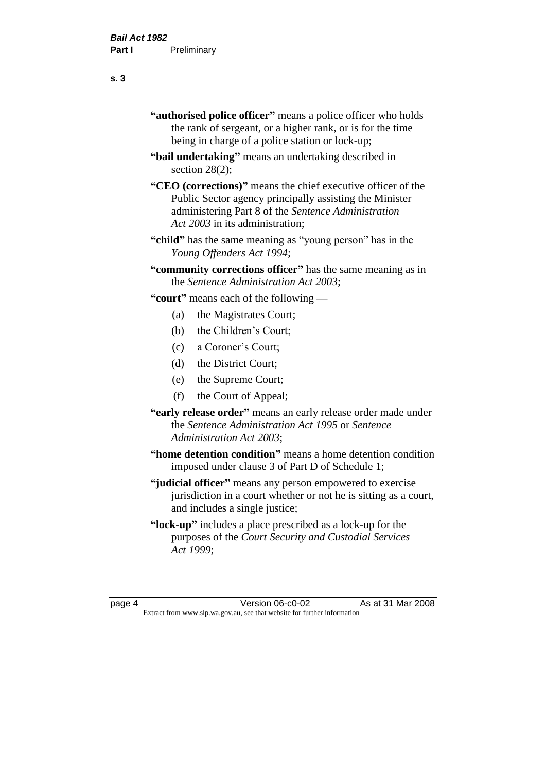- **"authorised police officer"** means a police officer who holds the rank of sergeant, or a higher rank, or is for the time being in charge of a police station or lock-up;
- **"bail undertaking"** means an undertaking described in section 28(2):
- **"CEO (corrections)"** means the chief executive officer of the Public Sector agency principally assisting the Minister administering Part 8 of the *Sentence Administration Act 2003* in its administration;
- **"child"** has the same meaning as "young person" has in the *Young Offenders Act 1994*;
- **"community corrections officer"** has the same meaning as in the *Sentence Administration Act 2003*;

**"court"** means each of the following —

- (a) the Magistrates Court;
- (b) the Children's Court;
- (c) a Coroner's Court;
- (d) the District Court;
- (e) the Supreme Court;
- (f) the Court of Appeal;
- **"early release order"** means an early release order made under the *Sentence Administration Act 1995* or *Sentence Administration Act 2003*;
- **"home detention condition"** means a home detention condition imposed under clause 3 of Part D of Schedule 1;
- **"judicial officer"** means any person empowered to exercise jurisdiction in a court whether or not he is sitting as a court, and includes a single justice;
- **"lock-up"** includes a place prescribed as a lock-up for the purposes of the *Court Security and Custodial Services Act 1999*;

page 4 Version 06-c0-02 As at 31 Mar 2008 Extract from www.slp.wa.gov.au, see that website for further information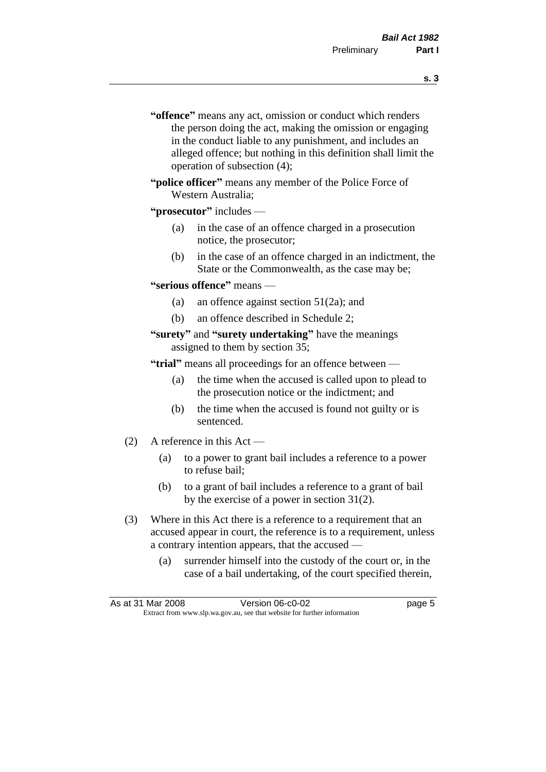- **s. 3**
- **"offence"** means any act, omission or conduct which renders the person doing the act, making the omission or engaging in the conduct liable to any punishment, and includes an alleged offence; but nothing in this definition shall limit the operation of subsection (4);
- **"police officer"** means any member of the Police Force of Western Australia;

#### **"prosecutor"** includes —

- (a) in the case of an offence charged in a prosecution notice, the prosecutor;
- (b) in the case of an offence charged in an indictment, the State or the Commonwealth, as the case may be;

#### **"serious offence"** means —

- (a) an offence against section 51(2a); and
- (b) an offence described in Schedule 2;

#### **"surety"** and **"surety undertaking"** have the meanings assigned to them by section 35;

**"trial"** means all proceedings for an offence between —

- (a) the time when the accused is called upon to plead to the prosecution notice or the indictment; and
- (b) the time when the accused is found not guilty or is sentenced.
- (2) A reference in this Act
	- (a) to a power to grant bail includes a reference to a power to refuse bail;
	- (b) to a grant of bail includes a reference to a grant of bail by the exercise of a power in section 31(2).
- (3) Where in this Act there is a reference to a requirement that an accused appear in court, the reference is to a requirement, unless a contrary intention appears, that the accused —
	- (a) surrender himself into the custody of the court or, in the case of a bail undertaking, of the court specified therein,

|                                                                          | As at 31 Mar 2008 | Version 06-c0-02 | page 5 |
|--------------------------------------------------------------------------|-------------------|------------------|--------|
| Extract from www.slp.wa.gov.au, see that website for further information |                   |                  |        |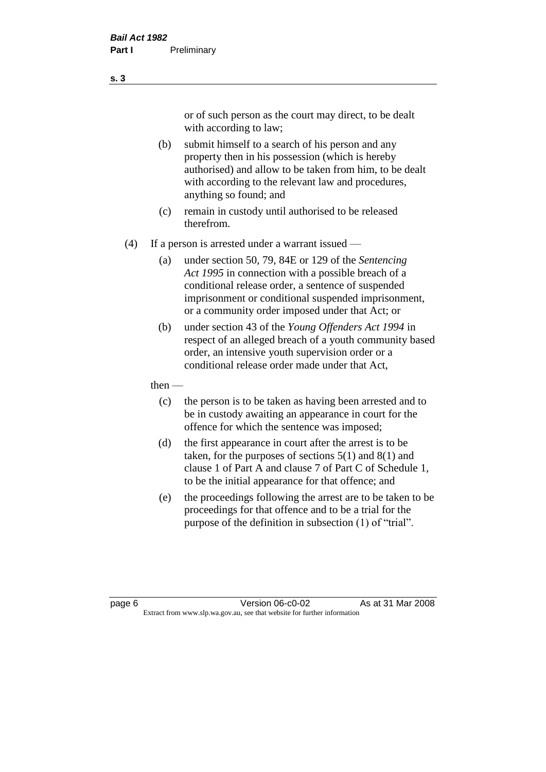or of such person as the court may direct, to be dealt with according to law;

(b) submit himself to a search of his person and any property then in his possession (which is hereby authorised) and allow to be taken from him, to be dealt with according to the relevant law and procedures, anything so found; and

- (c) remain in custody until authorised to be released therefrom.
- (4) If a person is arrested under a warrant issued
	- (a) under section 50, 79, 84E or 129 of the *Sentencing Act 1995* in connection with a possible breach of a conditional release order, a sentence of suspended imprisonment or conditional suspended imprisonment, or a community order imposed under that Act; or
	- (b) under section 43 of the *Young Offenders Act 1994* in respect of an alleged breach of a youth community based order, an intensive youth supervision order or a conditional release order made under that Act,
	- then
		- (c) the person is to be taken as having been arrested and to be in custody awaiting an appearance in court for the offence for which the sentence was imposed;
		- (d) the first appearance in court after the arrest is to be taken, for the purposes of sections  $5(1)$  and  $8(1)$  and clause 1 of Part A and clause 7 of Part C of Schedule 1, to be the initial appearance for that offence; and
		- (e) the proceedings following the arrest are to be taken to be proceedings for that offence and to be a trial for the purpose of the definition in subsection (1) of "trial".

page 6 **Version 06-c0-02** As at 31 Mar 2008 Extract from www.slp.wa.gov.au, see that website for further information

**s. 3**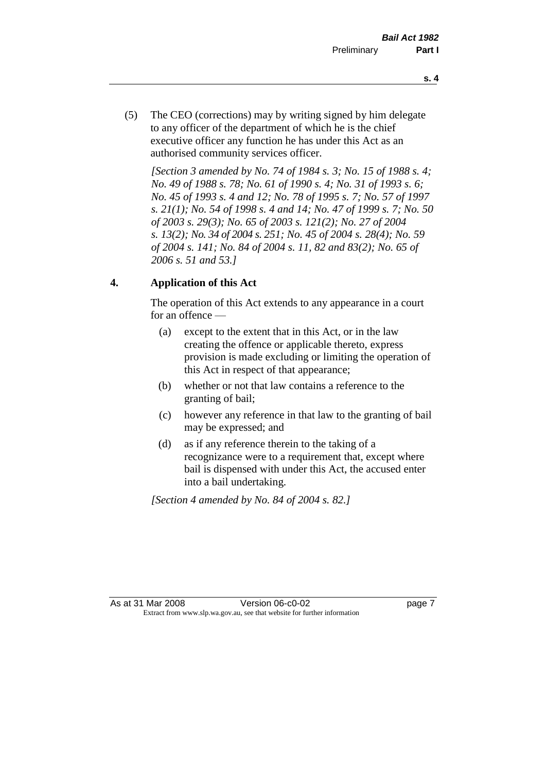- **s. 4**
- (5) The CEO (corrections) may by writing signed by him delegate to any officer of the department of which he is the chief executive officer any function he has under this Act as an authorised community services officer.

*[Section 3 amended by No. 74 of 1984 s. 3; No. 15 of 1988 s. 4; No. 49 of 1988 s. 78; No. 61 of 1990 s. 4; No. 31 of 1993 s. 6; No. 45 of 1993 s. 4 and 12; No. 78 of 1995 s. 7; No. 57 of 1997 s. 21(1); No. 54 of 1998 s. 4 and 14; No. 47 of 1999 s. 7; No. 50 of 2003 s. 29(3); No. 65 of 2003 s. 121(2); No. 27 of 2004 s. 13(2); No. 34 of 2004 s. 251; No. 45 of 2004 s. 28(4); No. 59 of 2004 s. 141; No. 84 of 2004 s. 11, 82 and 83(2); No. 65 of 2006 s. 51 and 53.]* 

### **4. Application of this Act**

The operation of this Act extends to any appearance in a court for an offence —

- (a) except to the extent that in this Act, or in the law creating the offence or applicable thereto, express provision is made excluding or limiting the operation of this Act in respect of that appearance;
- (b) whether or not that law contains a reference to the granting of bail;
- (c) however any reference in that law to the granting of bail may be expressed; and
- (d) as if any reference therein to the taking of a recognizance were to a requirement that, except where bail is dispensed with under this Act, the accused enter into a bail undertaking.

*[Section 4 amended by No. 84 of 2004 s. 82.]*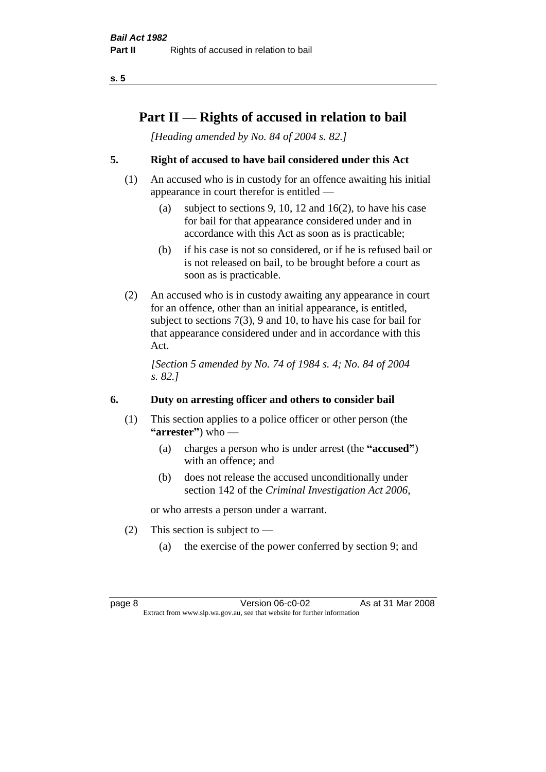## **Part II — Rights of accused in relation to bail**

*[Heading amended by No. 84 of 2004 s. 82.]* 

### **5. Right of accused to have bail considered under this Act**

- (1) An accused who is in custody for an offence awaiting his initial appearance in court therefor is entitled —
	- (a) subject to sections 9, 10, 12 and 16(2), to have his case for bail for that appearance considered under and in accordance with this Act as soon as is practicable;
	- (b) if his case is not so considered, or if he is refused bail or is not released on bail, to be brought before a court as soon as is practicable.
- (2) An accused who is in custody awaiting any appearance in court for an offence, other than an initial appearance, is entitled, subject to sections 7(3), 9 and 10, to have his case for bail for that appearance considered under and in accordance with this Act.

*[Section 5 amended by No. 74 of 1984 s. 4; No. 84 of 2004 s. 82.]* 

### **6. Duty on arresting officer and others to consider bail**

- (1) This section applies to a police officer or other person (the **"arrester"**) who —
	- (a) charges a person who is under arrest (the **"accused"**) with an offence; and
	- (b) does not release the accused unconditionally under section 142 of the *Criminal Investigation Act 2006*,

or who arrests a person under a warrant.

- (2) This section is subject to  $-$ 
	- (a) the exercise of the power conferred by section 9; and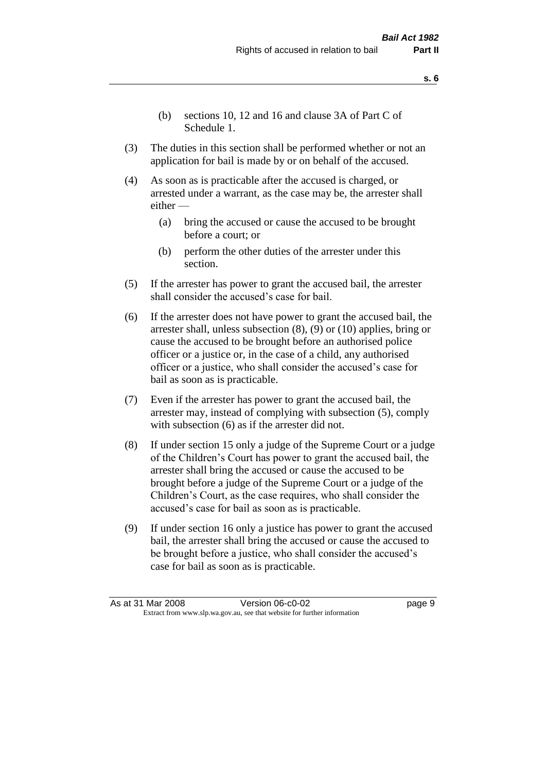- (b) sections 10, 12 and 16 and clause 3A of Part C of Schedule 1.
- (3) The duties in this section shall be performed whether or not an application for bail is made by or on behalf of the accused.
- (4) As soon as is practicable after the accused is charged, or arrested under a warrant, as the case may be, the arrester shall either —
	- (a) bring the accused or cause the accused to be brought before a court; or
	- (b) perform the other duties of the arrester under this section.
- (5) If the arrester has power to grant the accused bail, the arrester shall consider the accused's case for bail.
- (6) If the arrester does not have power to grant the accused bail, the arrester shall, unless subsection (8), (9) or (10) applies, bring or cause the accused to be brought before an authorised police officer or a justice or, in the case of a child, any authorised officer or a justice, who shall consider the accused's case for bail as soon as is practicable.
- (7) Even if the arrester has power to grant the accused bail, the arrester may, instead of complying with subsection (5), comply with subsection (6) as if the arrester did not.
- (8) If under section 15 only a judge of the Supreme Court or a judge of the Children's Court has power to grant the accused bail, the arrester shall bring the accused or cause the accused to be brought before a judge of the Supreme Court or a judge of the Children's Court, as the case requires, who shall consider the accused's case for bail as soon as is practicable.
- (9) If under section 16 only a justice has power to grant the accused bail, the arrester shall bring the accused or cause the accused to be brought before a justice, who shall consider the accused's case for bail as soon as is practicable.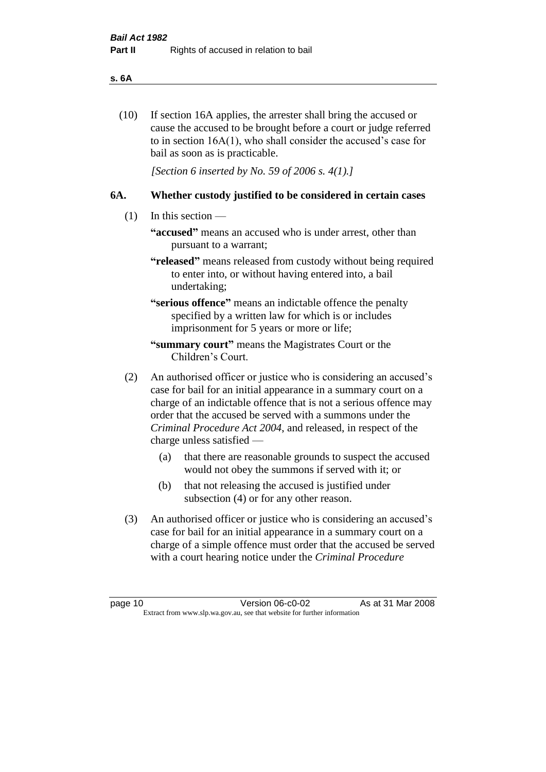#### **s. 6A**

(10) If section 16A applies, the arrester shall bring the accused or cause the accused to be brought before a court or judge referred to in section 16A(1), who shall consider the accused's case for bail as soon as is practicable.

*[Section 6 inserted by No. 59 of 2006 s. 4(1).]* 

#### **6A. Whether custody justified to be considered in certain cases**

- (1) In this section
	- **"accused"** means an accused who is under arrest, other than pursuant to a warrant;
	- **"released"** means released from custody without being required to enter into, or without having entered into, a bail undertaking;

**"serious offence"** means an indictable offence the penalty specified by a written law for which is or includes imprisonment for 5 years or more or life;

- **"summary court"** means the Magistrates Court or the Children's Court.
- (2) An authorised officer or justice who is considering an accused's case for bail for an initial appearance in a summary court on a charge of an indictable offence that is not a serious offence may order that the accused be served with a summons under the *Criminal Procedure Act 2004*, and released, in respect of the charge unless satisfied —
	- (a) that there are reasonable grounds to suspect the accused would not obey the summons if served with it; or
	- (b) that not releasing the accused is justified under subsection (4) or for any other reason.
- (3) An authorised officer or justice who is considering an accused's case for bail for an initial appearance in a summary court on a charge of a simple offence must order that the accused be served with a court hearing notice under the *Criminal Procedure*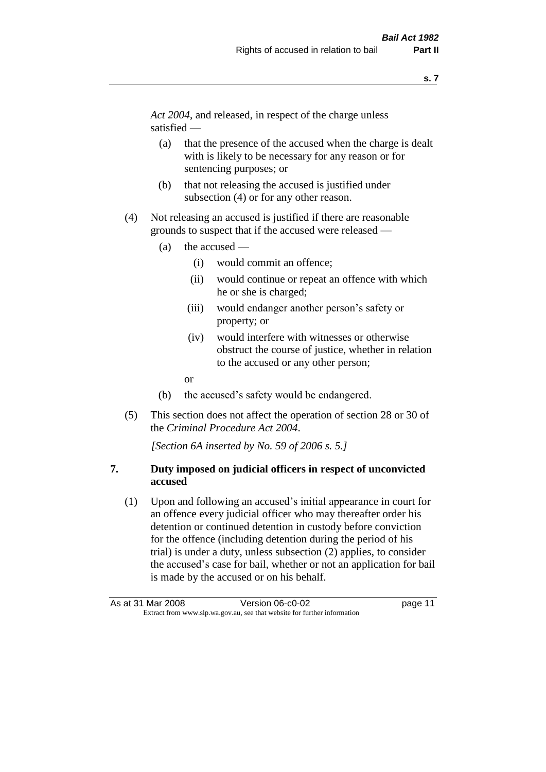*Act 2004*, and released, in respect of the charge unless satisfied —

- (a) that the presence of the accused when the charge is dealt with is likely to be necessary for any reason or for sentencing purposes; or
- (b) that not releasing the accused is justified under subsection (4) or for any other reason.
- (4) Not releasing an accused is justified if there are reasonable grounds to suspect that if the accused were released —
	- (a) the accused
		- (i) would commit an offence;
		- (ii) would continue or repeat an offence with which he or she is charged;
		- (iii) would endanger another person's safety or property; or
		- (iv) would interfere with witnesses or otherwise obstruct the course of justice, whether in relation to the accused or any other person;
		- or
	- (b) the accused's safety would be endangered.
- (5) This section does not affect the operation of section 28 or 30 of the *Criminal Procedure Act 2004*.

*[Section 6A inserted by No. 59 of 2006 s. 5.]* 

#### **7. Duty imposed on judicial officers in respect of unconvicted accused**

(1) Upon and following an accused's initial appearance in court for an offence every judicial officer who may thereafter order his detention or continued detention in custody before conviction for the offence (including detention during the period of his trial) is under a duty, unless subsection (2) applies, to consider the accused's case for bail, whether or not an application for bail is made by the accused or on his behalf.

As at 31 Mar 2008 Version 06-c0-02 page 11 Extract from www.slp.wa.gov.au, see that website for further information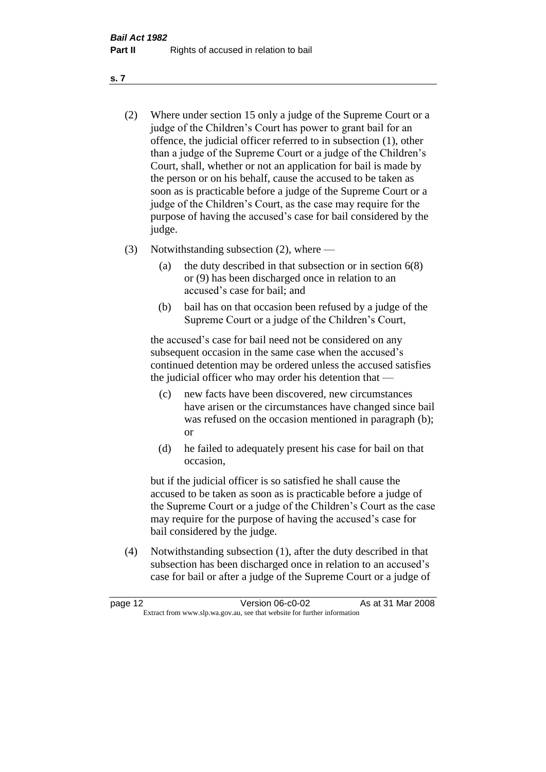- (2) Where under section 15 only a judge of the Supreme Court or a judge of the Children's Court has power to grant bail for an offence, the judicial officer referred to in subsection (1), other than a judge of the Supreme Court or a judge of the Children's Court, shall, whether or not an application for bail is made by the person or on his behalf, cause the accused to be taken as soon as is practicable before a judge of the Supreme Court or a judge of the Children's Court, as the case may require for the purpose of having the accused's case for bail considered by the judge.
- (3) Notwithstanding subsection (2), where
	- (a) the duty described in that subsection or in section 6(8) or (9) has been discharged once in relation to an accused's case for bail; and
	- (b) bail has on that occasion been refused by a judge of the Supreme Court or a judge of the Children's Court,

the accused's case for bail need not be considered on any subsequent occasion in the same case when the accused's continued detention may be ordered unless the accused satisfies the judicial officer who may order his detention that —

- (c) new facts have been discovered, new circumstances have arisen or the circumstances have changed since bail was refused on the occasion mentioned in paragraph (b); or
- (d) he failed to adequately present his case for bail on that occasion,

but if the judicial officer is so satisfied he shall cause the accused to be taken as soon as is practicable before a judge of the Supreme Court or a judge of the Children's Court as the case may require for the purpose of having the accused's case for bail considered by the judge.

(4) Notwithstanding subsection (1), after the duty described in that subsection has been discharged once in relation to an accused's case for bail or after a judge of the Supreme Court or a judge of

| page 12                                                                  | Version 06-c0-02 | As at 31 Mar 2008 |
|--------------------------------------------------------------------------|------------------|-------------------|
| Extract from www.slp.wa.gov.au, see that website for further information |                  |                   |

**s. 7**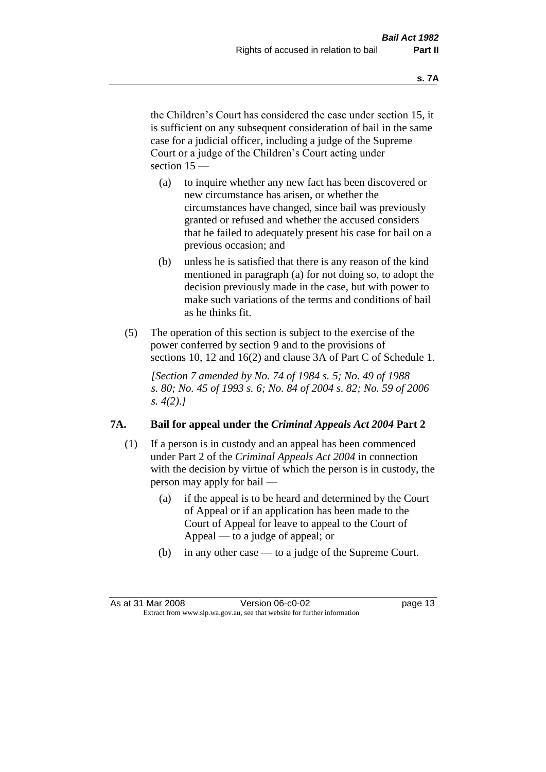the Children's Court has considered the case under section 15, it is sufficient on any subsequent consideration of bail in the same case for a judicial officer, including a judge of the Supreme Court or a judge of the Children's Court acting under section 15 —

- (a) to inquire whether any new fact has been discovered or new circumstance has arisen, or whether the circumstances have changed, since bail was previously granted or refused and whether the accused considers that he failed to adequately present his case for bail on a previous occasion; and
- (b) unless he is satisfied that there is any reason of the kind mentioned in paragraph (a) for not doing so, to adopt the decision previously made in the case, but with power to make such variations of the terms and conditions of bail as he thinks fit.
- (5) The operation of this section is subject to the exercise of the power conferred by section 9 and to the provisions of sections 10, 12 and 16(2) and clause 3A of Part C of Schedule 1.

*[Section 7 amended by No. 74 of 1984 s. 5; No. 49 of 1988 s. 80; No. 45 of 1993 s. 6; No. 84 of 2004 s. 82; No. 59 of 2006 s. 4(2).]* 

#### **7A. Bail for appeal under the** *Criminal Appeals Act 2004* **Part 2**

- (1) If a person is in custody and an appeal has been commenced under Part 2 of the *Criminal Appeals Act 2004* in connection with the decision by virtue of which the person is in custody, the person may apply for bail —
	- (a) if the appeal is to be heard and determined by the Court of Appeal or if an application has been made to the Court of Appeal for leave to appeal to the Court of Appeal — to a judge of appeal; or
	- (b) in any other case to a judge of the Supreme Court.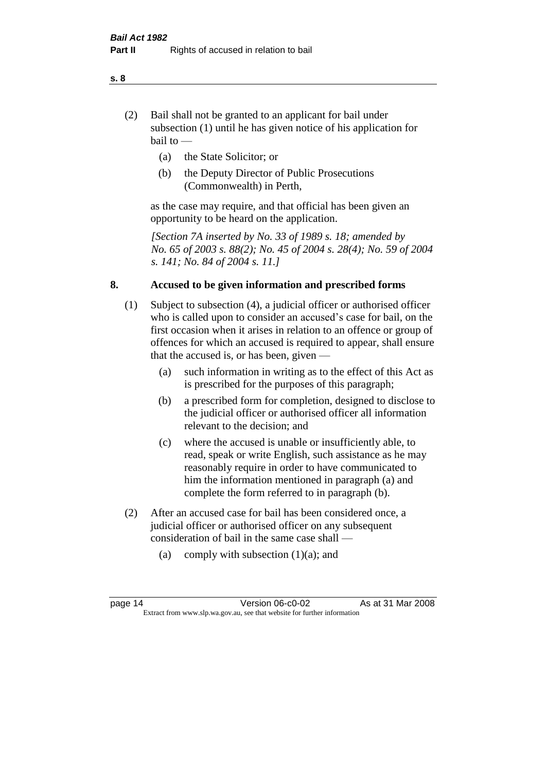- (2) Bail shall not be granted to an applicant for bail under subsection (1) until he has given notice of his application for bail to —
	- (a) the State Solicitor; or
	- (b) the Deputy Director of Public Prosecutions (Commonwealth) in Perth,

as the case may require, and that official has been given an opportunity to be heard on the application.

*[Section 7A inserted by No. 33 of 1989 s. 18; amended by No. 65 of 2003 s. 88(2); No. 45 of 2004 s. 28(4); No. 59 of 2004 s. 141; No. 84 of 2004 s. 11.]* 

#### **8. Accused to be given information and prescribed forms**

- (1) Subject to subsection (4), a judicial officer or authorised officer who is called upon to consider an accused's case for bail, on the first occasion when it arises in relation to an offence or group of offences for which an accused is required to appear, shall ensure that the accused is, or has been, given —
	- (a) such information in writing as to the effect of this Act as is prescribed for the purposes of this paragraph;
	- (b) a prescribed form for completion, designed to disclose to the judicial officer or authorised officer all information relevant to the decision; and
	- (c) where the accused is unable or insufficiently able, to read, speak or write English, such assistance as he may reasonably require in order to have communicated to him the information mentioned in paragraph (a) and complete the form referred to in paragraph (b).
- (2) After an accused case for bail has been considered once, a judicial officer or authorised officer on any subsequent consideration of bail in the same case shall —
	- (a) comply with subsection  $(1)(a)$ ; and

#### **s. 8**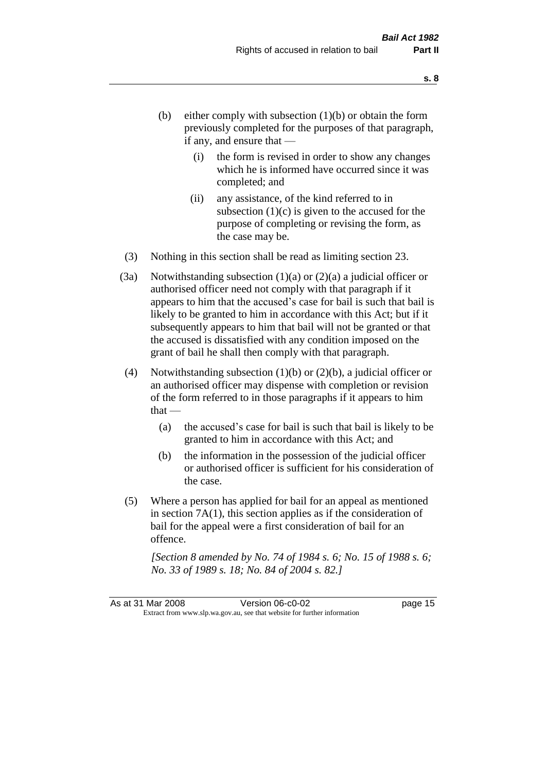- (b) either comply with subsection  $(1)(b)$  or obtain the form previously completed for the purposes of that paragraph, if any, and ensure that —
	- (i) the form is revised in order to show any changes which he is informed have occurred since it was completed; and
	- (ii) any assistance, of the kind referred to in subsection  $(1)(c)$  is given to the accused for the purpose of completing or revising the form, as the case may be.
- (3) Nothing in this section shall be read as limiting section 23.
- (3a) Notwithstanding subsection  $(1)(a)$  or  $(2)(a)$  a judicial officer or authorised officer need not comply with that paragraph if it appears to him that the accused's case for bail is such that bail is likely to be granted to him in accordance with this Act; but if it subsequently appears to him that bail will not be granted or that the accused is dissatisfied with any condition imposed on the grant of bail he shall then comply with that paragraph.
- (4) Notwithstanding subsection  $(1)(b)$  or  $(2)(b)$ , a judicial officer or an authorised officer may dispense with completion or revision of the form referred to in those paragraphs if it appears to him  $that -$ 
	- (a) the accused's case for bail is such that bail is likely to be granted to him in accordance with this Act; and
	- (b) the information in the possession of the judicial officer or authorised officer is sufficient for his consideration of the case.
- (5) Where a person has applied for bail for an appeal as mentioned in section 7A(1), this section applies as if the consideration of bail for the appeal were a first consideration of bail for an offence.

*[Section 8 amended by No. 74 of 1984 s. 6; No. 15 of 1988 s. 6; No. 33 of 1989 s. 18; No. 84 of 2004 s. 82.]*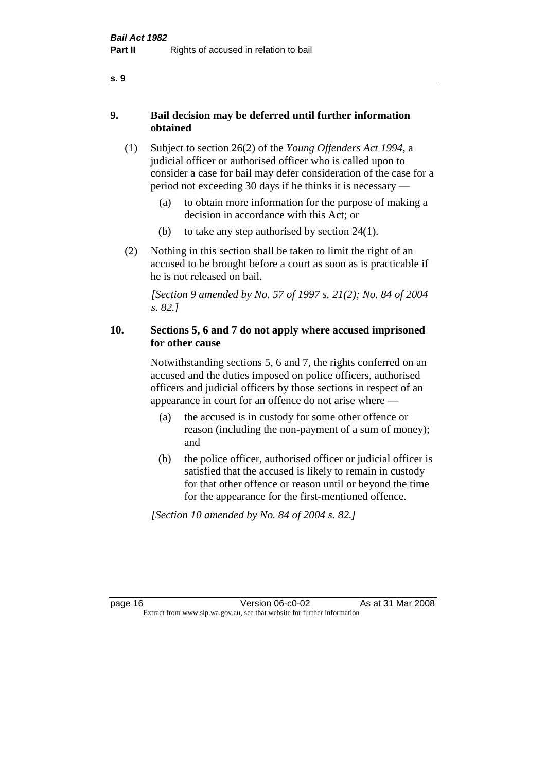- **9. Bail decision may be deferred until further information obtained** 
	- (1) Subject to section 26(2) of the *Young Offenders Act 1994*, a judicial officer or authorised officer who is called upon to consider a case for bail may defer consideration of the case for a period not exceeding 30 days if he thinks it is necessary —
		- (a) to obtain more information for the purpose of making a decision in accordance with this Act; or
		- (b) to take any step authorised by section 24(1).
	- (2) Nothing in this section shall be taken to limit the right of an accused to be brought before a court as soon as is practicable if he is not released on bail.

*[Section 9 amended by No. 57 of 1997 s. 21(2); No. 84 of 2004 s. 82.]*

#### **10. Sections 5, 6 and 7 do not apply where accused imprisoned for other cause**

Notwithstanding sections 5, 6 and 7, the rights conferred on an accused and the duties imposed on police officers, authorised officers and judicial officers by those sections in respect of an appearance in court for an offence do not arise where —

- (a) the accused is in custody for some other offence or reason (including the non-payment of a sum of money); and
- (b) the police officer, authorised officer or judicial officer is satisfied that the accused is likely to remain in custody for that other offence or reason until or beyond the time for the appearance for the first-mentioned offence.

*[Section 10 amended by No. 84 of 2004 s. 82.]*

**s. 9**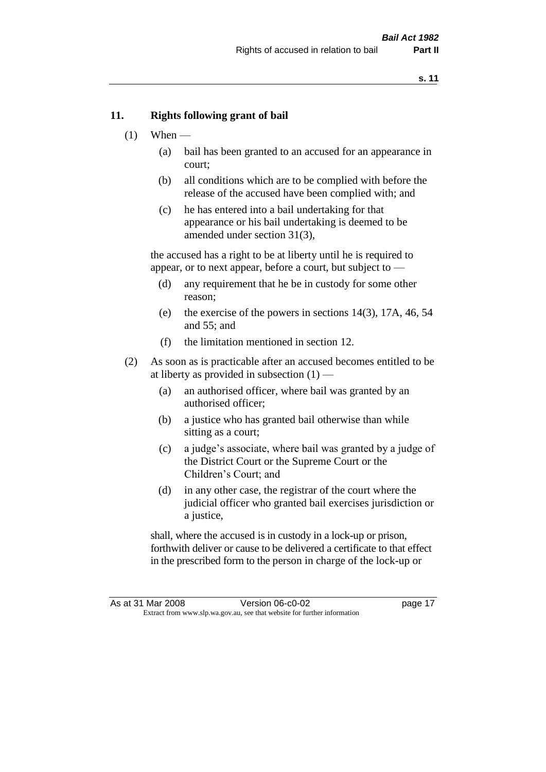#### **11. Rights following grant of bail**

- $(1)$  When
	- (a) bail has been granted to an accused for an appearance in court;
	- (b) all conditions which are to be complied with before the release of the accused have been complied with; and
	- (c) he has entered into a bail undertaking for that appearance or his bail undertaking is deemed to be amended under section 31(3),

the accused has a right to be at liberty until he is required to appear, or to next appear, before a court, but subject to —

- (d) any requirement that he be in custody for some other reason;
- (e) the exercise of the powers in sections 14(3), 17A, 46, 54 and 55; and
- (f) the limitation mentioned in section 12.
- (2) As soon as is practicable after an accused becomes entitled to be at liberty as provided in subsection  $(1)$  —
	- (a) an authorised officer, where bail was granted by an authorised officer;
	- (b) a justice who has granted bail otherwise than while sitting as a court;
	- (c) a judge's associate, where bail was granted by a judge of the District Court or the Supreme Court or the Children's Court; and
	- (d) in any other case, the registrar of the court where the judicial officer who granted bail exercises jurisdiction or a justice,

shall, where the accused is in custody in a lock-up or prison, forthwith deliver or cause to be delivered a certificate to that effect in the prescribed form to the person in charge of the lock-up or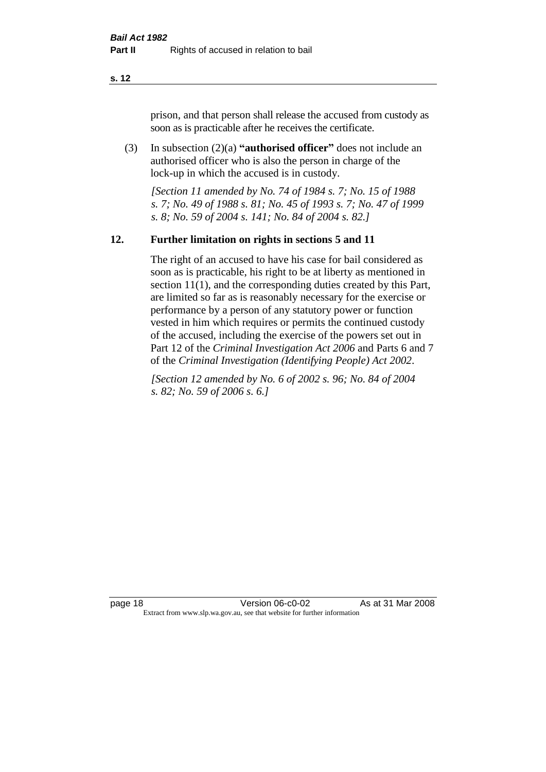prison, and that person shall release the accused from custody as soon as is practicable after he receives the certificate.

(3) In subsection (2)(a) **"authorised officer"** does not include an authorised officer who is also the person in charge of the lock-up in which the accused is in custody.

*[Section 11 amended by No. 74 of 1984 s. 7; No. 15 of 1988 s. 7; No. 49 of 1988 s. 81; No. 45 of 1993 s. 7; No. 47 of 1999 s. 8; No. 59 of 2004 s. 141; No. 84 of 2004 s. 82.]* 

#### **12. Further limitation on rights in sections 5 and 11**

The right of an accused to have his case for bail considered as soon as is practicable, his right to be at liberty as mentioned in section 11(1), and the corresponding duties created by this Part, are limited so far as is reasonably necessary for the exercise or performance by a person of any statutory power or function vested in him which requires or permits the continued custody of the accused, including the exercise of the powers set out in Part 12 of the *Criminal Investigation Act 2006* and Parts 6 and 7 of the *Criminal Investigation (Identifying People) Act 2002*.

*[Section 12 amended by No. 6 of 2002 s. 96; No. 84 of 2004 s. 82; No. 59 of 2006 s. 6.]*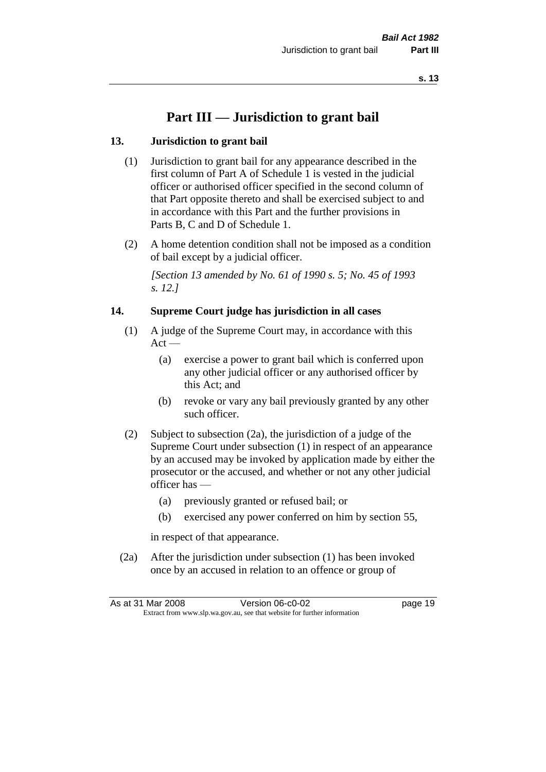## **Part III — Jurisdiction to grant bail**

#### **13. Jurisdiction to grant bail**

- (1) Jurisdiction to grant bail for any appearance described in the first column of Part A of Schedule 1 is vested in the judicial officer or authorised officer specified in the second column of that Part opposite thereto and shall be exercised subject to and in accordance with this Part and the further provisions in Parts B, C and D of Schedule 1.
- (2) A home detention condition shall not be imposed as a condition of bail except by a judicial officer.

*[Section 13 amended by No. 61 of 1990 s. 5; No. 45 of 1993 s. 12.]* 

#### **14. Supreme Court judge has jurisdiction in all cases**

- (1) A judge of the Supreme Court may, in accordance with this  $Act -$ 
	- (a) exercise a power to grant bail which is conferred upon any other judicial officer or any authorised officer by this Act; and
	- (b) revoke or vary any bail previously granted by any other such officer.
- (2) Subject to subsection (2a), the jurisdiction of a judge of the Supreme Court under subsection (1) in respect of an appearance by an accused may be invoked by application made by either the prosecutor or the accused, and whether or not any other judicial officer has —
	- (a) previously granted or refused bail; or
	- (b) exercised any power conferred on him by section 55,

in respect of that appearance.

(2a) After the jurisdiction under subsection (1) has been invoked once by an accused in relation to an offence or group of

|                                                                          | As at 31 Mar 2008 | Version 06-c0-02 | page 19 |
|--------------------------------------------------------------------------|-------------------|------------------|---------|
| Extract from www.slp.wa.gov.au, see that website for further information |                   |                  |         |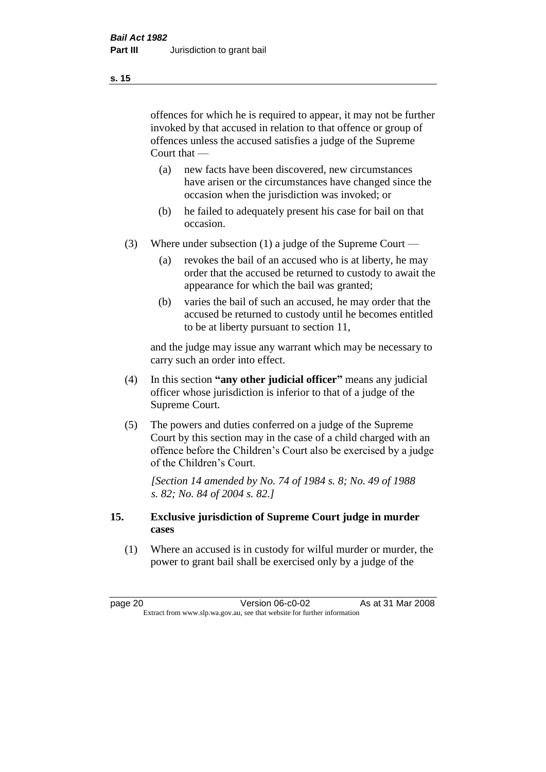offences for which he is required to appear, it may not be further invoked by that accused in relation to that offence or group of offences unless the accused satisfies a judge of the Supreme Court that —

- (a) new facts have been discovered, new circumstances have arisen or the circumstances have changed since the occasion when the jurisdiction was invoked; or
- (b) he failed to adequately present his case for bail on that occasion.
- (3) Where under subsection (1) a judge of the Supreme Court
	- (a) revokes the bail of an accused who is at liberty, he may order that the accused be returned to custody to await the appearance for which the bail was granted;
	- (b) varies the bail of such an accused, he may order that the accused be returned to custody until he becomes entitled to be at liberty pursuant to section 11,

and the judge may issue any warrant which may be necessary to carry such an order into effect.

- (4) In this section **"any other judicial officer"** means any judicial officer whose jurisdiction is inferior to that of a judge of the Supreme Court.
- (5) The powers and duties conferred on a judge of the Supreme Court by this section may in the case of a child charged with an offence before the Children's Court also be exercised by a judge of the Children's Court.

*[Section 14 amended by No. 74 of 1984 s. 8; No. 49 of 1988 s. 82; No. 84 of 2004 s. 82.]* 

#### **15. Exclusive jurisdiction of Supreme Court judge in murder cases**

(1) Where an accused is in custody for wilful murder or murder, the power to grant bail shall be exercised only by a judge of the

**s. 15**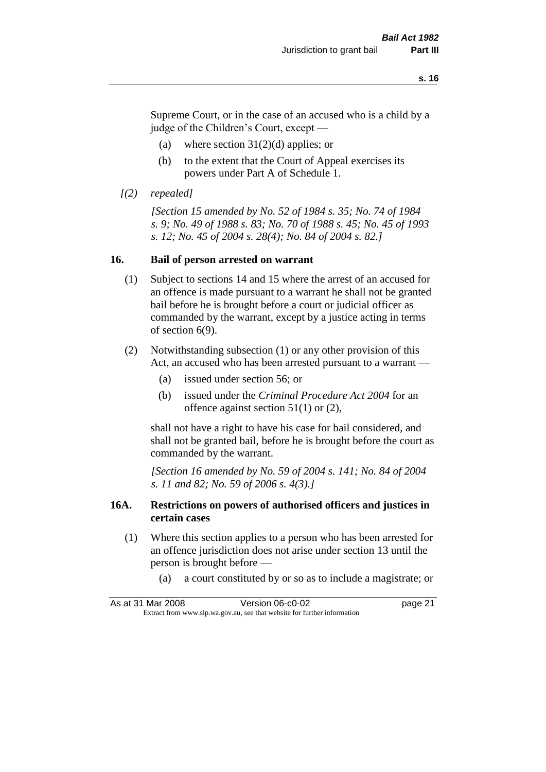Supreme Court, or in the case of an accused who is a child by a judge of the Children's Court, except —

- (a) where section  $31(2)(d)$  applies; or
- (b) to the extent that the Court of Appeal exercises its powers under Part A of Schedule 1.

```
[(2) repealed]
```
*[Section 15 amended by No. 52 of 1984 s. 35; No. 74 of 1984 s. 9; No. 49 of 1988 s. 83; No. 70 of 1988 s. 45; No. 45 of 1993 s. 12; No. 45 of 2004 s. 28(4); No. 84 of 2004 s. 82.]* 

#### **16. Bail of person arrested on warrant**

- (1) Subject to sections 14 and 15 where the arrest of an accused for an offence is made pursuant to a warrant he shall not be granted bail before he is brought before a court or judicial officer as commanded by the warrant, except by a justice acting in terms of section 6(9).
- (2) Notwithstanding subsection (1) or any other provision of this Act, an accused who has been arrested pursuant to a warrant —
	- (a) issued under section 56; or
	- (b) issued under the *Criminal Procedure Act 2004* for an offence against section 51(1) or (2),

shall not have a right to have his case for bail considered, and shall not be granted bail, before he is brought before the court as commanded by the warrant.

*[Section 16 amended by No. 59 of 2004 s. 141; No. 84 of 2004 s. 11 and 82; No. 59 of 2006 s. 4(3).]*

#### **16A. Restrictions on powers of authorised officers and justices in certain cases**

- (1) Where this section applies to a person who has been arrested for an offence jurisdiction does not arise under section 13 until the person is brought before —
	- (a) a court constituted by or so as to include a magistrate; or

|                                                                          | As at 31 Mar 2008 | Version 06-c0-02 | page 21 |
|--------------------------------------------------------------------------|-------------------|------------------|---------|
| Extract from www.slp.wa.gov.au, see that website for further information |                   |                  |         |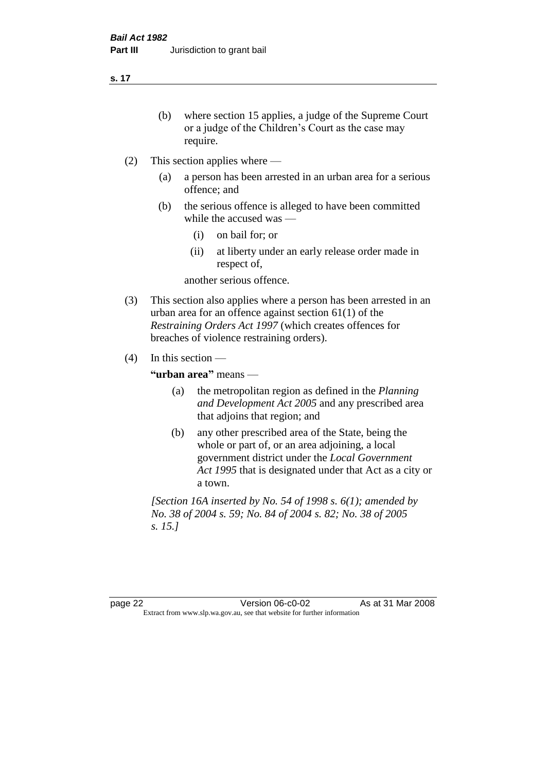- (b) where section 15 applies, a judge of the Supreme Court or a judge of the Children's Court as the case may require.
- (2) This section applies where
	- (a) a person has been arrested in an urban area for a serious offence; and
	- (b) the serious offence is alleged to have been committed while the accused was —
		- (i) on bail for; or
		- (ii) at liberty under an early release order made in respect of,

another serious offence.

- (3) This section also applies where a person has been arrested in an urban area for an offence against section 61(1) of the *Restraining Orders Act 1997* (which creates offences for breaches of violence restraining orders).
- (4) In this section —

**"urban area"** means —

- (a) the metropolitan region as defined in the *Planning and Development Act 2005* and any prescribed area that adjoins that region; and
- (b) any other prescribed area of the State, being the whole or part of, or an area adjoining, a local government district under the *Local Government Act 1995* that is designated under that Act as a city or a town.

*[Section 16A inserted by No. 54 of 1998 s. 6(1); amended by No. 38 of 2004 s. 59; No. 84 of 2004 s. 82; No. 38 of 2005 s. 15.]*

page 22 Version 06-c0-02 As at 31 Mar 2008 Extract from www.slp.wa.gov.au, see that website for further information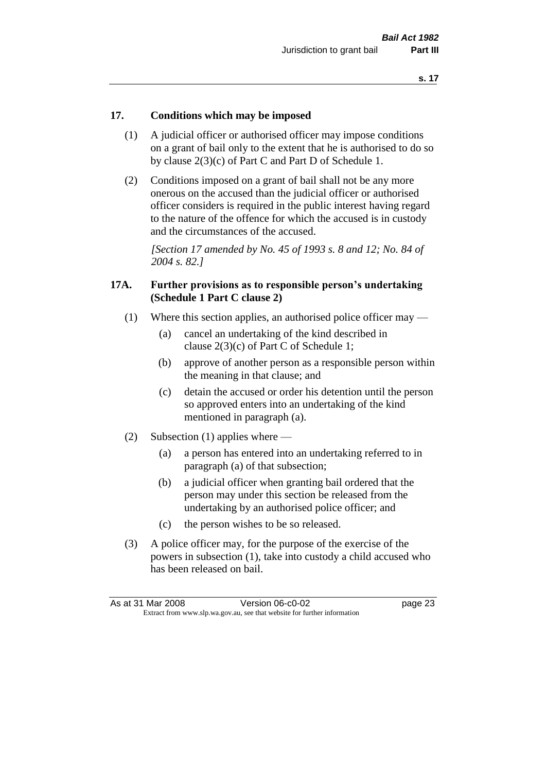#### **17. Conditions which may be imposed**

- (1) A judicial officer or authorised officer may impose conditions on a grant of bail only to the extent that he is authorised to do so by clause 2(3)(c) of Part C and Part D of Schedule 1.
- (2) Conditions imposed on a grant of bail shall not be any more onerous on the accused than the judicial officer or authorised officer considers is required in the public interest having regard to the nature of the offence for which the accused is in custody and the circumstances of the accused.

*[Section 17 amended by No. 45 of 1993 s. 8 and 12; No. 84 of 2004 s. 82.]* 

#### **17A. Further provisions as to responsible person's undertaking (Schedule 1 Part C clause 2)**

- (1) Where this section applies, an authorised police officer may
	- (a) cancel an undertaking of the kind described in clause 2(3)(c) of Part C of Schedule 1;
	- (b) approve of another person as a responsible person within the meaning in that clause; and
	- (c) detain the accused or order his detention until the person so approved enters into an undertaking of the kind mentioned in paragraph (a).
- (2) Subsection (1) applies where
	- (a) a person has entered into an undertaking referred to in paragraph (a) of that subsection;
	- (b) a judicial officer when granting bail ordered that the person may under this section be released from the undertaking by an authorised police officer; and
	- (c) the person wishes to be so released.
- (3) A police officer may, for the purpose of the exercise of the powers in subsection (1), take into custody a child accused who has been released on bail.

| As at 31 Mar 2008                                                        |  | Version 06-c0-02 | page 23 |  |
|--------------------------------------------------------------------------|--|------------------|---------|--|
| Extract from www.slp.wa.gov.au, see that website for further information |  |                  |         |  |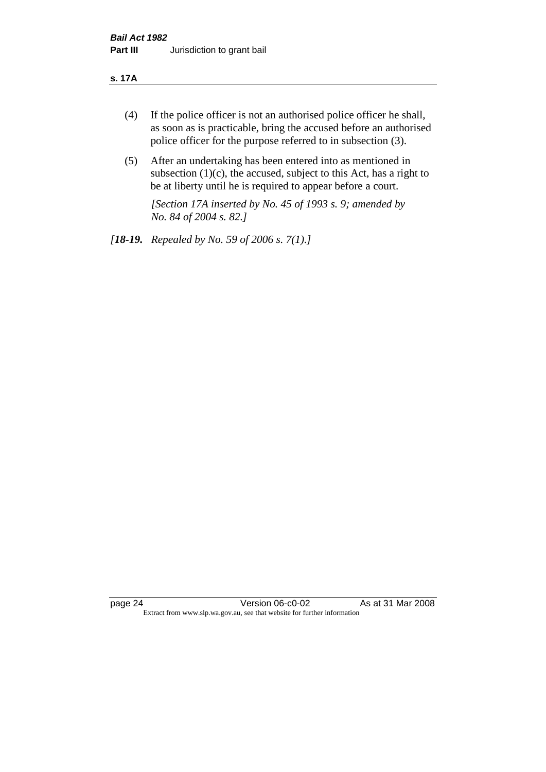#### **s. 17A**

- (4) If the police officer is not an authorised police officer he shall, as soon as is practicable, bring the accused before an authorised police officer for the purpose referred to in subsection (3).
- (5) After an undertaking has been entered into as mentioned in subsection  $(1)(c)$ , the accused, subject to this Act, has a right to be at liberty until he is required to appear before a court.

*[Section 17A inserted by No. 45 of 1993 s. 9; amended by No. 84 of 2004 s. 82.]* 

*[18-19. Repealed by No. 59 of 2006 s. 7(1).]*

page 24 Version 06-c0-02 As at 31 Mar 2008 Extract from www.slp.wa.gov.au, see that website for further information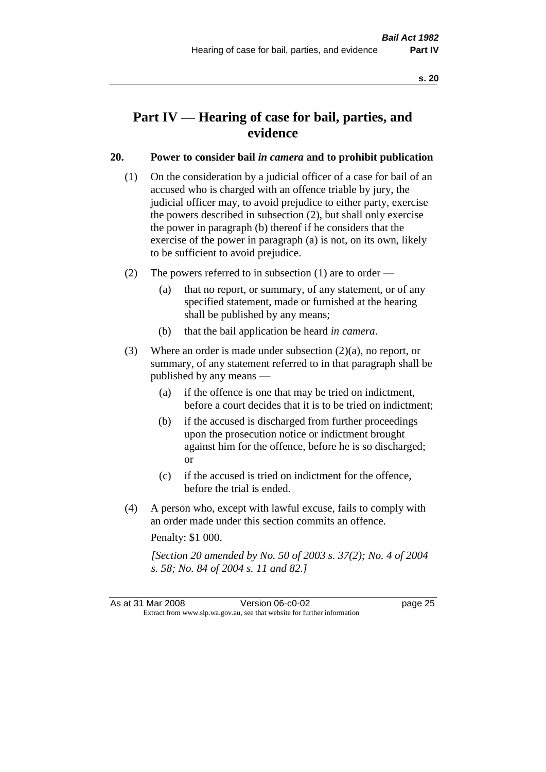## **Part IV — Hearing of case for bail, parties, and evidence**

#### **20. Power to consider bail** *in camera* **and to prohibit publication**

- (1) On the consideration by a judicial officer of a case for bail of an accused who is charged with an offence triable by jury, the judicial officer may, to avoid prejudice to either party, exercise the powers described in subsection (2), but shall only exercise the power in paragraph (b) thereof if he considers that the exercise of the power in paragraph (a) is not, on its own, likely to be sufficient to avoid prejudice.
- (2) The powers referred to in subsection (1) are to order
	- (a) that no report, or summary, of any statement, or of any specified statement, made or furnished at the hearing shall be published by any means;
	- (b) that the bail application be heard *in camera*.
- (3) Where an order is made under subsection (2)(a), no report, or summary, of any statement referred to in that paragraph shall be published by any means —
	- (a) if the offence is one that may be tried on indictment, before a court decides that it is to be tried on indictment;
	- (b) if the accused is discharged from further proceedings upon the prosecution notice or indictment brought against him for the offence, before he is so discharged; or
	- (c) if the accused is tried on indictment for the offence, before the trial is ended.
- (4) A person who, except with lawful excuse, fails to comply with an order made under this section commits an offence.

Penalty: \$1 000.

*[Section 20 amended by No. 50 of 2003 s. 37(2); No. 4 of 2004 s. 58; No. 84 of 2004 s. 11 and 82.]*

As at 31 Mar 2008 Version 06-c0-02 page 25 Extract from www.slp.wa.gov.au, see that website for further information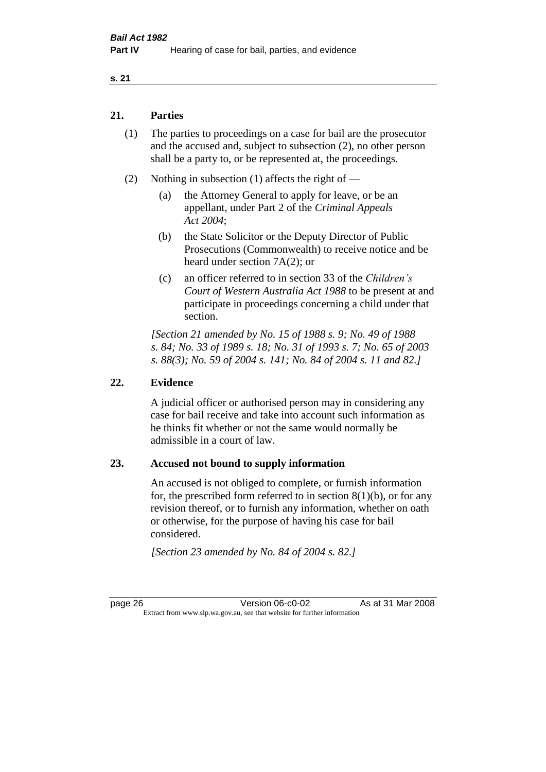#### **21. Parties**

- (1) The parties to proceedings on a case for bail are the prosecutor and the accused and, subject to subsection (2), no other person shall be a party to, or be represented at, the proceedings.
- (2) Nothing in subsection (1) affects the right of
	- (a) the Attorney General to apply for leave, or be an appellant, under Part 2 of the *Criminal Appeals Act 2004*;
	- (b) the State Solicitor or the Deputy Director of Public Prosecutions (Commonwealth) to receive notice and be heard under section 7A(2); or
	- (c) an officer referred to in section 33 of the *Children's Court of Western Australia Act 1988* to be present at and participate in proceedings concerning a child under that section.

*[Section 21 amended by No. 15 of 1988 s. 9; No. 49 of 1988 s. 84; No. 33 of 1989 s. 18; No. 31 of 1993 s. 7; No. 65 of 2003 s. 88(3); No. 59 of 2004 s. 141; No. 84 of 2004 s. 11 and 82.]* 

#### **22. Evidence**

A judicial officer or authorised person may in considering any case for bail receive and take into account such information as he thinks fit whether or not the same would normally be admissible in a court of law.

#### **23. Accused not bound to supply information**

An accused is not obliged to complete, or furnish information for, the prescribed form referred to in section  $8(1)(b)$ , or for any revision thereof, or to furnish any information, whether on oath or otherwise, for the purpose of having his case for bail considered.

*[Section 23 amended by No. 84 of 2004 s. 82.]* 

page 26 Version 06-c0-02 As at 31 Mar 2008 Extract from www.slp.wa.gov.au, see that website for further information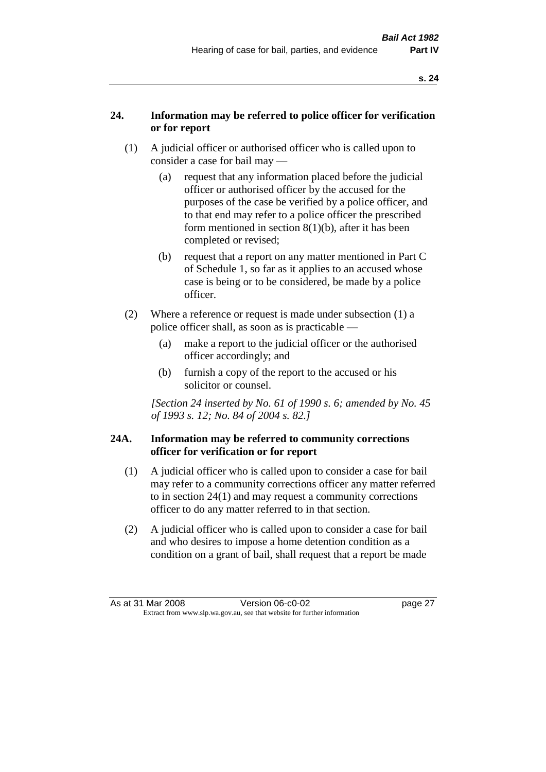#### **24. Information may be referred to police officer for verification or for report**

- (1) A judicial officer or authorised officer who is called upon to consider a case for bail may —
	- (a) request that any information placed before the judicial officer or authorised officer by the accused for the purposes of the case be verified by a police officer, and to that end may refer to a police officer the prescribed form mentioned in section 8(1)(b), after it has been completed or revised;
	- (b) request that a report on any matter mentioned in Part C of Schedule 1, so far as it applies to an accused whose case is being or to be considered, be made by a police officer.
- (2) Where a reference or request is made under subsection (1) a police officer shall, as soon as is practicable —
	- (a) make a report to the judicial officer or the authorised officer accordingly; and
	- (b) furnish a copy of the report to the accused or his solicitor or counsel.

*[Section 24 inserted by No. 61 of 1990 s. 6; amended by No. 45 of 1993 s. 12; No. 84 of 2004 s. 82.]* 

#### **24A. Information may be referred to community corrections officer for verification or for report**

- (1) A judicial officer who is called upon to consider a case for bail may refer to a community corrections officer any matter referred to in section 24(1) and may request a community corrections officer to do any matter referred to in that section.
- (2) A judicial officer who is called upon to consider a case for bail and who desires to impose a home detention condition as a condition on a grant of bail, shall request that a report be made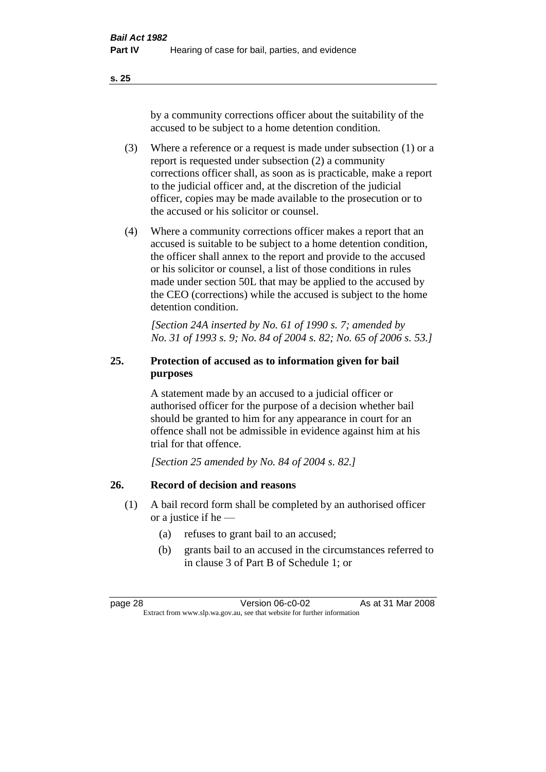by a community corrections officer about the suitability of the accused to be subject to a home detention condition.

- (3) Where a reference or a request is made under subsection (1) or a report is requested under subsection (2) a community corrections officer shall, as soon as is practicable, make a report to the judicial officer and, at the discretion of the judicial officer, copies may be made available to the prosecution or to the accused or his solicitor or counsel.
- (4) Where a community corrections officer makes a report that an accused is suitable to be subject to a home detention condition, the officer shall annex to the report and provide to the accused or his solicitor or counsel, a list of those conditions in rules made under section 50L that may be applied to the accused by the CEO (corrections) while the accused is subject to the home detention condition.

*[Section 24A inserted by No. 61 of 1990 s. 7; amended by No. 31 of 1993 s. 9; No. 84 of 2004 s. 82; No. 65 of 2006 s. 53.]* 

### **25. Protection of accused as to information given for bail purposes**

A statement made by an accused to a judicial officer or authorised officer for the purpose of a decision whether bail should be granted to him for any appearance in court for an offence shall not be admissible in evidence against him at his trial for that offence.

*[Section 25 amended by No. 84 of 2004 s. 82.]* 

### **26. Record of decision and reasons**

- (1) A bail record form shall be completed by an authorised officer or a justice if he —
	- (a) refuses to grant bail to an accused;
	- (b) grants bail to an accused in the circumstances referred to in clause 3 of Part B of Schedule 1; or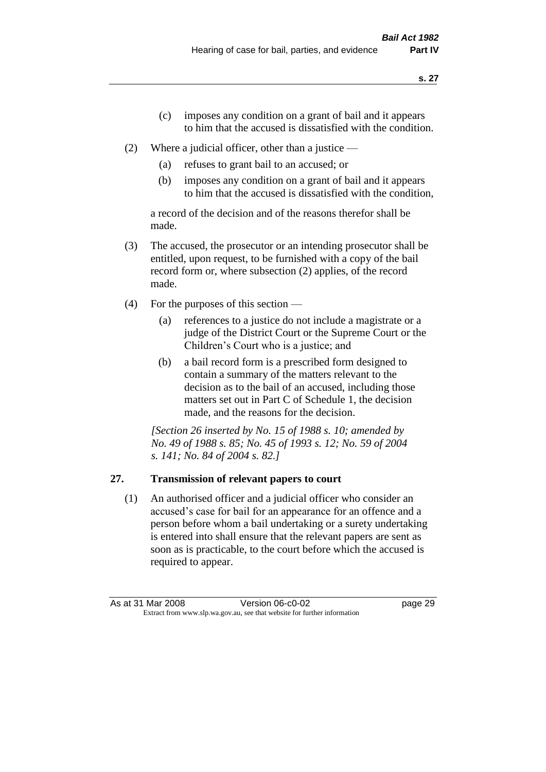- (c) imposes any condition on a grant of bail and it appears to him that the accused is dissatisfied with the condition.
- (2) Where a judicial officer, other than a justice
	- (a) refuses to grant bail to an accused; or
	- (b) imposes any condition on a grant of bail and it appears to him that the accused is dissatisfied with the condition,

a record of the decision and of the reasons therefor shall be made.

- (3) The accused, the prosecutor or an intending prosecutor shall be entitled, upon request, to be furnished with a copy of the bail record form or, where subsection (2) applies, of the record made.
- (4) For the purposes of this section
	- (a) references to a justice do not include a magistrate or a judge of the District Court or the Supreme Court or the Children's Court who is a justice; and
	- (b) a bail record form is a prescribed form designed to contain a summary of the matters relevant to the decision as to the bail of an accused, including those matters set out in Part C of Schedule 1, the decision made, and the reasons for the decision.

*[Section 26 inserted by No. 15 of 1988 s. 10; amended by No. 49 of 1988 s. 85; No. 45 of 1993 s. 12; No. 59 of 2004 s. 141; No. 84 of 2004 s. 82.]* 

# **27. Transmission of relevant papers to court**

(1) An authorised officer and a judicial officer who consider an accused's case for bail for an appearance for an offence and a person before whom a bail undertaking or a surety undertaking is entered into shall ensure that the relevant papers are sent as soon as is practicable, to the court before which the accused is required to appear.

As at 31 Mar 2008 Version 06-c0-02 page 29 Extract from www.slp.wa.gov.au, see that website for further information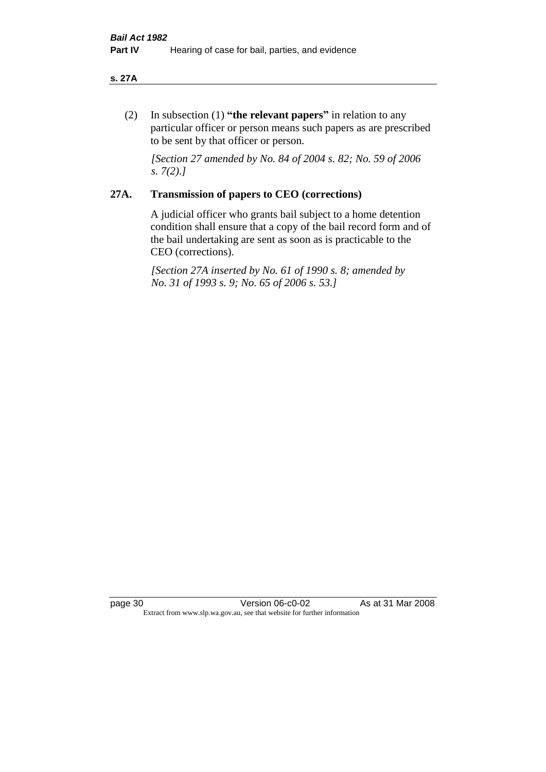#### **s. 27A**

(2) In subsection (1) **"the relevant papers"** in relation to any particular officer or person means such papers as are prescribed to be sent by that officer or person.

*[Section 27 amended by No. 84 of 2004 s. 82; No. 59 of 2006 s. 7(2).]* 

### **27A. Transmission of papers to CEO (corrections)**

A judicial officer who grants bail subject to a home detention condition shall ensure that a copy of the bail record form and of the bail undertaking are sent as soon as is practicable to the CEO (corrections).

*[Section 27A inserted by No. 61 of 1990 s. 8; amended by No. 31 of 1993 s. 9; No. 65 of 2006 s. 53.]* 

page 30 Version 06-c0-02 As at 31 Mar 2008 Extract from www.slp.wa.gov.au, see that website for further information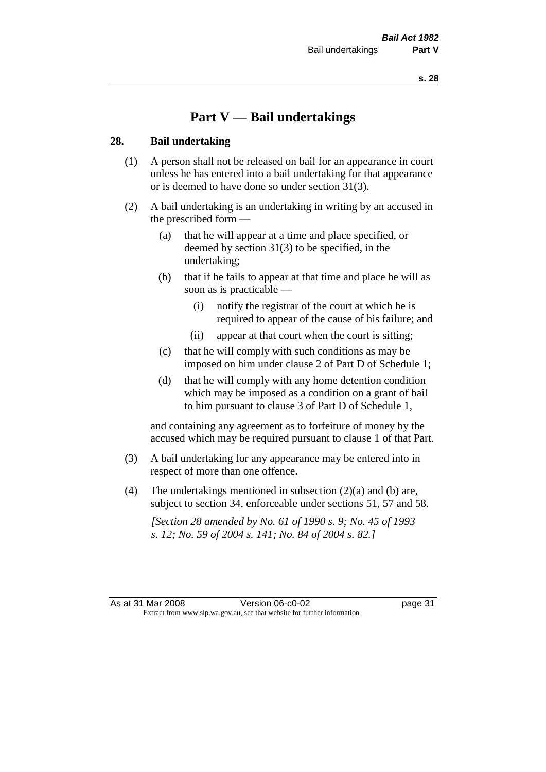# **Part V — Bail undertakings**

#### **28. Bail undertaking**

- (1) A person shall not be released on bail for an appearance in court unless he has entered into a bail undertaking for that appearance or is deemed to have done so under section 31(3).
- (2) A bail undertaking is an undertaking in writing by an accused in the prescribed form —
	- (a) that he will appear at a time and place specified, or deemed by section 31(3) to be specified, in the undertaking;
	- (b) that if he fails to appear at that time and place he will as soon as is practicable —
		- (i) notify the registrar of the court at which he is required to appear of the cause of his failure; and
		- (ii) appear at that court when the court is sitting;
	- (c) that he will comply with such conditions as may be imposed on him under clause 2 of Part D of Schedule 1;
	- (d) that he will comply with any home detention condition which may be imposed as a condition on a grant of bail to him pursuant to clause 3 of Part D of Schedule 1,

and containing any agreement as to forfeiture of money by the accused which may be required pursuant to clause 1 of that Part.

- (3) A bail undertaking for any appearance may be entered into in respect of more than one offence.
- (4) The undertakings mentioned in subsection  $(2)(a)$  and (b) are, subject to section 34, enforceable under sections 51, 57 and 58.

*[Section 28 amended by No. 61 of 1990 s. 9; No. 45 of 1993 s. 12; No. 59 of 2004 s. 141; No. 84 of 2004 s. 82.]*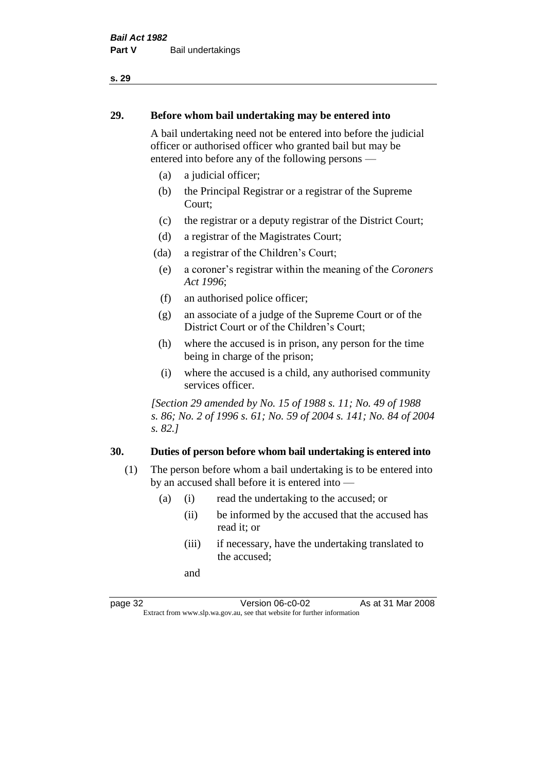#### **29. Before whom bail undertaking may be entered into**

A bail undertaking need not be entered into before the judicial officer or authorised officer who granted bail but may be entered into before any of the following persons —

- (a) a judicial officer;
- (b) the Principal Registrar or a registrar of the Supreme Court;
- (c) the registrar or a deputy registrar of the District Court;
- (d) a registrar of the Magistrates Court;
- (da) a registrar of the Children's Court;
- (e) a coroner's registrar within the meaning of the *Coroners Act 1996*;
- (f) an authorised police officer;
- (g) an associate of a judge of the Supreme Court or of the District Court or of the Children's Court;
- (h) where the accused is in prison, any person for the time being in charge of the prison;
- (i) where the accused is a child, any authorised community services officer.

*[Section 29 amended by No. 15 of 1988 s. 11; No. 49 of 1988 s. 86; No. 2 of 1996 s. 61; No. 59 of 2004 s. 141; No. 84 of 2004 s. 82.]* 

#### **30. Duties of person before whom bail undertaking is entered into**

- (1) The person before whom a bail undertaking is to be entered into by an accused shall before it is entered into —
	- (a) (i) read the undertaking to the accused; or
		- (ii) be informed by the accused that the accused has read it; or
		- (iii) if necessary, have the undertaking translated to the accused;

and

page 32 Version 06-c0-02 As at 31 Mar 2008 Extract from www.slp.wa.gov.au, see that website for further information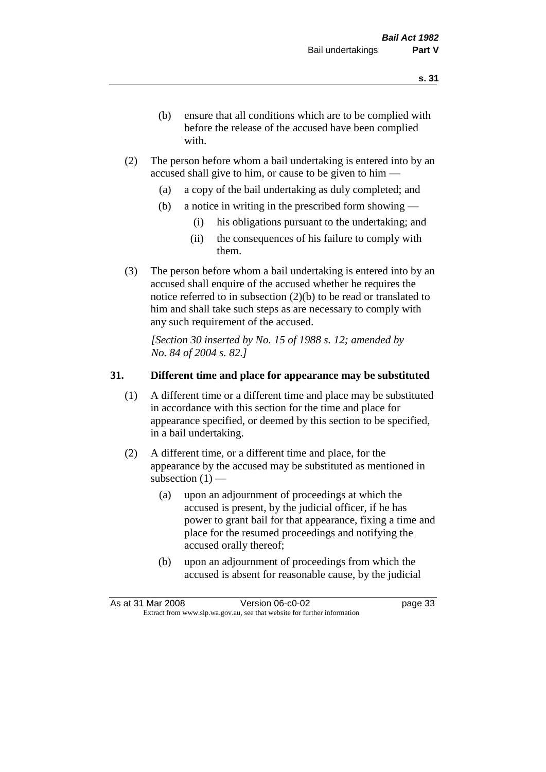- (b) ensure that all conditions which are to be complied with before the release of the accused have been complied with.
- (2) The person before whom a bail undertaking is entered into by an accused shall give to him, or cause to be given to him —
	- (a) a copy of the bail undertaking as duly completed; and
	- (b) a notice in writing in the prescribed form showing
		- (i) his obligations pursuant to the undertaking; and
		- (ii) the consequences of his failure to comply with them.
- (3) The person before whom a bail undertaking is entered into by an accused shall enquire of the accused whether he requires the notice referred to in subsection (2)(b) to be read or translated to him and shall take such steps as are necessary to comply with any such requirement of the accused.

*[Section 30 inserted by No. 15 of 1988 s. 12; amended by No. 84 of 2004 s. 82.]* 

## **31. Different time and place for appearance may be substituted**

- (1) A different time or a different time and place may be substituted in accordance with this section for the time and place for appearance specified, or deemed by this section to be specified, in a bail undertaking.
- (2) A different time, or a different time and place, for the appearance by the accused may be substituted as mentioned in subsection  $(1)$  —
	- (a) upon an adjournment of proceedings at which the accused is present, by the judicial officer, if he has power to grant bail for that appearance, fixing a time and place for the resumed proceedings and notifying the accused orally thereof;
	- (b) upon an adjournment of proceedings from which the accused is absent for reasonable cause, by the judicial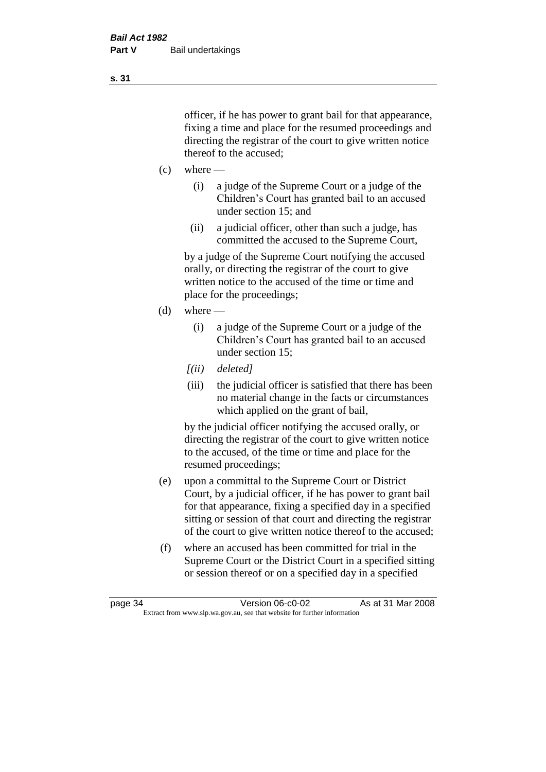officer, if he has power to grant bail for that appearance, fixing a time and place for the resumed proceedings and directing the registrar of the court to give written notice thereof to the accused;

- $(c)$  where
	- (i) a judge of the Supreme Court or a judge of the Children's Court has granted bail to an accused under section 15; and
	- (ii) a judicial officer, other than such a judge, has committed the accused to the Supreme Court,

by a judge of the Supreme Court notifying the accused orally, or directing the registrar of the court to give written notice to the accused of the time or time and place for the proceedings;

- (d) where
	- (i) a judge of the Supreme Court or a judge of the Children's Court has granted bail to an accused under section 15;
	- *[(ii) deleted]*
	- (iii) the judicial officer is satisfied that there has been no material change in the facts or circumstances which applied on the grant of bail,

by the judicial officer notifying the accused orally, or directing the registrar of the court to give written notice to the accused, of the time or time and place for the resumed proceedings;

- (e) upon a committal to the Supreme Court or District Court, by a judicial officer, if he has power to grant bail for that appearance, fixing a specified day in a specified sitting or session of that court and directing the registrar of the court to give written notice thereof to the accused;
- (f) where an accused has been committed for trial in the Supreme Court or the District Court in a specified sitting or session thereof or on a specified day in a specified

**s. 31**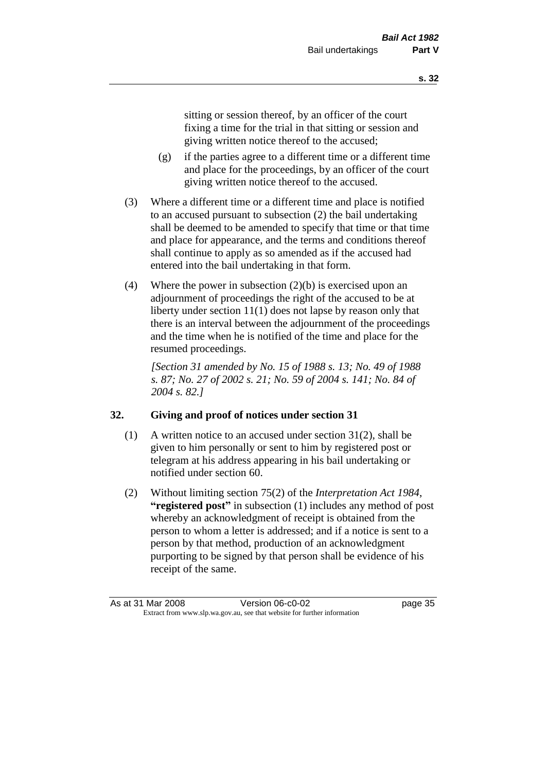sitting or session thereof, by an officer of the court fixing a time for the trial in that sitting or session and giving written notice thereof to the accused;

- (g) if the parties agree to a different time or a different time and place for the proceedings, by an officer of the court giving written notice thereof to the accused.
- (3) Where a different time or a different time and place is notified to an accused pursuant to subsection (2) the bail undertaking shall be deemed to be amended to specify that time or that time and place for appearance, and the terms and conditions thereof shall continue to apply as so amended as if the accused had entered into the bail undertaking in that form.
- (4) Where the power in subsection (2)(b) is exercised upon an adjournment of proceedings the right of the accused to be at liberty under section 11(1) does not lapse by reason only that there is an interval between the adjournment of the proceedings and the time when he is notified of the time and place for the resumed proceedings.

*[Section 31 amended by No. 15 of 1988 s. 13; No. 49 of 1988 s. 87; No. 27 of 2002 s. 21; No. 59 of 2004 s. 141; No. 84 of 2004 s. 82.]* 

# **32. Giving and proof of notices under section 31**

- (1) A written notice to an accused under section 31(2), shall be given to him personally or sent to him by registered post or telegram at his address appearing in his bail undertaking or notified under section 60.
- (2) Without limiting section 75(2) of the *Interpretation Act 1984*, **"registered post"** in subsection (1) includes any method of post whereby an acknowledgment of receipt is obtained from the person to whom a letter is addressed; and if a notice is sent to a person by that method, production of an acknowledgment purporting to be signed by that person shall be evidence of his receipt of the same.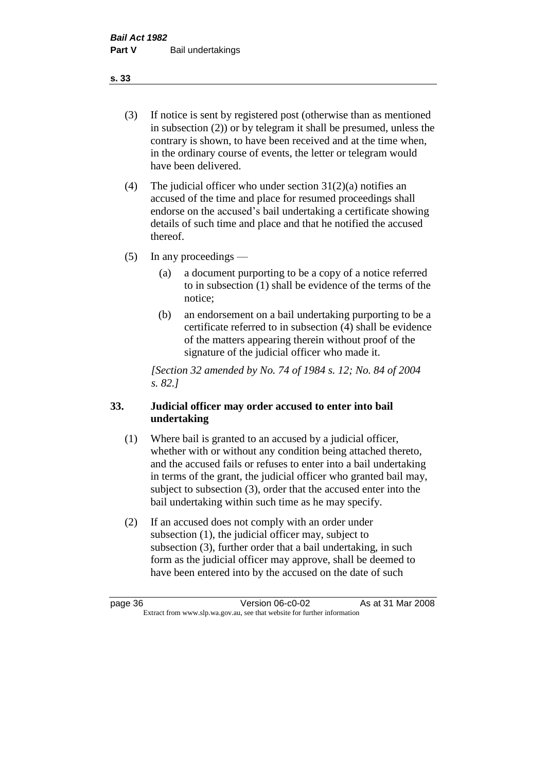(3) If notice is sent by registered post (otherwise than as mentioned in subsection (2)) or by telegram it shall be presumed, unless the contrary is shown, to have been received and at the time when, in the ordinary course of events, the letter or telegram would have been delivered.

(4) The judicial officer who under section  $31(2)(a)$  notifies an accused of the time and place for resumed proceedings shall endorse on the accused's bail undertaking a certificate showing details of such time and place and that he notified the accused thereof.

(5) In any proceedings —

- (a) a document purporting to be a copy of a notice referred to in subsection (1) shall be evidence of the terms of the notice;
- (b) an endorsement on a bail undertaking purporting to be a certificate referred to in subsection (4) shall be evidence of the matters appearing therein without proof of the signature of the judicial officer who made it.

*[Section 32 amended by No. 74 of 1984 s. 12; No. 84 of 2004 s. 82.]* 

## **33. Judicial officer may order accused to enter into bail undertaking**

- (1) Where bail is granted to an accused by a judicial officer, whether with or without any condition being attached thereto, and the accused fails or refuses to enter into a bail undertaking in terms of the grant, the judicial officer who granted bail may, subject to subsection (3), order that the accused enter into the bail undertaking within such time as he may specify.
- (2) If an accused does not comply with an order under subsection (1), the judicial officer may, subject to subsection (3), further order that a bail undertaking, in such form as the judicial officer may approve, shall be deemed to have been entered into by the accused on the date of such

**s. 33**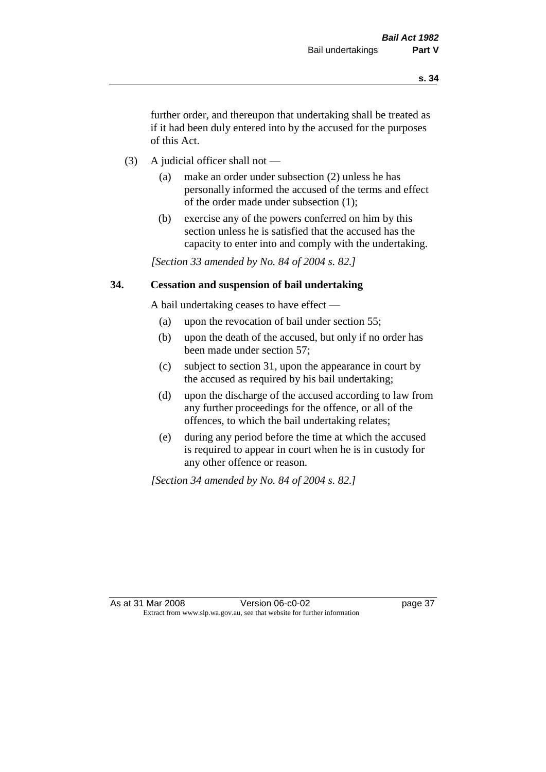further order, and thereupon that undertaking shall be treated as if it had been duly entered into by the accused for the purposes of this Act.

- (3) A judicial officer shall not
	- (a) make an order under subsection (2) unless he has personally informed the accused of the terms and effect of the order made under subsection (1);
	- (b) exercise any of the powers conferred on him by this section unless he is satisfied that the accused has the capacity to enter into and comply with the undertaking.

*[Section 33 amended by No. 84 of 2004 s. 82.]* 

## **34. Cessation and suspension of bail undertaking**

A bail undertaking ceases to have effect —

- (a) upon the revocation of bail under section 55;
- (b) upon the death of the accused, but only if no order has been made under section 57;
- (c) subject to section 31, upon the appearance in court by the accused as required by his bail undertaking;
- (d) upon the discharge of the accused according to law from any further proceedings for the offence, or all of the offences, to which the bail undertaking relates;
- (e) during any period before the time at which the accused is required to appear in court when he is in custody for any other offence or reason.

*[Section 34 amended by No. 84 of 2004 s. 82.]*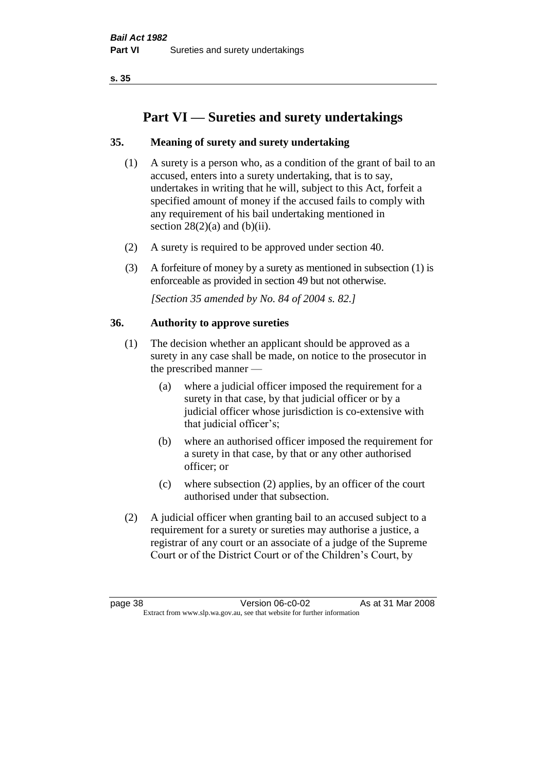# **Part VI — Sureties and surety undertakings**

# **35. Meaning of surety and surety undertaking**

- (1) A surety is a person who, as a condition of the grant of bail to an accused, enters into a surety undertaking, that is to say, undertakes in writing that he will, subject to this Act, forfeit a specified amount of money if the accused fails to comply with any requirement of his bail undertaking mentioned in section  $28(2)(a)$  and  $(b)(ii)$ .
- (2) A surety is required to be approved under section 40.
- (3) A forfeiture of money by a surety as mentioned in subsection (1) is enforceable as provided in section 49 but not otherwise.

*[Section 35 amended by No. 84 of 2004 s. 82.]* 

## **36. Authority to approve sureties**

- (1) The decision whether an applicant should be approved as a surety in any case shall be made, on notice to the prosecutor in the prescribed manner —
	- (a) where a judicial officer imposed the requirement for a surety in that case, by that judicial officer or by a judicial officer whose jurisdiction is co-extensive with that judicial officer's;
	- (b) where an authorised officer imposed the requirement for a surety in that case, by that or any other authorised officer; or
	- (c) where subsection (2) applies, by an officer of the court authorised under that subsection.
- (2) A judicial officer when granting bail to an accused subject to a requirement for a surety or sureties may authorise a justice, a registrar of any court or an associate of a judge of the Supreme Court or of the District Court or of the Children's Court, by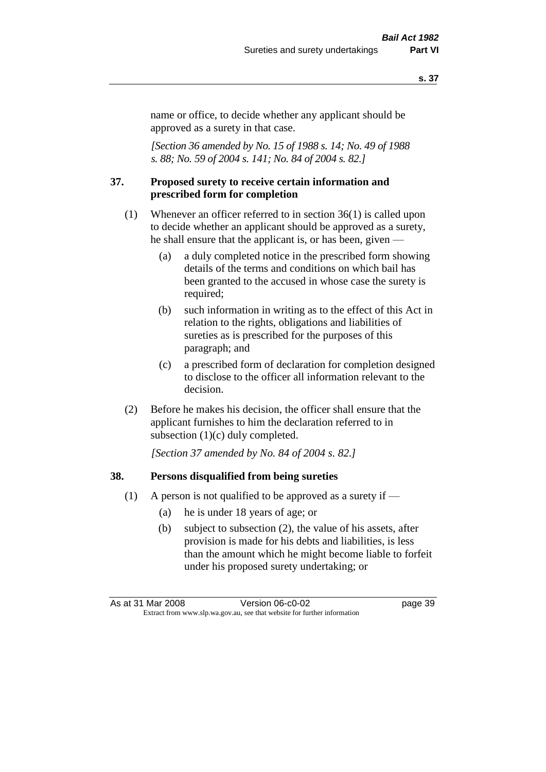name or office, to decide whether any applicant should be approved as a surety in that case.

*[Section 36 amended by No. 15 of 1988 s. 14; No. 49 of 1988 s. 88; No. 59 of 2004 s. 141; No. 84 of 2004 s. 82.]* 

#### **37. Proposed surety to receive certain information and prescribed form for completion**

- (1) Whenever an officer referred to in section 36(1) is called upon to decide whether an applicant should be approved as a surety, he shall ensure that the applicant is, or has been, given —
	- (a) a duly completed notice in the prescribed form showing details of the terms and conditions on which bail has been granted to the accused in whose case the surety is required;
	- (b) such information in writing as to the effect of this Act in relation to the rights, obligations and liabilities of sureties as is prescribed for the purposes of this paragraph; and
	- (c) a prescribed form of declaration for completion designed to disclose to the officer all information relevant to the decision.
- (2) Before he makes his decision, the officer shall ensure that the applicant furnishes to him the declaration referred to in subsection (1)(c) duly completed.

*[Section 37 amended by No. 84 of 2004 s. 82.]* 

#### **38. Persons disqualified from being sureties**

- (1) A person is not qualified to be approved as a surety if  $-$ 
	- (a) he is under 18 years of age; or
	- (b) subject to subsection (2), the value of his assets, after provision is made for his debts and liabilities, is less than the amount which he might become liable to forfeit under his proposed surety undertaking; or

As at 31 Mar 2008 Version 06-c0-02 page 39 Extract from www.slp.wa.gov.au, see that website for further information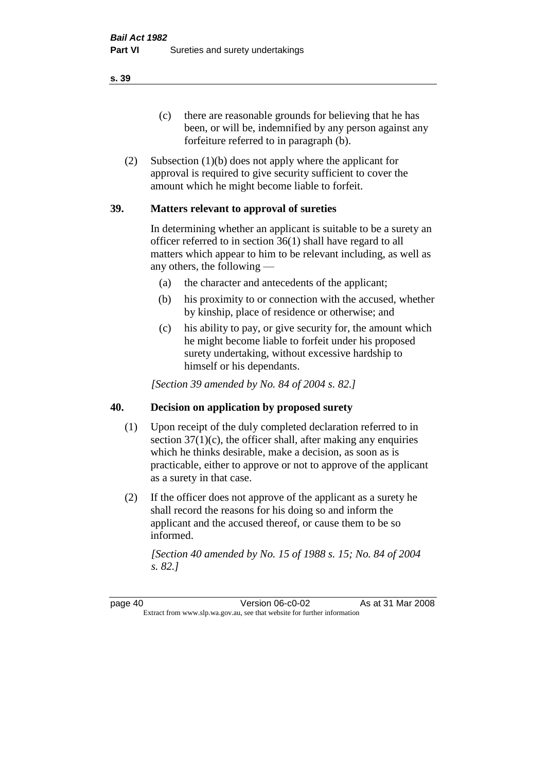(c) there are reasonable grounds for believing that he has been, or will be, indemnified by any person against any forfeiture referred to in paragraph (b).

(2) Subsection (1)(b) does not apply where the applicant for approval is required to give security sufficient to cover the amount which he might become liable to forfeit.

## **39. Matters relevant to approval of sureties**

In determining whether an applicant is suitable to be a surety an officer referred to in section 36(1) shall have regard to all matters which appear to him to be relevant including, as well as any others, the following —

- (a) the character and antecedents of the applicant;
- (b) his proximity to or connection with the accused, whether by kinship, place of residence or otherwise; and
- (c) his ability to pay, or give security for, the amount which he might become liable to forfeit under his proposed surety undertaking, without excessive hardship to himself or his dependants.

*[Section 39 amended by No. 84 of 2004 s. 82.]* 

## **40. Decision on application by proposed surety**

- (1) Upon receipt of the duly completed declaration referred to in section  $37(1)(c)$ , the officer shall, after making any enquiries which he thinks desirable, make a decision, as soon as is practicable, either to approve or not to approve of the applicant as a surety in that case.
- (2) If the officer does not approve of the applicant as a surety he shall record the reasons for his doing so and inform the applicant and the accused thereof, or cause them to be so informed.

*[Section 40 amended by No. 15 of 1988 s. 15; No. 84 of 2004 s. 82.]* 

page 40 Version 06-c0-02 As at 31 Mar 2008 Extract from www.slp.wa.gov.au, see that website for further information

**s. 39**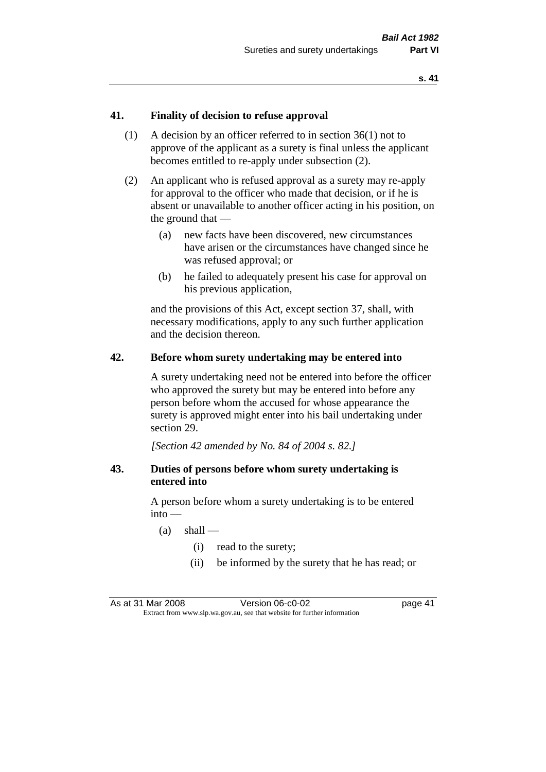## **41. Finality of decision to refuse approval**

- (1) A decision by an officer referred to in section 36(1) not to approve of the applicant as a surety is final unless the applicant becomes entitled to re-apply under subsection (2).
- (2) An applicant who is refused approval as a surety may re-apply for approval to the officer who made that decision, or if he is absent or unavailable to another officer acting in his position, on the ground that —
	- (a) new facts have been discovered, new circumstances have arisen or the circumstances have changed since he was refused approval; or
	- (b) he failed to adequately present his case for approval on his previous application,

and the provisions of this Act, except section 37, shall, with necessary modifications, apply to any such further application and the decision thereon.

#### **42. Before whom surety undertaking may be entered into**

A surety undertaking need not be entered into before the officer who approved the surety but may be entered into before any person before whom the accused for whose appearance the surety is approved might enter into his bail undertaking under section 29.

*[Section 42 amended by No. 84 of 2004 s. 82.]* 

## **43. Duties of persons before whom surety undertaking is entered into**

A person before whom a surety undertaking is to be entered into —

- $(a)$  shall
	- (i) read to the surety;
	- (ii) be informed by the surety that he has read; or

As at 31 Mar 2008 Version 06-c0-02 page 41 Extract from www.slp.wa.gov.au, see that website for further information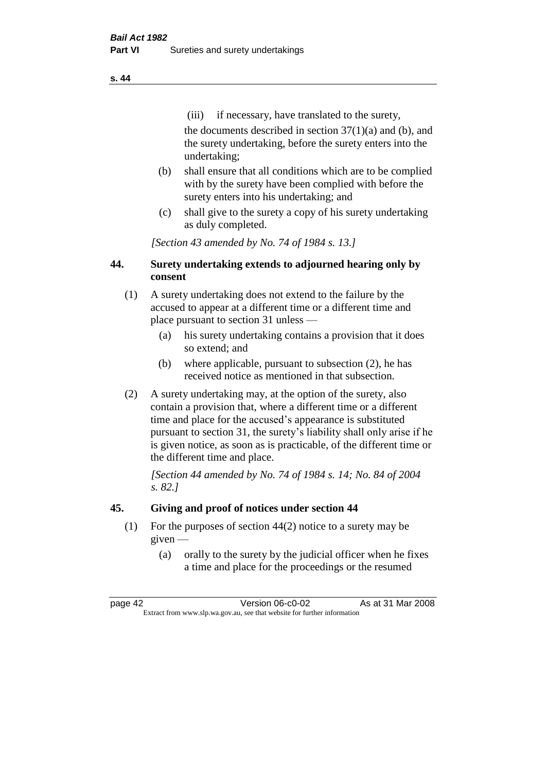(iii) if necessary, have translated to the surety, the documents described in section  $37(1)(a)$  and (b), and the surety undertaking, before the surety enters into the undertaking;

- (b) shall ensure that all conditions which are to be complied with by the surety have been complied with before the surety enters into his undertaking; and
- (c) shall give to the surety a copy of his surety undertaking as duly completed.

*[Section 43 amended by No. 74 of 1984 s. 13.]* 

## **44. Surety undertaking extends to adjourned hearing only by consent**

- (1) A surety undertaking does not extend to the failure by the accused to appear at a different time or a different time and place pursuant to section 31 unless —
	- (a) his surety undertaking contains a provision that it does so extend; and
	- (b) where applicable, pursuant to subsection (2), he has received notice as mentioned in that subsection.
- (2) A surety undertaking may, at the option of the surety, also contain a provision that, where a different time or a different time and place for the accused's appearance is substituted pursuant to section 31, the surety's liability shall only arise if he is given notice, as soon as is practicable, of the different time or the different time and place.

*[Section 44 amended by No. 74 of 1984 s. 14; No. 84 of 2004 s. 82.]* 

# **45. Giving and proof of notices under section 44**

- (1) For the purposes of section 44(2) notice to a surety may be given —
	- (a) orally to the surety by the judicial officer when he fixes a time and place for the proceedings or the resumed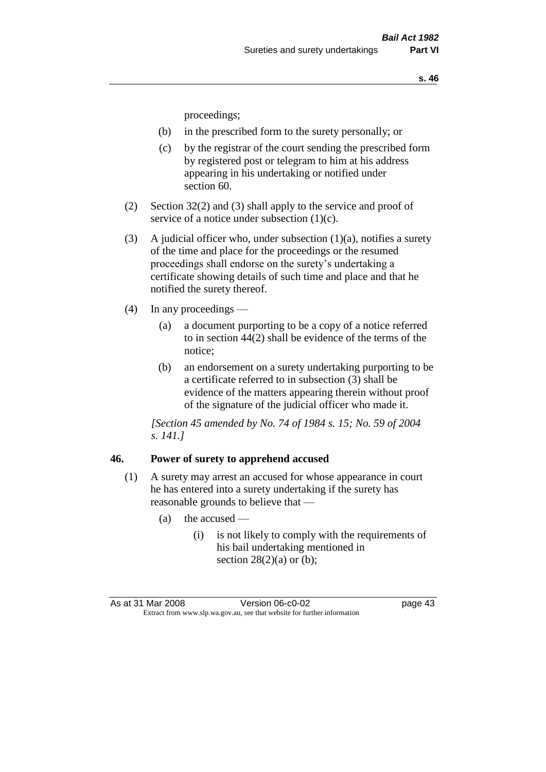proceedings;

- (b) in the prescribed form to the surety personally; or
- (c) by the registrar of the court sending the prescribed form by registered post or telegram to him at his address appearing in his undertaking or notified under section 60.
- (2) Section 32(2) and (3) shall apply to the service and proof of service of a notice under subsection (1)(c).
- (3) A judicial officer who, under subsection  $(1)(a)$ , notifies a surety of the time and place for the proceedings or the resumed proceedings shall endorse on the surety's undertaking a certificate showing details of such time and place and that he notified the surety thereof.
- (4) In any proceedings
	- (a) a document purporting to be a copy of a notice referred to in section 44(2) shall be evidence of the terms of the notice;
	- (b) an endorsement on a surety undertaking purporting to be a certificate referred to in subsection (3) shall be evidence of the matters appearing therein without proof of the signature of the judicial officer who made it.

*[Section 45 amended by No. 74 of 1984 s. 15; No. 59 of 2004 s. 141.]* 

#### **46. Power of surety to apprehend accused**

- (1) A surety may arrest an accused for whose appearance in court he has entered into a surety undertaking if the surety has reasonable grounds to believe that —
	- (a) the accused
		- (i) is not likely to comply with the requirements of his bail undertaking mentioned in section  $28(2)(a)$  or (b);

As at 31 Mar 2008 Version 06-c0-02 page 43 Extract from www.slp.wa.gov.au, see that website for further information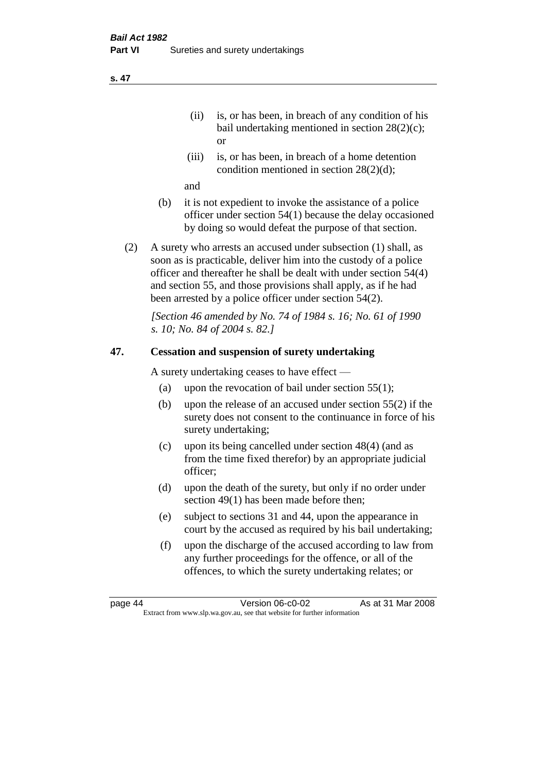- (ii) is, or has been, in breach of any condition of his bail undertaking mentioned in section 28(2)(c); or
- (iii) is, or has been, in breach of a home detention condition mentioned in section 28(2)(d);

and

- (b) it is not expedient to invoke the assistance of a police officer under section 54(1) because the delay occasioned by doing so would defeat the purpose of that section.
- (2) A surety who arrests an accused under subsection (1) shall, as soon as is practicable, deliver him into the custody of a police officer and thereafter he shall be dealt with under section 54(4) and section 55, and those provisions shall apply, as if he had been arrested by a police officer under section 54(2).

*[Section 46 amended by No. 74 of 1984 s. 16; No. 61 of 1990 s. 10; No. 84 of 2004 s. 82.]* 

## **47. Cessation and suspension of surety undertaking**

A surety undertaking ceases to have effect —

- (a) upon the revocation of bail under section  $55(1)$ ;
- (b) upon the release of an accused under section 55(2) if the surety does not consent to the continuance in force of his surety undertaking;
- (c) upon its being cancelled under section 48(4) (and as from the time fixed therefor) by an appropriate judicial officer;
- (d) upon the death of the surety, but only if no order under section 49(1) has been made before then;
- (e) subject to sections 31 and 44, upon the appearance in court by the accused as required by his bail undertaking;
- (f) upon the discharge of the accused according to law from any further proceedings for the offence, or all of the offences, to which the surety undertaking relates; or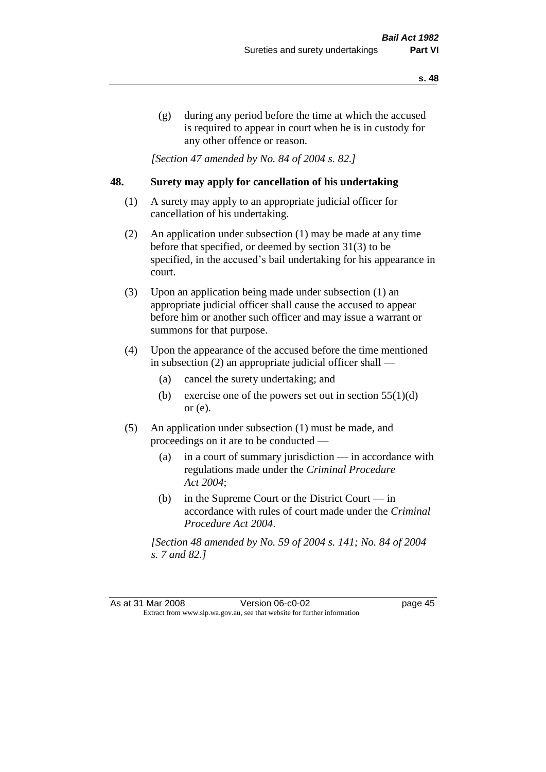(g) during any period before the time at which the accused is required to appear in court when he is in custody for any other offence or reason.

*[Section 47 amended by No. 84 of 2004 s. 82.]* 

## **48. Surety may apply for cancellation of his undertaking**

- (1) A surety may apply to an appropriate judicial officer for cancellation of his undertaking.
- (2) An application under subsection (1) may be made at any time before that specified, or deemed by section 31(3) to be specified, in the accused's bail undertaking for his appearance in court.
- (3) Upon an application being made under subsection (1) an appropriate judicial officer shall cause the accused to appear before him or another such officer and may issue a warrant or summons for that purpose.
- (4) Upon the appearance of the accused before the time mentioned in subsection (2) an appropriate judicial officer shall —
	- (a) cancel the surety undertaking; and
	- (b) exercise one of the powers set out in section  $55(1)(d)$ or (e).
- (5) An application under subsection (1) must be made, and proceedings on it are to be conducted —
	- (a) in a court of summary jurisdiction in accordance with regulations made under the *Criminal Procedure Act 2004*;
	- (b) in the Supreme Court or the District Court  $-\text{in}$ accordance with rules of court made under the *Criminal Procedure Act 2004*.

*[Section 48 amended by No. 59 of 2004 s. 141; No. 84 of 2004 s. 7 and 82.]*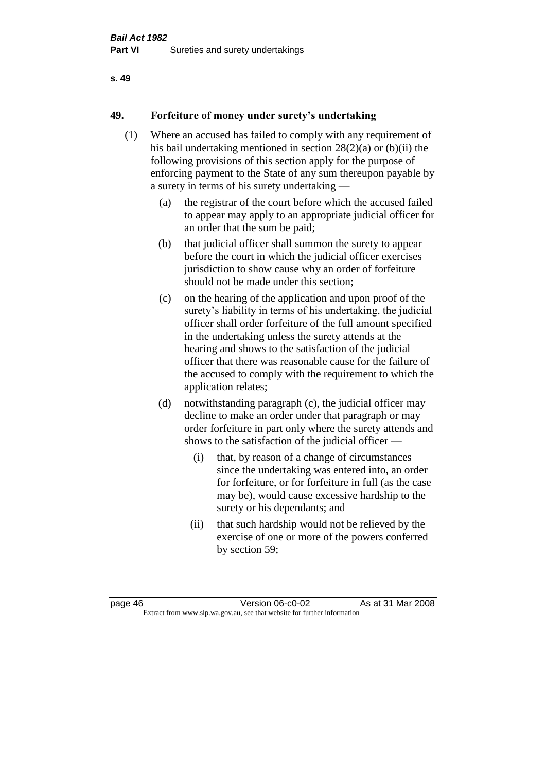## **49. Forfeiture of money under surety's undertaking**

- (1) Where an accused has failed to comply with any requirement of his bail undertaking mentioned in section 28(2)(a) or (b)(ii) the following provisions of this section apply for the purpose of enforcing payment to the State of any sum thereupon payable by a surety in terms of his surety undertaking —
	- (a) the registrar of the court before which the accused failed to appear may apply to an appropriate judicial officer for an order that the sum be paid;
	- (b) that judicial officer shall summon the surety to appear before the court in which the judicial officer exercises jurisdiction to show cause why an order of forfeiture should not be made under this section;
	- (c) on the hearing of the application and upon proof of the surety's liability in terms of his undertaking, the judicial officer shall order forfeiture of the full amount specified in the undertaking unless the surety attends at the hearing and shows to the satisfaction of the judicial officer that there was reasonable cause for the failure of the accused to comply with the requirement to which the application relates;
	- (d) notwithstanding paragraph (c), the judicial officer may decline to make an order under that paragraph or may order forfeiture in part only where the surety attends and shows to the satisfaction of the judicial officer —
		- (i) that, by reason of a change of circumstances since the undertaking was entered into, an order for forfeiture, or for forfeiture in full (as the case may be), would cause excessive hardship to the surety or his dependants; and
		- (ii) that such hardship would not be relieved by the exercise of one or more of the powers conferred by section 59;

page 46 Version 06-c0-02 As at 31 Mar 2008 Extract from www.slp.wa.gov.au, see that website for further information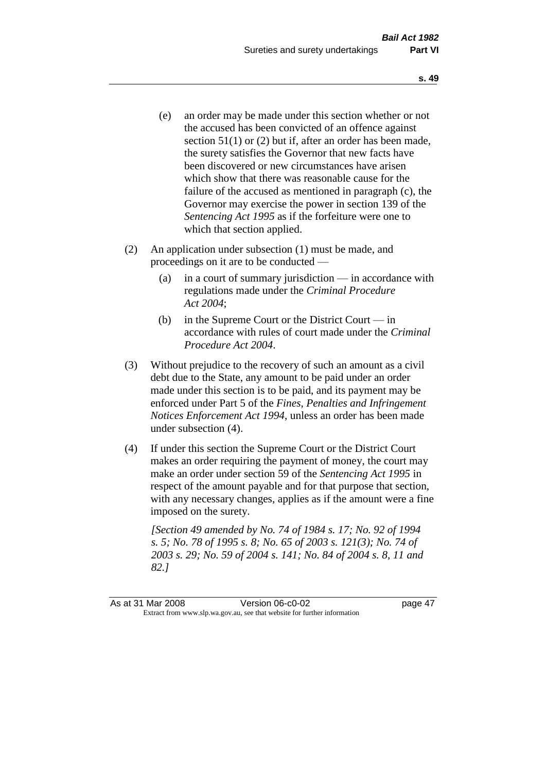- (e) an order may be made under this section whether or not the accused has been convicted of an offence against section 51(1) or (2) but if, after an order has been made, the surety satisfies the Governor that new facts have been discovered or new circumstances have arisen which show that there was reasonable cause for the failure of the accused as mentioned in paragraph (c), the Governor may exercise the power in section 139 of the *Sentencing Act 1995* as if the forfeiture were one to which that section applied.
- (2) An application under subsection (1) must be made, and proceedings on it are to be conducted —
	- (a) in a court of summary jurisdiction in accordance with regulations made under the *Criminal Procedure Act 2004*;
	- (b) in the Supreme Court or the District Court in accordance with rules of court made under the *Criminal Procedure Act 2004*.
- (3) Without prejudice to the recovery of such an amount as a civil debt due to the State, any amount to be paid under an order made under this section is to be paid, and its payment may be enforced under Part 5 of the *Fines, Penalties and Infringement Notices Enforcement Act 1994*, unless an order has been made under subsection (4).
- (4) If under this section the Supreme Court or the District Court makes an order requiring the payment of money, the court may make an order under section 59 of the *Sentencing Act 1995* in respect of the amount payable and for that purpose that section, with any necessary changes, applies as if the amount were a fine imposed on the surety.

*[Section 49 amended by No. 74 of 1984 s. 17; No. 92 of 1994 s. 5; No. 78 of 1995 s. 8; No. 65 of 2003 s. 121(3); No. 74 of 2003 s. 29; No. 59 of 2004 s. 141; No. 84 of 2004 s. 8, 11 and 82.]*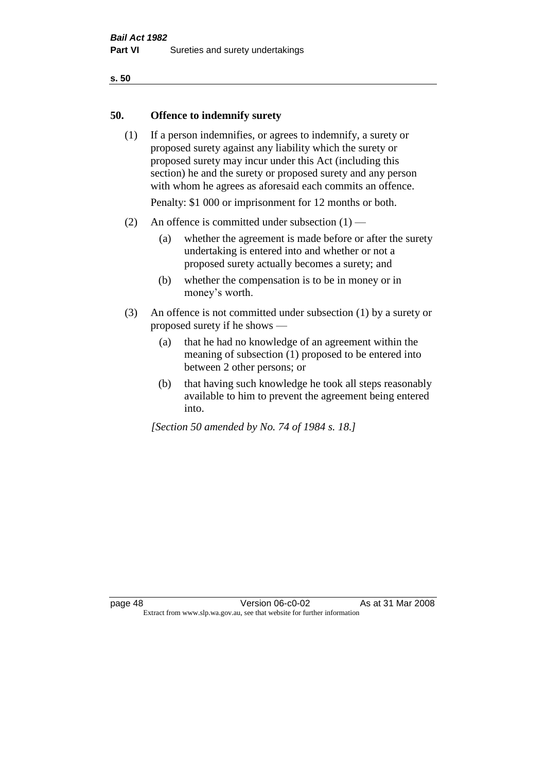#### **50. Offence to indemnify surety**

(1) If a person indemnifies, or agrees to indemnify, a surety or proposed surety against any liability which the surety or proposed surety may incur under this Act (including this section) he and the surety or proposed surety and any person with whom he agrees as aforesaid each commits an offence.

Penalty: \$1 000 or imprisonment for 12 months or both.

- (2) An offence is committed under subsection  $(1)$ 
	- (a) whether the agreement is made before or after the surety undertaking is entered into and whether or not a proposed surety actually becomes a surety; and
	- (b) whether the compensation is to be in money or in money's worth.
- (3) An offence is not committed under subsection (1) by a surety or proposed surety if he shows —
	- (a) that he had no knowledge of an agreement within the meaning of subsection (1) proposed to be entered into between 2 other persons; or
	- (b) that having such knowledge he took all steps reasonably available to him to prevent the agreement being entered into.

*[Section 50 amended by No. 74 of 1984 s. 18.]*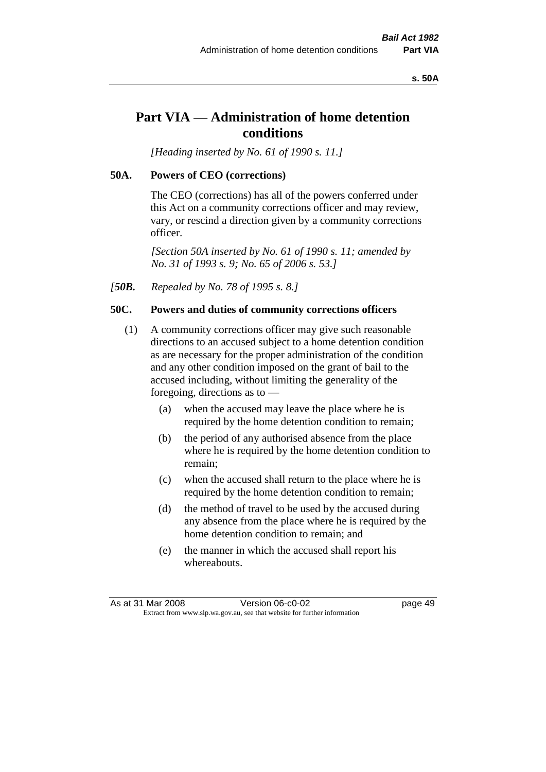#### **s. 50A**

# **Part VIA — Administration of home detention conditions**

*[Heading inserted by No. 61 of 1990 s. 11.]* 

#### **50A. Powers of CEO (corrections)**

The CEO (corrections) has all of the powers conferred under this Act on a community corrections officer and may review, vary, or rescind a direction given by a community corrections officer.

*[Section 50A inserted by No. 61 of 1990 s. 11; amended by No. 31 of 1993 s. 9; No. 65 of 2006 s. 53.]* 

*[50B. Repealed by No. 78 of 1995 s. 8.]* 

#### **50C. Powers and duties of community corrections officers**

- (1) A community corrections officer may give such reasonable directions to an accused subject to a home detention condition as are necessary for the proper administration of the condition and any other condition imposed on the grant of bail to the accused including, without limiting the generality of the foregoing, directions as to —
	- (a) when the accused may leave the place where he is required by the home detention condition to remain;
	- (b) the period of any authorised absence from the place where he is required by the home detention condition to remain;
	- (c) when the accused shall return to the place where he is required by the home detention condition to remain;
	- (d) the method of travel to be used by the accused during any absence from the place where he is required by the home detention condition to remain; and
	- (e) the manner in which the accused shall report his whereabouts.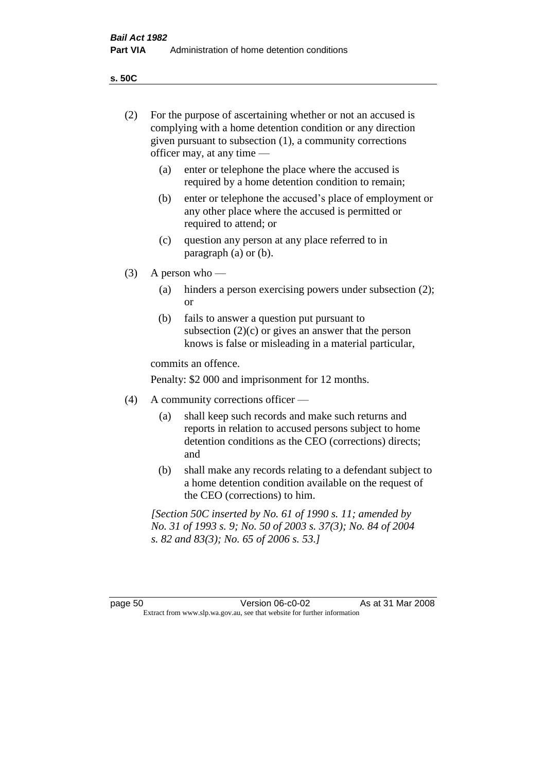**s. 50C**

| (2)     | For the purpose of ascertaining whether or not an accused is<br>complying with a home detention condition or any direction<br>given pursuant to subsection (1), a community corrections<br>officer may, at any time — |                                                                                                                                                                              |  |
|---------|-----------------------------------------------------------------------------------------------------------------------------------------------------------------------------------------------------------------------|------------------------------------------------------------------------------------------------------------------------------------------------------------------------------|--|
|         | (a)                                                                                                                                                                                                                   | enter or telephone the place where the accused is<br>required by a home detention condition to remain;                                                                       |  |
|         | (b)                                                                                                                                                                                                                   | enter or telephone the accused's place of employment or<br>any other place where the accused is permitted or<br>required to attend; or                                       |  |
|         | (c)                                                                                                                                                                                                                   | question any person at any place referred to in<br>paragraph $(a)$ or $(b)$ .                                                                                                |  |
| (3)     | A person who $-$                                                                                                                                                                                                      |                                                                                                                                                                              |  |
|         | (a)                                                                                                                                                                                                                   | hinders a person exercising powers under subsection (2);<br><sub>or</sub>                                                                                                    |  |
|         | (b)                                                                                                                                                                                                                   | fails to answer a question put pursuant to<br>subsection $(2)(c)$ or gives an answer that the person<br>knows is false or misleading in a material particular,               |  |
|         |                                                                                                                                                                                                                       | commits an offence.                                                                                                                                                          |  |
|         |                                                                                                                                                                                                                       | Penalty: \$2 000 and imprisonment for 12 months.                                                                                                                             |  |
| (4)     | A community corrections officer —                                                                                                                                                                                     |                                                                                                                                                                              |  |
|         | (a)                                                                                                                                                                                                                   | shall keep such records and make such returns and<br>reports in relation to accused persons subject to home<br>detention conditions as the CEO (corrections) directs;<br>and |  |
|         | (b)                                                                                                                                                                                                                   | shall make any records relating to a defendant subject to<br>a home detention condition available on the request of<br>the CEO (corrections) to him.                         |  |
|         |                                                                                                                                                                                                                       | [Section 50C inserted by No. 61 of 1990 s. 11; amended by<br>No. 31 of 1993 s. 9; No. 50 of 2003 s. 37(3); No. 84 of 2004<br>s. 82 and 83(3); No. 65 of 2006 s. 53.]         |  |
|         |                                                                                                                                                                                                                       |                                                                                                                                                                              |  |
| page 50 |                                                                                                                                                                                                                       | As at 31 Mar 2008<br>Version 06-c0-02<br>Extract from www.slp.wa.gov.au, see that website for further information                                                            |  |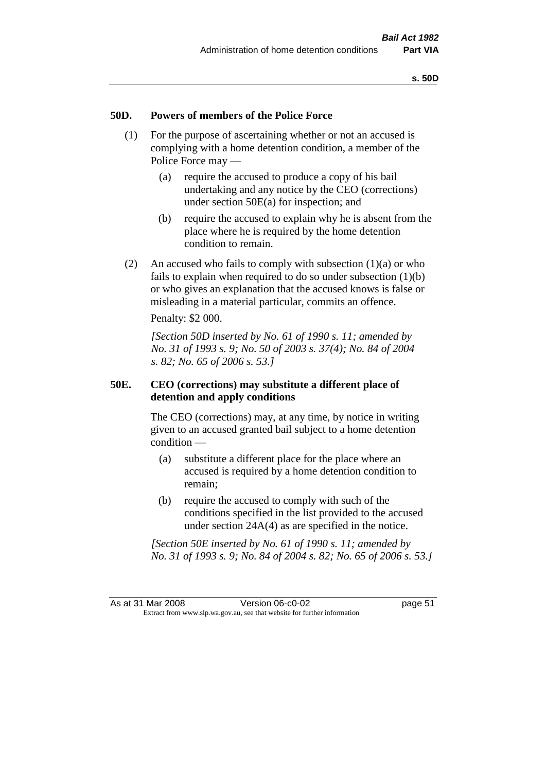#### **50D. Powers of members of the Police Force**

- (1) For the purpose of ascertaining whether or not an accused is complying with a home detention condition, a member of the Police Force may —
	- (a) require the accused to produce a copy of his bail undertaking and any notice by the CEO (corrections) under section 50E(a) for inspection; and
	- (b) require the accused to explain why he is absent from the place where he is required by the home detention condition to remain.
- (2) An accused who fails to comply with subsection  $(1)(a)$  or who fails to explain when required to do so under subsection  $(1)(b)$ or who gives an explanation that the accused knows is false or misleading in a material particular, commits an offence.

Penalty: \$2 000.

*[Section 50D inserted by No. 61 of 1990 s. 11; amended by No. 31 of 1993 s. 9; No. 50 of 2003 s. 37(4); No. 84 of 2004 s. 82; No. 65 of 2006 s. 53.]* 

## **50E. CEO (corrections) may substitute a different place of detention and apply conditions**

The CEO (corrections) may, at any time, by notice in writing given to an accused granted bail subject to a home detention condition —

- (a) substitute a different place for the place where an accused is required by a home detention condition to remain;
- (b) require the accused to comply with such of the conditions specified in the list provided to the accused under section 24A(4) as are specified in the notice.

*[Section 50E inserted by No. 61 of 1990 s. 11; amended by No. 31 of 1993 s. 9; No. 84 of 2004 s. 82; No. 65 of 2006 s. 53.]*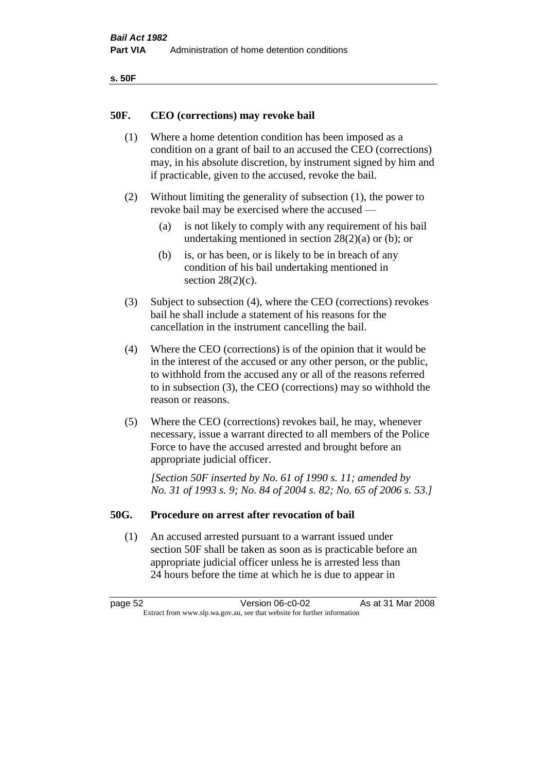| ۰.<br>۰,<br>۰.<br>×<br>× |
|--------------------------|
|--------------------------|

#### **50F. CEO (corrections) may revoke bail**

- (1) Where a home detention condition has been imposed as a condition on a grant of bail to an accused the CEO (corrections) may, in his absolute discretion, by instrument signed by him and if practicable, given to the accused, revoke the bail.
- (2) Without limiting the generality of subsection (1), the power to revoke bail may be exercised where the accused —
	- (a) is not likely to comply with any requirement of his bail undertaking mentioned in section  $28(2)(a)$  or (b); or
	- (b) is, or has been, or is likely to be in breach of any condition of his bail undertaking mentioned in section  $28(2)(c)$ .
- (3) Subject to subsection (4), where the CEO (corrections) revokes bail he shall include a statement of his reasons for the cancellation in the instrument cancelling the bail.
- (4) Where the CEO (corrections) is of the opinion that it would be in the interest of the accused or any other person, or the public, to withhold from the accused any or all of the reasons referred to in subsection (3), the CEO (corrections) may so withhold the reason or reasons.
- (5) Where the CEO (corrections) revokes bail, he may, whenever necessary, issue a warrant directed to all members of the Police Force to have the accused arrested and brought before an appropriate judicial officer.

*[Section 50F inserted by No. 61 of 1990 s. 11; amended by No. 31 of 1993 s. 9; No. 84 of 2004 s. 82; No. 65 of 2006 s. 53.]* 

#### **50G. Procedure on arrest after revocation of bail**

(1) An accused arrested pursuant to a warrant issued under section 50F shall be taken as soon as is practicable before an appropriate judicial officer unless he is arrested less than 24 hours before the time at which he is due to appear in

page 52 Version 06-c0-02 As at 31 Mar 2008 Extract from www.slp.wa.gov.au, see that website for further information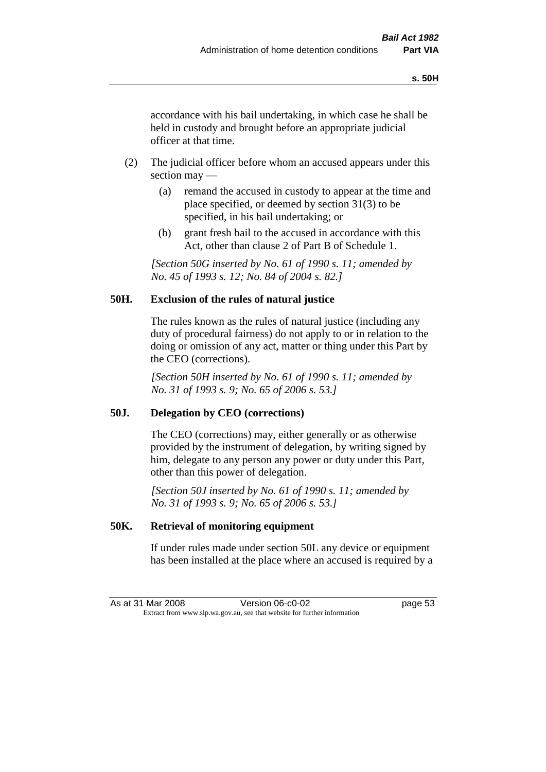accordance with his bail undertaking, in which case he shall be held in custody and brought before an appropriate judicial officer at that time.

- (2) The judicial officer before whom an accused appears under this section may —
	- (a) remand the accused in custody to appear at the time and place specified, or deemed by section 31(3) to be specified, in his bail undertaking; or
	- (b) grant fresh bail to the accused in accordance with this Act, other than clause 2 of Part B of Schedule 1.

*[Section 50G inserted by No. 61 of 1990 s. 11; amended by No. 45 of 1993 s. 12; No. 84 of 2004 s. 82.]* 

## **50H. Exclusion of the rules of natural justice**

The rules known as the rules of natural justice (including any duty of procedural fairness) do not apply to or in relation to the doing or omission of any act, matter or thing under this Part by the CEO (corrections).

*[Section 50H inserted by No. 61 of 1990 s. 11; amended by No. 31 of 1993 s. 9; No. 65 of 2006 s. 53.]* 

## **50J. Delegation by CEO (corrections)**

The CEO (corrections) may, either generally or as otherwise provided by the instrument of delegation, by writing signed by him, delegate to any person any power or duty under this Part, other than this power of delegation.

*[Section 50J inserted by No. 61 of 1990 s. 11; amended by No. 31 of 1993 s. 9; No. 65 of 2006 s. 53.]* 

## **50K. Retrieval of monitoring equipment**

If under rules made under section 50L any device or equipment has been installed at the place where an accused is required by a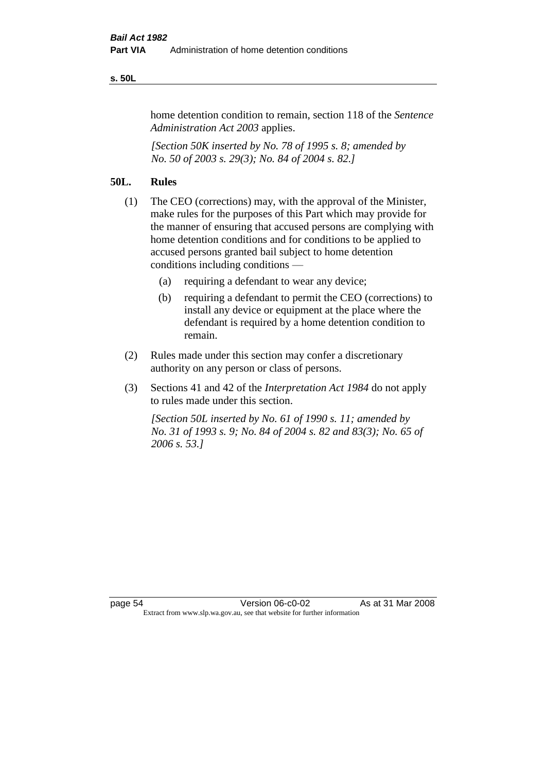#### **s. 50L**

home detention condition to remain, section 118 of the *Sentence Administration Act 2003* applies.

*[Section 50K inserted by No. 78 of 1995 s. 8; amended by No. 50 of 2003 s. 29(3); No. 84 of 2004 s. 82.]* 

## **50L. Rules**

- (1) The CEO (corrections) may, with the approval of the Minister, make rules for the purposes of this Part which may provide for the manner of ensuring that accused persons are complying with home detention conditions and for conditions to be applied to accused persons granted bail subject to home detention conditions including conditions —
	- (a) requiring a defendant to wear any device;
	- (b) requiring a defendant to permit the CEO (corrections) to install any device or equipment at the place where the defendant is required by a home detention condition to remain.
- (2) Rules made under this section may confer a discretionary authority on any person or class of persons.
- (3) Sections 41 and 42 of the *Interpretation Act 1984* do not apply to rules made under this section.

*[Section 50L inserted by No. 61 of 1990 s. 11; amended by No. 31 of 1993 s. 9; No. 84 of 2004 s. 82 and 83(3); No. 65 of 2006 s. 53.]*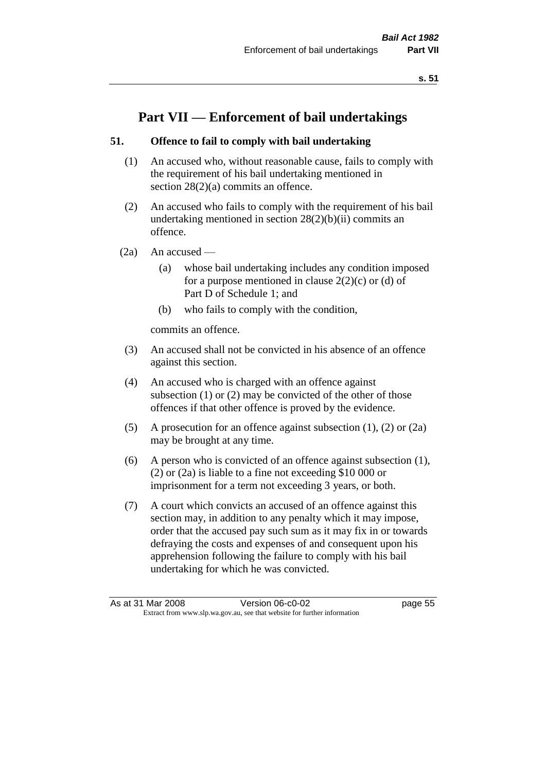# **Part VII — Enforcement of bail undertakings**

## **51. Offence to fail to comply with bail undertaking**

- (1) An accused who, without reasonable cause, fails to comply with the requirement of his bail undertaking mentioned in section 28(2)(a) commits an offence.
- (2) An accused who fails to comply with the requirement of his bail undertaking mentioned in section  $28(2)(b)(ii)$  commits an offence.
- $(2a)$  An accused
	- (a) whose bail undertaking includes any condition imposed for a purpose mentioned in clause  $2(2)(c)$  or (d) of Part D of Schedule 1; and
	- (b) who fails to comply with the condition,

commits an offence.

- (3) An accused shall not be convicted in his absence of an offence against this section.
- (4) An accused who is charged with an offence against subsection (1) or (2) may be convicted of the other of those offences if that other offence is proved by the evidence.
- (5) A prosecution for an offence against subsection (1), (2) or (2a) may be brought at any time.
- (6) A person who is convicted of an offence against subsection (1), (2) or (2a) is liable to a fine not exceeding \$10 000 or imprisonment for a term not exceeding 3 years, or both.
- (7) A court which convicts an accused of an offence against this section may, in addition to any penalty which it may impose, order that the accused pay such sum as it may fix in or towards defraying the costs and expenses of and consequent upon his apprehension following the failure to comply with his bail undertaking for which he was convicted.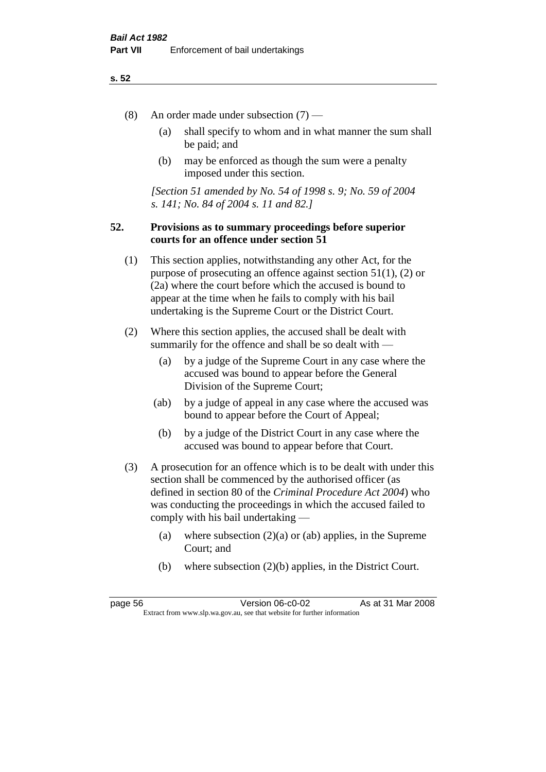- (8) An order made under subsection (7)
	- (a) shall specify to whom and in what manner the sum shall be paid; and
	- (b) may be enforced as though the sum were a penalty imposed under this section.

*[Section 51 amended by No. 54 of 1998 s. 9; No. 59 of 2004 s. 141; No. 84 of 2004 s. 11 and 82.]*

## **52. Provisions as to summary proceedings before superior courts for an offence under section 51**

- (1) This section applies, notwithstanding any other Act, for the purpose of prosecuting an offence against section 51(1), (2) or (2a) where the court before which the accused is bound to appear at the time when he fails to comply with his bail undertaking is the Supreme Court or the District Court.
- (2) Where this section applies, the accused shall be dealt with summarily for the offence and shall be so dealt with —
	- (a) by a judge of the Supreme Court in any case where the accused was bound to appear before the General Division of the Supreme Court;
	- (ab) by a judge of appeal in any case where the accused was bound to appear before the Court of Appeal;
	- (b) by a judge of the District Court in any case where the accused was bound to appear before that Court.
- (3) A prosecution for an offence which is to be dealt with under this section shall be commenced by the authorised officer (as defined in section 80 of the *Criminal Procedure Act 2004*) who was conducting the proceedings in which the accused failed to comply with his bail undertaking —
	- (a) where subsection  $(2)(a)$  or (ab) applies, in the Supreme Court; and
	- (b) where subsection (2)(b) applies, in the District Court.

page 56 Version 06-c0-02 As at 31 Mar 2008 Extract from www.slp.wa.gov.au, see that website for further information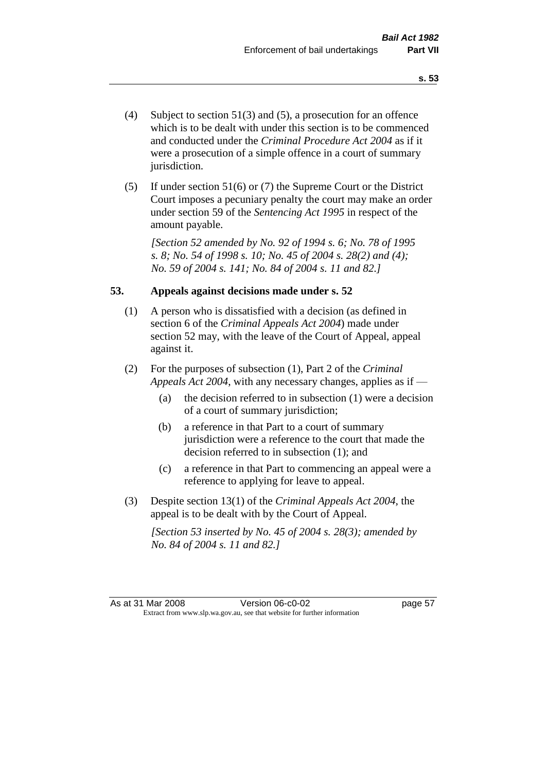- (4) Subject to section 51(3) and (5), a prosecution for an offence which is to be dealt with under this section is to be commenced and conducted under the *Criminal Procedure Act 2004* as if it were a prosecution of a simple offence in a court of summary jurisdiction.
- (5) If under section 51(6) or (7) the Supreme Court or the District Court imposes a pecuniary penalty the court may make an order under section 59 of the *Sentencing Act 1995* in respect of the amount payable.

*[Section 52 amended by No. 92 of 1994 s. 6; No. 78 of 1995 s. 8; No. 54 of 1998 s. 10; No. 45 of 2004 s. 28(2) and (4); No. 59 of 2004 s. 141; No. 84 of 2004 s. 11 and 82.]* 

## **53. Appeals against decisions made under s. 52**

- (1) A person who is dissatisfied with a decision (as defined in section 6 of the *Criminal Appeals Act 2004*) made under section 52 may, with the leave of the Court of Appeal, appeal against it.
- (2) For the purposes of subsection (1), Part 2 of the *Criminal Appeals Act 2004*, with any necessary changes, applies as if —
	- (a) the decision referred to in subsection (1) were a decision of a court of summary jurisdiction;
	- (b) a reference in that Part to a court of summary jurisdiction were a reference to the court that made the decision referred to in subsection (1); and
	- (c) a reference in that Part to commencing an appeal were a reference to applying for leave to appeal.
- (3) Despite section 13(1) of the *Criminal Appeals Act 2004*, the appeal is to be dealt with by the Court of Appeal.

*[Section 53 inserted by No. 45 of 2004 s. 28(3); amended by No. 84 of 2004 s. 11 and 82.]*

As at 31 Mar 2008 Version 06-c0-02 page 57 Extract from www.slp.wa.gov.au, see that website for further information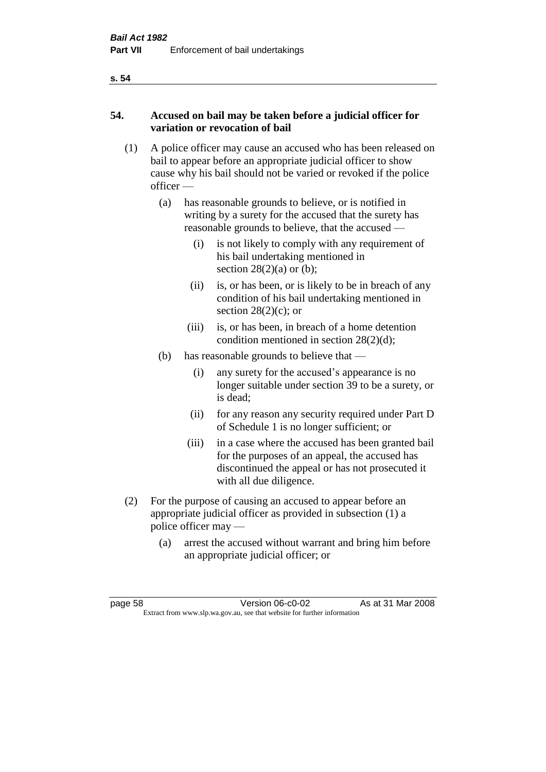## **54. Accused on bail may be taken before a judicial officer for variation or revocation of bail**

- (1) A police officer may cause an accused who has been released on bail to appear before an appropriate judicial officer to show cause why his bail should not be varied or revoked if the police officer —
	- (a) has reasonable grounds to believe, or is notified in writing by a surety for the accused that the surety has reasonable grounds to believe, that the accused —
		- (i) is not likely to comply with any requirement of his bail undertaking mentioned in section  $28(2)(a)$  or (b);
		- (ii) is, or has been, or is likely to be in breach of any condition of his bail undertaking mentioned in section  $28(2)(c)$ ; or
		- (iii) is, or has been, in breach of a home detention condition mentioned in section 28(2)(d);
	- (b) has reasonable grounds to believe that
		- (i) any surety for the accused's appearance is no longer suitable under section 39 to be a surety, or is dead;
		- (ii) for any reason any security required under Part D of Schedule 1 is no longer sufficient; or
		- (iii) in a case where the accused has been granted bail for the purposes of an appeal, the accused has discontinued the appeal or has not prosecuted it with all due diligence.
- (2) For the purpose of causing an accused to appear before an appropriate judicial officer as provided in subsection (1) a police officer may —
	- (a) arrest the accused without warrant and bring him before an appropriate judicial officer; or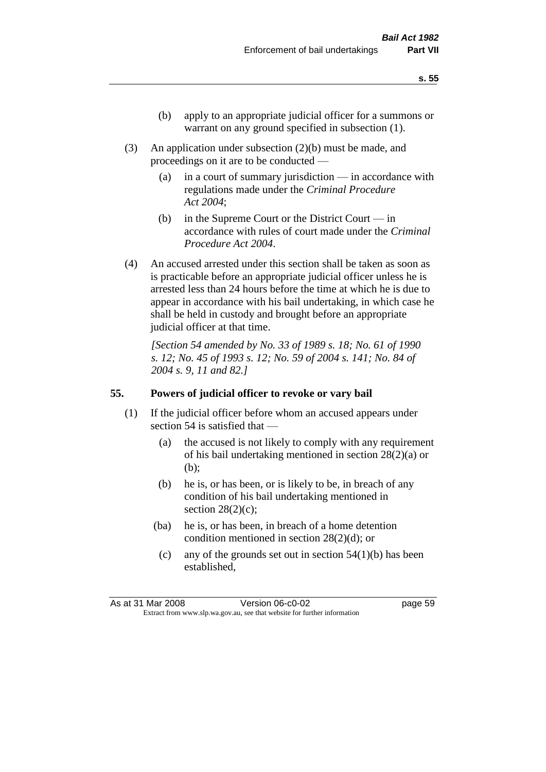- (b) apply to an appropriate judicial officer for a summons or warrant on any ground specified in subsection  $(1)$ .
- (3) An application under subsection (2)(b) must be made, and proceedings on it are to be conducted —
	- (a) in a court of summary jurisdiction in accordance with regulations made under the *Criminal Procedure Act 2004*;
	- (b) in the Supreme Court or the District Court in accordance with rules of court made under the *Criminal Procedure Act 2004*.
- (4) An accused arrested under this section shall be taken as soon as is practicable before an appropriate judicial officer unless he is arrested less than 24 hours before the time at which he is due to appear in accordance with his bail undertaking, in which case he shall be held in custody and brought before an appropriate judicial officer at that time.

*[Section 54 amended by No. 33 of 1989 s. 18; No. 61 of 1990 s. 12; No. 45 of 1993 s. 12; No. 59 of 2004 s. 141; No. 84 of 2004 s. 9, 11 and 82.]* 

## **55. Powers of judicial officer to revoke or vary bail**

- (1) If the judicial officer before whom an accused appears under section 54 is satisfied that —
	- (a) the accused is not likely to comply with any requirement of his bail undertaking mentioned in section 28(2)(a) or (b);
	- (b) he is, or has been, or is likely to be, in breach of any condition of his bail undertaking mentioned in section  $28(2)(c)$ ;
	- (ba) he is, or has been, in breach of a home detention condition mentioned in section 28(2)(d); or
		- (c) any of the grounds set out in section  $54(1)(b)$  has been established,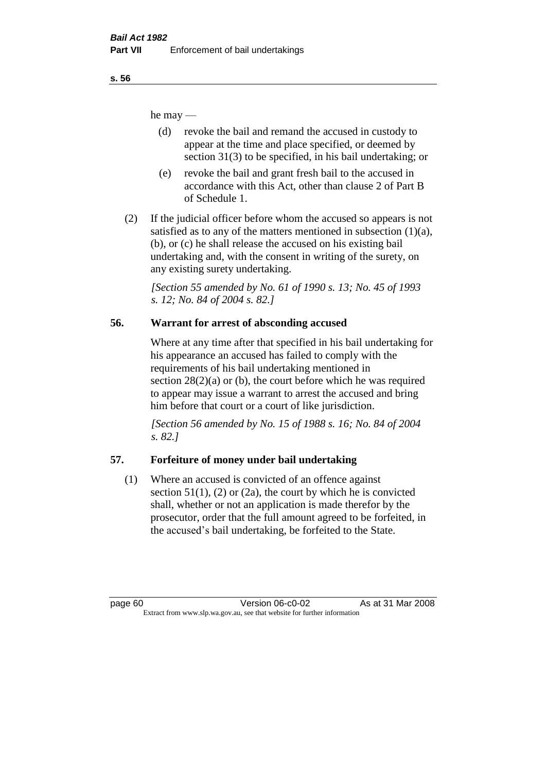he may —

- (d) revoke the bail and remand the accused in custody to appear at the time and place specified, or deemed by section 31(3) to be specified, in his bail undertaking; or
- (e) revoke the bail and grant fresh bail to the accused in accordance with this Act, other than clause 2 of Part B of Schedule 1.
- (2) If the judicial officer before whom the accused so appears is not satisfied as to any of the matters mentioned in subsection  $(1)(a)$ , (b), or (c) he shall release the accused on his existing bail undertaking and, with the consent in writing of the surety, on any existing surety undertaking.

*[Section 55 amended by No. 61 of 1990 s. 13; No. 45 of 1993 s. 12; No. 84 of 2004 s. 82.]* 

# **56. Warrant for arrest of absconding accused**

Where at any time after that specified in his bail undertaking for his appearance an accused has failed to comply with the requirements of his bail undertaking mentioned in section  $28(2)(a)$  or (b), the court before which he was required to appear may issue a warrant to arrest the accused and bring him before that court or a court of like jurisdiction.

*[Section 56 amended by No. 15 of 1988 s. 16; No. 84 of 2004 s. 82.]* 

# **57. Forfeiture of money under bail undertaking**

(1) Where an accused is convicted of an offence against section  $51(1)$ ,  $(2)$  or  $(2a)$ , the court by which he is convicted shall, whether or not an application is made therefor by the prosecutor, order that the full amount agreed to be forfeited, in the accused's bail undertaking, be forfeited to the State.

page 60 Version 06-c0-02 As at 31 Mar 2008 Extract from www.slp.wa.gov.au, see that website for further information

**s. 56**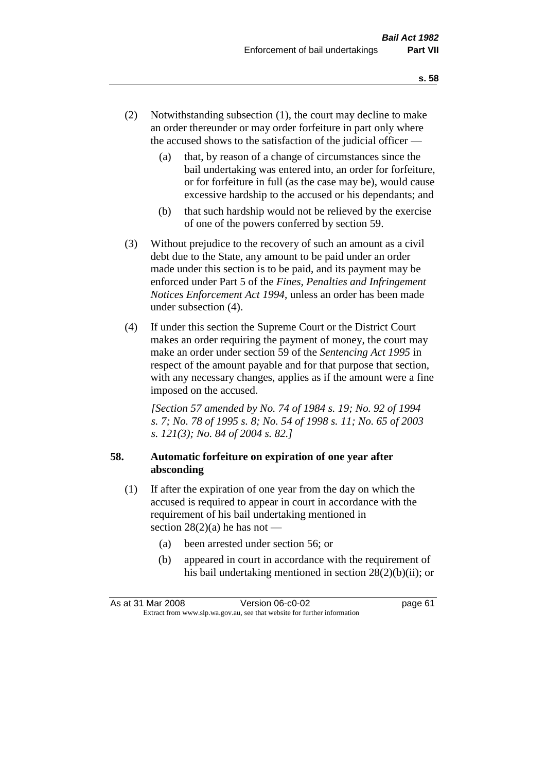- (2) Notwithstanding subsection (1), the court may decline to make an order thereunder or may order forfeiture in part only where the accused shows to the satisfaction of the judicial officer —
	- (a) that, by reason of a change of circumstances since the bail undertaking was entered into, an order for forfeiture, or for forfeiture in full (as the case may be), would cause excessive hardship to the accused or his dependants; and
	- (b) that such hardship would not be relieved by the exercise of one of the powers conferred by section 59.
- (3) Without prejudice to the recovery of such an amount as a civil debt due to the State, any amount to be paid under an order made under this section is to be paid, and its payment may be enforced under Part 5 of the *Fines, Penalties and Infringement Notices Enforcement Act 1994*, unless an order has been made under subsection (4).
- (4) If under this section the Supreme Court or the District Court makes an order requiring the payment of money, the court may make an order under section 59 of the *Sentencing Act 1995* in respect of the amount payable and for that purpose that section, with any necessary changes, applies as if the amount were a fine imposed on the accused.

*[Section 57 amended by No. 74 of 1984 s. 19; No. 92 of 1994 s. 7; No. 78 of 1995 s. 8; No. 54 of 1998 s. 11; No. 65 of 2003 s. 121(3); No. 84 of 2004 s. 82.]* 

## **58. Automatic forfeiture on expiration of one year after absconding**

- (1) If after the expiration of one year from the day on which the accused is required to appear in court in accordance with the requirement of his bail undertaking mentioned in section  $28(2)(a)$  he has not —
	- (a) been arrested under section 56; or
	- (b) appeared in court in accordance with the requirement of his bail undertaking mentioned in section 28(2)(b)(ii); or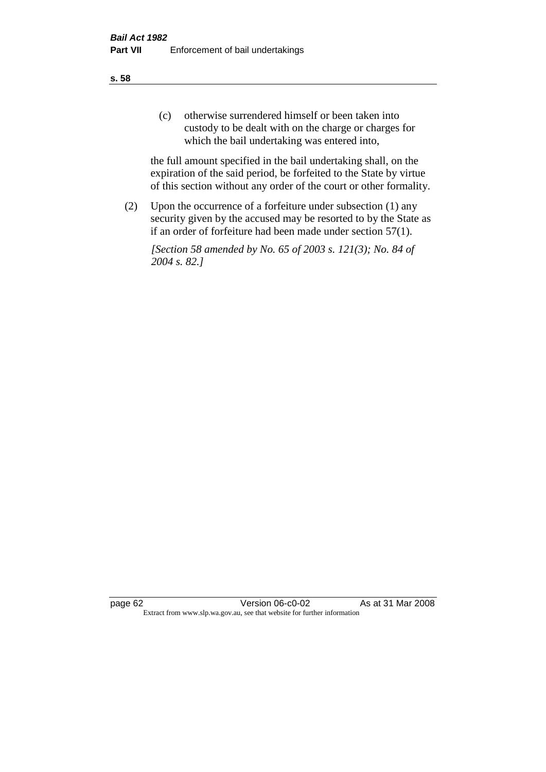(c) otherwise surrendered himself or been taken into custody to be dealt with on the charge or charges for which the bail undertaking was entered into,

the full amount specified in the bail undertaking shall, on the expiration of the said period, be forfeited to the State by virtue of this section without any order of the court or other formality.

(2) Upon the occurrence of a forfeiture under subsection (1) any security given by the accused may be resorted to by the State as if an order of forfeiture had been made under section 57(1).

*[Section 58 amended by No. 65 of 2003 s. 121(3); No. 84 of 2004 s. 82.]*

page 62 Version 06-c0-02 As at 31 Mar 2008 Extract from www.slp.wa.gov.au, see that website for further information

#### **s. 58**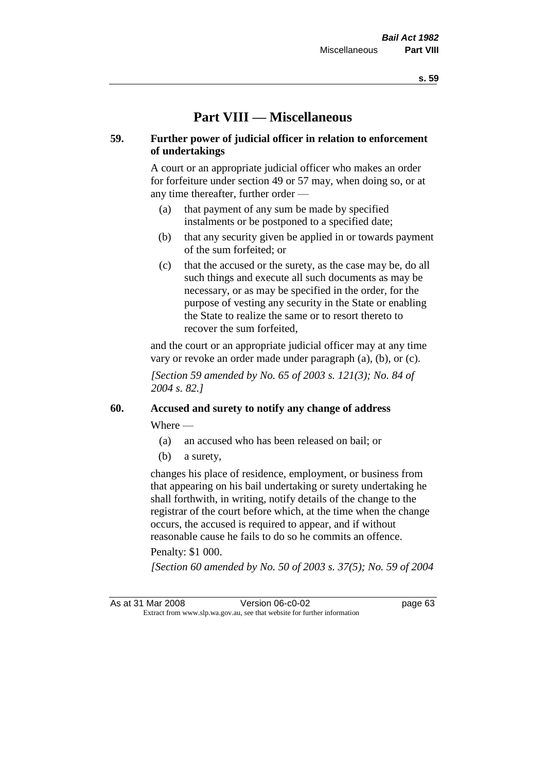# **Part VIII — Miscellaneous**

## **59. Further power of judicial officer in relation to enforcement of undertakings**

A court or an appropriate judicial officer who makes an order for forfeiture under section 49 or 57 may, when doing so, or at any time thereafter, further order —

- (a) that payment of any sum be made by specified instalments or be postponed to a specified date;
- (b) that any security given be applied in or towards payment of the sum forfeited; or
- (c) that the accused or the surety, as the case may be, do all such things and execute all such documents as may be necessary, or as may be specified in the order, for the purpose of vesting any security in the State or enabling the State to realize the same or to resort thereto to recover the sum forfeited,

and the court or an appropriate judicial officer may at any time vary or revoke an order made under paragraph (a), (b), or (c).

*[Section 59 amended by No. 65 of 2003 s. 121(3); No. 84 of 2004 s. 82.]*

## **60. Accused and surety to notify any change of address**

Where —

- (a) an accused who has been released on bail; or
- (b) a surety,

changes his place of residence, employment, or business from that appearing on his bail undertaking or surety undertaking he shall forthwith, in writing, notify details of the change to the registrar of the court before which, at the time when the change occurs, the accused is required to appear, and if without reasonable cause he fails to do so he commits an offence.

#### Penalty: \$1 000.

*[Section 60 amended by No. 50 of 2003 s. 37(5); No. 59 of 2004* 

As at 31 Mar 2008 Version 06-c0-02 page 63 Extract from www.slp.wa.gov.au, see that website for further information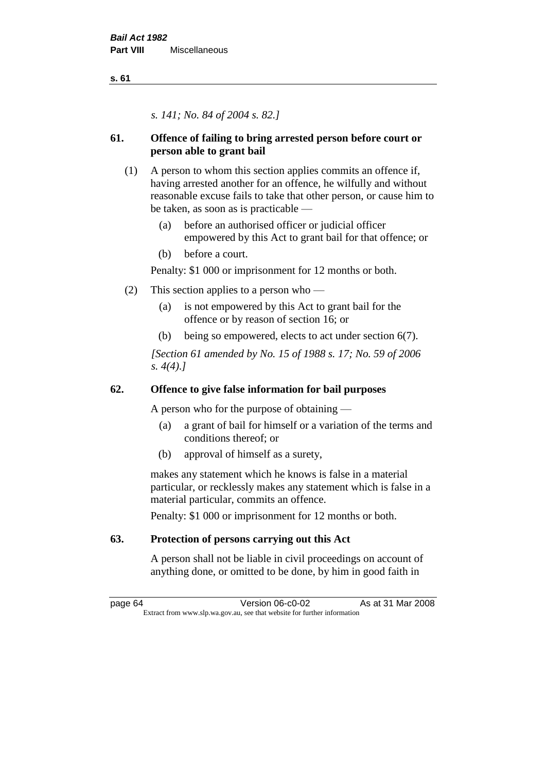*s. 141; No. 84 of 2004 s. 82.]*

# **61. Offence of failing to bring arrested person before court or person able to grant bail**

- (1) A person to whom this section applies commits an offence if, having arrested another for an offence, he wilfully and without reasonable excuse fails to take that other person, or cause him to be taken, as soon as is practicable —
	- (a) before an authorised officer or judicial officer empowered by this Act to grant bail for that offence; or
	- (b) before a court.

Penalty: \$1 000 or imprisonment for 12 months or both.

- (2) This section applies to a person who
	- (a) is not empowered by this Act to grant bail for the offence or by reason of section 16; or
	- (b) being so empowered, elects to act under section 6(7).

*[Section 61 amended by No. 15 of 1988 s. 17; No. 59 of 2006 s. 4(4).]* 

## **62. Offence to give false information for bail purposes**

A person who for the purpose of obtaining —

- (a) a grant of bail for himself or a variation of the terms and conditions thereof; or
- (b) approval of himself as a surety,

makes any statement which he knows is false in a material particular, or recklessly makes any statement which is false in a material particular, commits an offence.

Penalty: \$1 000 or imprisonment for 12 months or both.

# **63. Protection of persons carrying out this Act**

A person shall not be liable in civil proceedings on account of anything done, or omitted to be done, by him in good faith in

page 64 Version 06-c0-02 As at 31 Mar 2008 Extract from www.slp.wa.gov.au, see that website for further information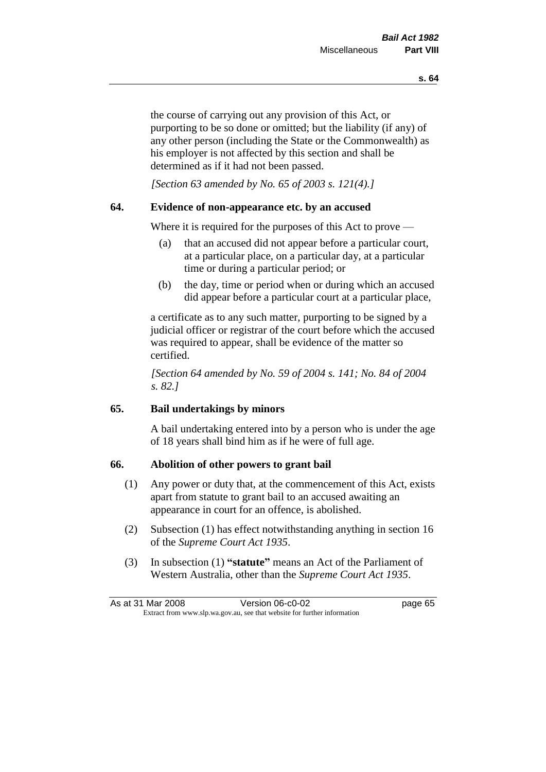the course of carrying out any provision of this Act, or purporting to be so done or omitted; but the liability (if any) of any other person (including the State or the Commonwealth) as his employer is not affected by this section and shall be determined as if it had not been passed.

*[Section 63 amended by No. 65 of 2003 s. 121(4).]*

## **64. Evidence of non-appearance etc. by an accused**

Where it is required for the purposes of this Act to prove —

- (a) that an accused did not appear before a particular court, at a particular place, on a particular day, at a particular time or during a particular period; or
- (b) the day, time or period when or during which an accused did appear before a particular court at a particular place,

a certificate as to any such matter, purporting to be signed by a judicial officer or registrar of the court before which the accused was required to appear, shall be evidence of the matter so certified.

*[Section 64 amended by No. 59 of 2004 s. 141; No. 84 of 2004 s. 82.]* 

# **65. Bail undertakings by minors**

A bail undertaking entered into by a person who is under the age of 18 years shall bind him as if he were of full age.

## **66. Abolition of other powers to grant bail**

- (1) Any power or duty that, at the commencement of this Act, exists apart from statute to grant bail to an accused awaiting an appearance in court for an offence, is abolished.
- (2) Subsection (1) has effect notwithstanding anything in section 16 of the *Supreme Court Act 1935*.
- (3) In subsection (1) **"statute"** means an Act of the Parliament of Western Australia, other than the *Supreme Court Act 1935*.

|                                                                          | As at 31 Mar 2008 | Version 06-c0-02 | page 65 |
|--------------------------------------------------------------------------|-------------------|------------------|---------|
| Extract from www.slp.wa.gov.au, see that website for further information |                   |                  |         |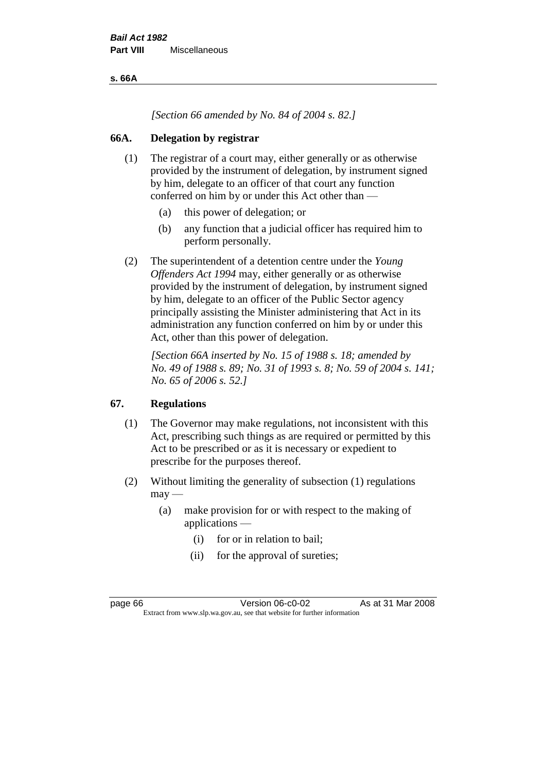**s. 66A**

*[Section 66 amended by No. 84 of 2004 s. 82.]*

# **66A. Delegation by registrar**

- (1) The registrar of a court may, either generally or as otherwise provided by the instrument of delegation, by instrument signed by him, delegate to an officer of that court any function conferred on him by or under this Act other than —
	- (a) this power of delegation; or
	- (b) any function that a judicial officer has required him to perform personally.
- (2) The superintendent of a detention centre under the *Young Offenders Act 1994* may, either generally or as otherwise provided by the instrument of delegation, by instrument signed by him, delegate to an officer of the Public Sector agency principally assisting the Minister administering that Act in its administration any function conferred on him by or under this Act, other than this power of delegation.

*[Section 66A inserted by No. 15 of 1988 s. 18; amended by No. 49 of 1988 s. 89; No. 31 of 1993 s. 8; No. 59 of 2004 s. 141; No. 65 of 2006 s. 52.]* 

# **67. Regulations**

- (1) The Governor may make regulations, not inconsistent with this Act, prescribing such things as are required or permitted by this Act to be prescribed or as it is necessary or expedient to prescribe for the purposes thereof.
- (2) Without limiting the generality of subsection (1) regulations  $may -$ 
	- (a) make provision for or with respect to the making of applications —
		- (i) for or in relation to bail;
		- (ii) for the approval of sureties;

page 66 Version 06-c0-02 As at 31 Mar 2008 Extract from www.slp.wa.gov.au, see that website for further information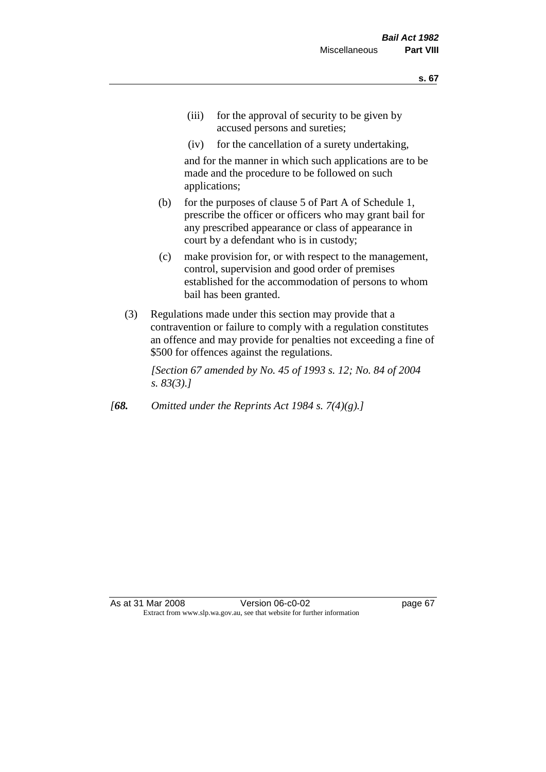- (iii) for the approval of security to be given by accused persons and sureties;
- (iv) for the cancellation of a surety undertaking,

and for the manner in which such applications are to be made and the procedure to be followed on such applications;

- (b) for the purposes of clause 5 of Part A of Schedule 1, prescribe the officer or officers who may grant bail for any prescribed appearance or class of appearance in court by a defendant who is in custody;
- (c) make provision for, or with respect to the management, control, supervision and good order of premises established for the accommodation of persons to whom bail has been granted.
- (3) Regulations made under this section may provide that a contravention or failure to comply with a regulation constitutes an offence and may provide for penalties not exceeding a fine of \$500 for offences against the regulations.

*[Section 67 amended by No. 45 of 1993 s. 12; No. 84 of 2004 s. 83(3).]* 

*[68. Omitted under the Reprints Act 1984 s. 7(4)(g).]*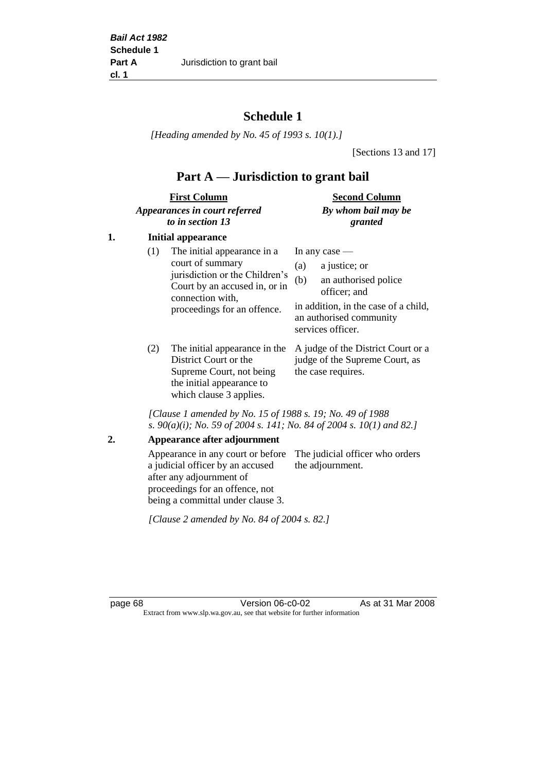# **Schedule 1**

*[Heading amended by No. 45 of 1993 s. 10(1).]*

[Sections 13 and 17]

# **Part A — Jurisdiction to grant bail**

| <b>First Column</b>           | <b>Second Column</b> |
|-------------------------------|----------------------|
| Appearances in court referred | By whom bail may be  |
| to in section 13              | granted              |

# **1. Initial appearance**

| (1) | The initial appearance in a<br>court of summary<br>jurisdiction or the Children's<br>Court by an accused in, or in<br>connection with,<br>proceedings for an offence. | (a)<br>(b) | In any case $-$<br>a justice; or<br>an authorised police<br>officer; and<br>in addition, in the case of a child,<br>an authorised community<br>services officer. |
|-----|-----------------------------------------------------------------------------------------------------------------------------------------------------------------------|------------|------------------------------------------------------------------------------------------------------------------------------------------------------------------|
|     |                                                                                                                                                                       |            |                                                                                                                                                                  |

District Court or the Supreme Court, not being the initial appearance to which clause 3 applies.

(2) The initial appearance in the A judge of the District Court or a judge of the Supreme Court, as the case requires.

*[Clause 1 amended by No. 15 of 1988 s. 19; No. 49 of 1988 s. 90(a)(i); No. 59 of 2004 s. 141; No. 84 of 2004 s. 10(1) and 82.]*

#### **2. Appearance after adjournment**

Appearance in any court or before The judicial officer who orders a judicial officer by an accused after any adjournment of proceedings for an offence, not being a committal under clause 3. the adjournment.

*[Clause 2 amended by No. 84 of 2004 s. 82.]*

page 68 Version 06-c0-02 As at 31 Mar 2008 Extract from www.slp.wa.gov.au, see that website for further information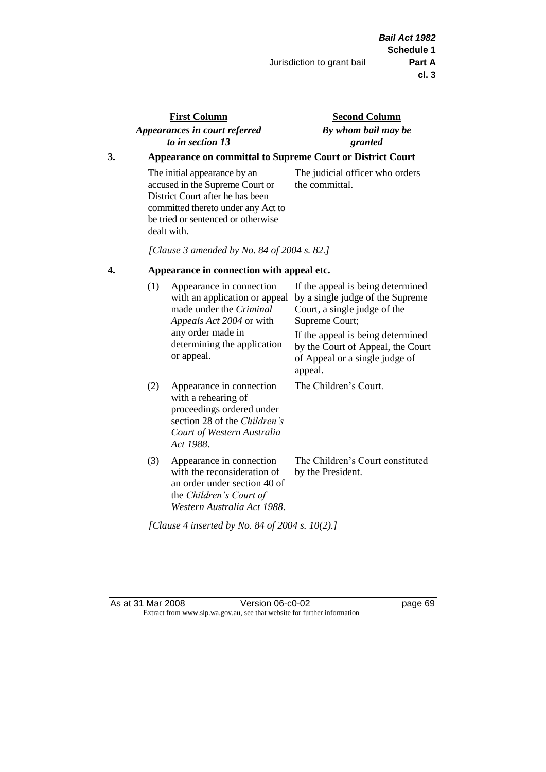# **First Column** *Appearances in court referred to in section 13*

# **Second Column** *By whom bail may be granted*

# **3. Appearance on committal to Supreme Court or District Court**

The initial appearance by an accused in the Supreme Court or District Court after he has been committed thereto under any Act to be tried or sentenced or otherwise dealt with.

The judicial officer who orders the committal.

*[Clause 3 amended by No. 84 of 2004 s. 82.]*

#### **4. Appearance in connection with appeal etc.**

| (1) | Appearance in connection<br>with an application or appeal<br>made under the <i>Criminal</i><br><i>Appeals Act 2004</i> or with<br>any order made in<br>determining the application<br>or appeal. | If the appeal is being determined<br>by a single judge of the Supreme<br>Court, a single judge of the<br>Supreme Court;<br>If the appeal is being determined<br>by the Court of Appeal, the Court<br>of Appeal or a single judge of<br>appeal. |
|-----|--------------------------------------------------------------------------------------------------------------------------------------------------------------------------------------------------|------------------------------------------------------------------------------------------------------------------------------------------------------------------------------------------------------------------------------------------------|
| (2) | Appearance in connection<br>with a rehearing of<br>proceedings ordered under<br>section 28 of the Children's<br>Court of Western Australia<br>Act 1988.                                          | The Children's Court.                                                                                                                                                                                                                          |
| (3) | Appearance in connection<br>with the reconsideration of<br>an order under section 40 of<br>the Children's Court of<br>Western Australia Act 1988.                                                | The Children's Court constituted<br>by the President.                                                                                                                                                                                          |

*[Clause 4 inserted by No. 84 of 2004 s. 10(2).]*

As at 31 Mar 2008 **Version 06-c0-02 Page 69** Extract from www.slp.wa.gov.au, see that website for further information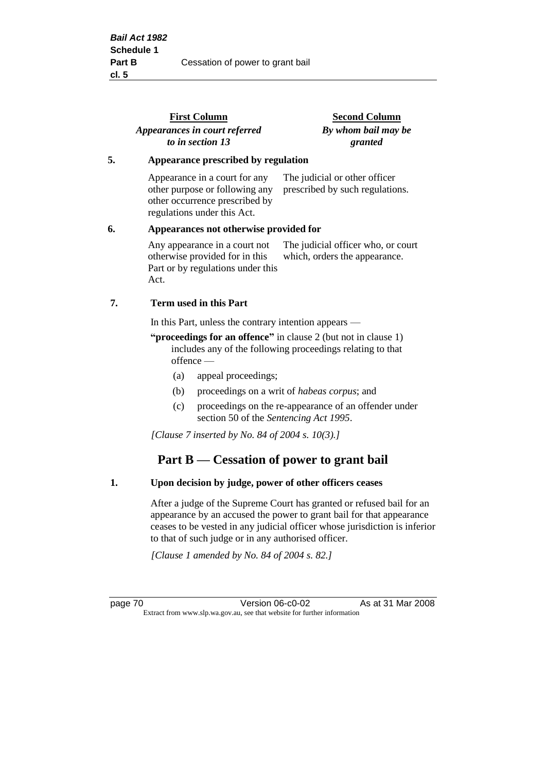|    | <b>First Column</b><br>Appearances in court referred<br>to in section 13                                                         | <b>Second Column</b><br>By whom bail may be<br>granted              |
|----|----------------------------------------------------------------------------------------------------------------------------------|---------------------------------------------------------------------|
| 5. | Appearance prescribed by regulation                                                                                              |                                                                     |
|    | Appearance in a court for any<br>other purpose or following any<br>other occurrence prescribed by<br>regulations under this Act. | The judicial or other officer<br>prescribed by such regulations.    |
| 6. | Appearances not otherwise provided for                                                                                           |                                                                     |
|    | Any appearance in a court not<br>otherwise provided for in this<br>Part or by regulations under this<br>Act.                     | The judicial officer who, or court<br>which, orders the appearance. |
| 7. | Term used in this Part                                                                                                           |                                                                     |
|    | In this Part, unless the contrary intention appears —                                                                            |                                                                     |

**"proceedings for an offence"** in clause 2 (but not in clause 1) includes any of the following proceedings relating to that offence —

- (a) appeal proceedings;
- (b) proceedings on a writ of *habeas corpus*; and
- (c) proceedings on the re-appearance of an offender under section 50 of the *Sentencing Act 1995*.

*[Clause 7 inserted by No. 84 of 2004 s. 10(3).]*

# **Part B — Cessation of power to grant bail**

#### **1. Upon decision by judge, power of other officers ceases**

After a judge of the Supreme Court has granted or refused bail for an appearance by an accused the power to grant bail for that appearance ceases to be vested in any judicial officer whose jurisdiction is inferior to that of such judge or in any authorised officer.

*[Clause 1 amended by No. 84 of 2004 s. 82.]*

page 70 Version 06-c0-02 As at 31 Mar 2008 Extract from www.slp.wa.gov.au, see that website for further information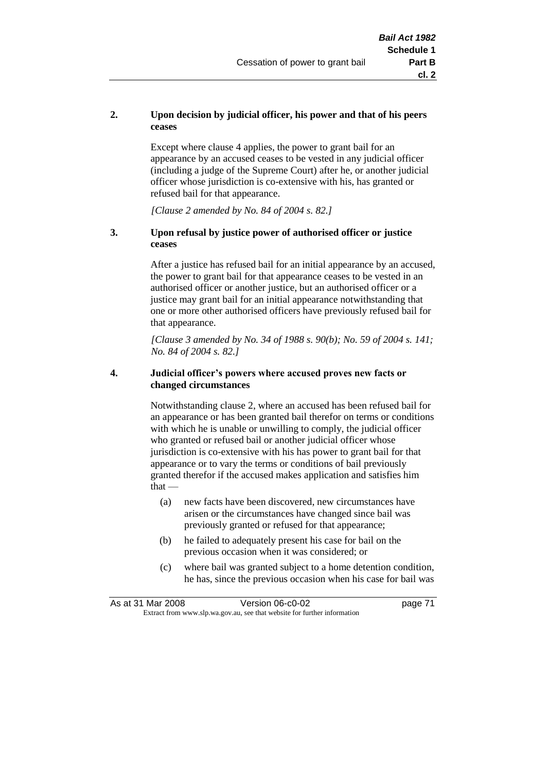#### **2. Upon decision by judicial officer, his power and that of his peers ceases**

Except where clause 4 applies, the power to grant bail for an appearance by an accused ceases to be vested in any judicial officer (including a judge of the Supreme Court) after he, or another judicial officer whose jurisdiction is co-extensive with his, has granted or refused bail for that appearance.

*[Clause 2 amended by No. 84 of 2004 s. 82.]*

#### **3. Upon refusal by justice power of authorised officer or justice ceases**

After a justice has refused bail for an initial appearance by an accused, the power to grant bail for that appearance ceases to be vested in an authorised officer or another justice, but an authorised officer or a justice may grant bail for an initial appearance notwithstanding that one or more other authorised officers have previously refused bail for that appearance.

*[Clause 3 amended by No. 34 of 1988 s. 90(b); No. 59 of 2004 s. 141; No. 84 of 2004 s. 82.]*

#### **4. Judicial officer's powers where accused proves new facts or changed circumstances**

Notwithstanding clause 2, where an accused has been refused bail for an appearance or has been granted bail therefor on terms or conditions with which he is unable or unwilling to comply, the judicial officer who granted or refused bail or another judicial officer whose jurisdiction is co-extensive with his has power to grant bail for that appearance or to vary the terms or conditions of bail previously granted therefor if the accused makes application and satisfies him  $that -$ 

- (a) new facts have been discovered, new circumstances have arisen or the circumstances have changed since bail was previously granted or refused for that appearance;
- (b) he failed to adequately present his case for bail on the previous occasion when it was considered; or
- (c) where bail was granted subject to a home detention condition, he has, since the previous occasion when his case for bail was

|                                                                          | As at 31 Mar 2008 | Version 06-c0-02 | page 71 |
|--------------------------------------------------------------------------|-------------------|------------------|---------|
| Extract from www.slp.wa.gov.au, see that website for further information |                   |                  |         |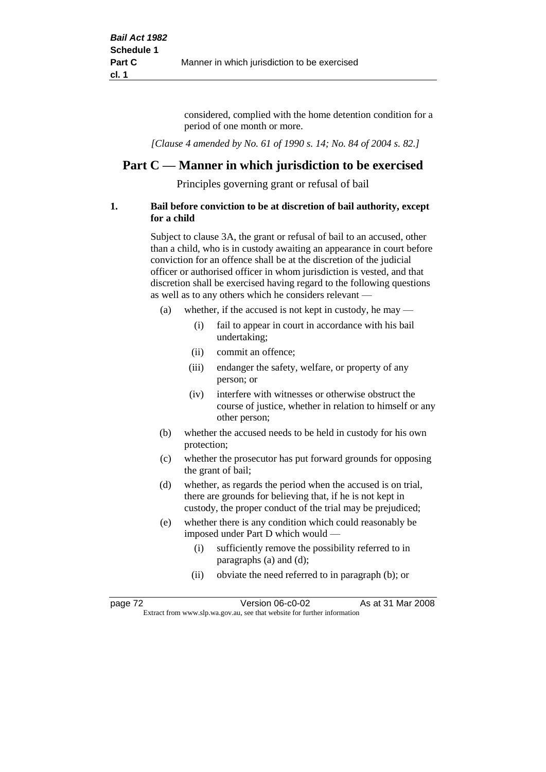considered, complied with the home detention condition for a period of one month or more.

*[Clause 4 amended by No. 61 of 1990 s. 14; No. 84 of 2004 s. 82.]*

# **Part C — Manner in which jurisdiction to be exercised**

Principles governing grant or refusal of bail

#### **1. Bail before conviction to be at discretion of bail authority, except for a child**

Subject to clause 3A, the grant or refusal of bail to an accused, other than a child, who is in custody awaiting an appearance in court before conviction for an offence shall be at the discretion of the judicial officer or authorised officer in whom jurisdiction is vested, and that discretion shall be exercised having regard to the following questions as well as to any others which he considers relevant —

- (a) whether, if the accused is not kept in custody, he may
	- (i) fail to appear in court in accordance with his bail undertaking;
	- (ii) commit an offence;
	- (iii) endanger the safety, welfare, or property of any person; or
	- (iv) interfere with witnesses or otherwise obstruct the course of justice, whether in relation to himself or any other person;
- (b) whether the accused needs to be held in custody for his own protection;
- (c) whether the prosecutor has put forward grounds for opposing the grant of bail;
- (d) whether, as regards the period when the accused is on trial, there are grounds for believing that, if he is not kept in custody, the proper conduct of the trial may be prejudiced;
- (e) whether there is any condition which could reasonably be imposed under Part D which would —
	- (i) sufficiently remove the possibility referred to in paragraphs (a) and (d);
	- (ii) obviate the need referred to in paragraph (b); or

| page 72 | Version 06-c0-02                                                         | As at 31 Mar 2008 |  |
|---------|--------------------------------------------------------------------------|-------------------|--|
|         | Extract from www.slp.wa.gov.au, see that website for further information |                   |  |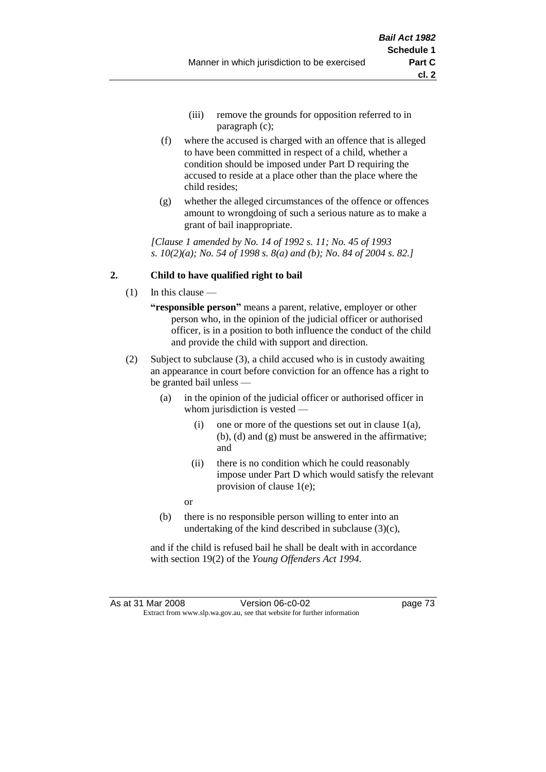- (iii) remove the grounds for opposition referred to in paragraph (c);
- (f) where the accused is charged with an offence that is alleged to have been committed in respect of a child, whether a condition should be imposed under Part D requiring the accused to reside at a place other than the place where the child resides;
- (g) whether the alleged circumstances of the offence or offences amount to wrongdoing of such a serious nature as to make a grant of bail inappropriate.

*[Clause 1 amended by No. 14 of 1992 s. 11; No. 45 of 1993 s. 10(2)(a); No. 54 of 1998 s. 8(a) and (b); No. 84 of 2004 s. 82.]*

## **2. Child to have qualified right to bail**

- (1) In this clause
	- **"responsible person"** means a parent, relative, employer or other person who, in the opinion of the judicial officer or authorised officer, is in a position to both influence the conduct of the child and provide the child with support and direction.
- (2) Subject to subclause (3), a child accused who is in custody awaiting an appearance in court before conviction for an offence has a right to be granted bail unless —
	- (a) in the opinion of the judicial officer or authorised officer in whom jurisdiction is vested —
		- (i) one or more of the questions set out in clause  $1(a)$ , (b), (d) and (g) must be answered in the affirmative; and
		- (ii) there is no condition which he could reasonably impose under Part D which would satisfy the relevant provision of clause 1(e);
		- or
	- (b) there is no responsible person willing to enter into an undertaking of the kind described in subclause (3)(c),

and if the child is refused bail he shall be dealt with in accordance with section 19(2) of the *Young Offenders Act 1994*.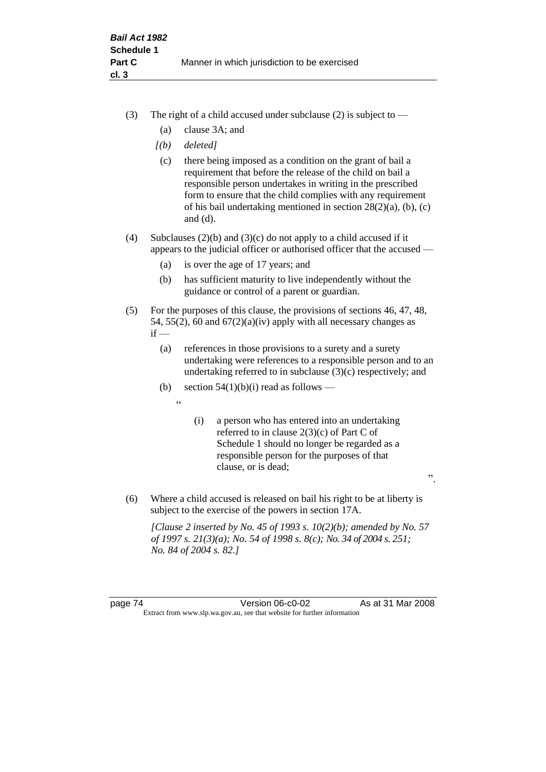- (3) The right of a child accused under subclause (2) is subject to  $-$ 
	- (a) clause 3A; and
	- *[(b) deleted]*
	- (c) there being imposed as a condition on the grant of bail a requirement that before the release of the child on bail a responsible person undertakes in writing in the prescribed form to ensure that the child complies with any requirement of his bail undertaking mentioned in section 28(2)(a), (b), (c) and (d).
- (4) Subclauses (2)(b) and (3)(c) do not apply to a child accused if it appears to the judicial officer or authorised officer that the accused —
	- (a) is over the age of 17 years; and
	- (b) has sufficient maturity to live independently without the guidance or control of a parent or guardian.
- (5) For the purposes of this clause, the provisions of sections 46, 47, 48, 54, 55(2), 60 and  $67(2)(a)(iv)$  apply with all necessary changes as  $if -$ 
	- (a) references in those provisions to a surety and a surety undertaking were references to a responsible person and to an undertaking referred to in subclause (3)(c) respectively; and
	- (b) section  $54(1)(b)(i)$  read as follows
		- $\epsilon$
- (i) a person who has entered into an undertaking referred to in clause 2(3)(c) of Part C of Schedule 1 should no longer be regarded as a responsible person for the purposes of that clause, or is dead;

".

(6) Where a child accused is released on bail his right to be at liberty is subject to the exercise of the powers in section 17A.

*[Clause 2 inserted by No. 45 of 1993 s. 10(2)(b); amended by No. 57 of 1997 s. 21(3)(a); No. 54 of 1998 s. 8(c); No. 34 of 2004 s. 251; No. 84 of 2004 s. 82.]*

page 74 Version 06-c0-02 As at 31 Mar 2008 Extract from www.slp.wa.gov.au, see that website for further information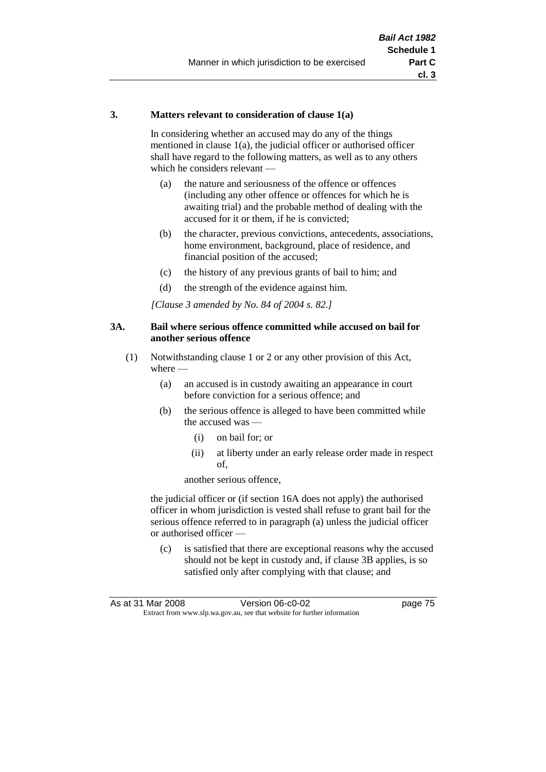#### **3. Matters relevant to consideration of clause 1(a)**

In considering whether an accused may do any of the things mentioned in clause 1(a), the judicial officer or authorised officer shall have regard to the following matters, as well as to any others which he considers relevant —

- (a) the nature and seriousness of the offence or offences (including any other offence or offences for which he is awaiting trial) and the probable method of dealing with the accused for it or them, if he is convicted;
- (b) the character, previous convictions, antecedents, associations, home environment, background, place of residence, and financial position of the accused;
- (c) the history of any previous grants of bail to him; and
- (d) the strength of the evidence against him.

*[Clause 3 amended by No. 84 of 2004 s. 82.]*

#### **3A. Bail where serious offence committed while accused on bail for another serious offence**

- (1) Notwithstanding clause 1 or 2 or any other provision of this Act, where —
	- (a) an accused is in custody awaiting an appearance in court before conviction for a serious offence; and
	- (b) the serious offence is alleged to have been committed while the accused was —
		- (i) on bail for; or
		- (ii) at liberty under an early release order made in respect of,

another serious offence,

the judicial officer or (if section 16A does not apply) the authorised officer in whom jurisdiction is vested shall refuse to grant bail for the serious offence referred to in paragraph (a) unless the judicial officer or authorised officer —

(c) is satisfied that there are exceptional reasons why the accused should not be kept in custody and, if clause 3B applies, is so satisfied only after complying with that clause; and

|                                                                          | As at 31 Mar 2008 | Version 06-c0-02 | page 75 |
|--------------------------------------------------------------------------|-------------------|------------------|---------|
| Extract from www.slp.wa.gov.au, see that website for further information |                   |                  |         |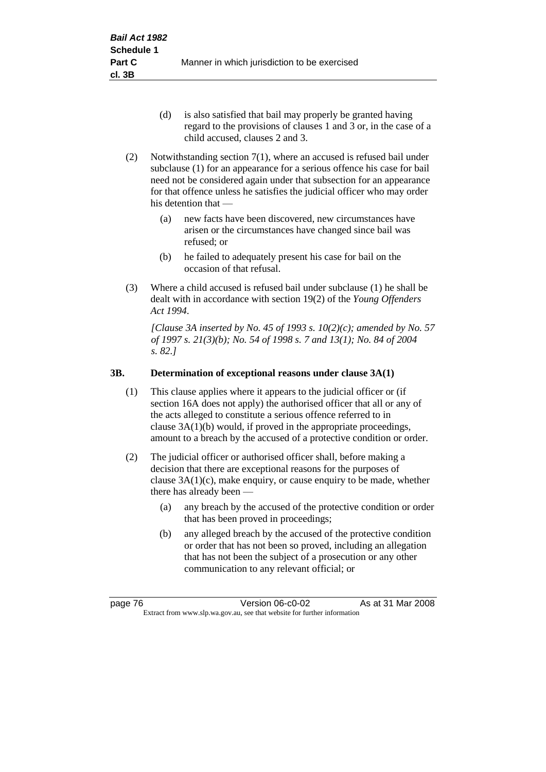- (d) is also satisfied that bail may properly be granted having regard to the provisions of clauses 1 and 3 or, in the case of a child accused, clauses 2 and 3.
- (2) Notwithstanding section 7(1), where an accused is refused bail under subclause (1) for an appearance for a serious offence his case for bail need not be considered again under that subsection for an appearance for that offence unless he satisfies the judicial officer who may order his detention that —
	- (a) new facts have been discovered, new circumstances have arisen or the circumstances have changed since bail was refused; or
	- (b) he failed to adequately present his case for bail on the occasion of that refusal.
- (3) Where a child accused is refused bail under subclause (1) he shall be dealt with in accordance with section 19(2) of the *Young Offenders Act 1994*.

*[Clause 3A inserted by No. 45 of 1993 s. 10(2)(c); amended by No. 57 of 1997 s. 21(3)(b); No. 54 of 1998 s. 7 and 13(1); No. 84 of 2004 s. 82.]*

## **3B. Determination of exceptional reasons under clause 3A(1)**

- (1) This clause applies where it appears to the judicial officer or (if section 16A does not apply) the authorised officer that all or any of the acts alleged to constitute a serious offence referred to in clause 3A(1)(b) would, if proved in the appropriate proceedings, amount to a breach by the accused of a protective condition or order.
- (2) The judicial officer or authorised officer shall, before making a decision that there are exceptional reasons for the purposes of clause  $3A(1)(c)$ , make enquiry, or cause enquiry to be made, whether there has already been -
	- (a) any breach by the accused of the protective condition or order that has been proved in proceedings;
	- (b) any alleged breach by the accused of the protective condition or order that has not been so proved, including an allegation that has not been the subject of a prosecution or any other communication to any relevant official; or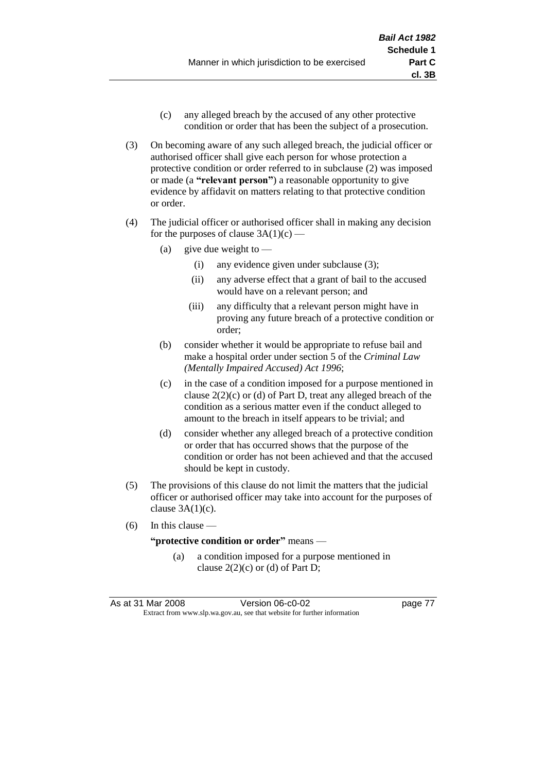- (c) any alleged breach by the accused of any other protective condition or order that has been the subject of a prosecution.
- (3) On becoming aware of any such alleged breach, the judicial officer or authorised officer shall give each person for whose protection a protective condition or order referred to in subclause (2) was imposed or made (a **"relevant person"**) a reasonable opportunity to give evidence by affidavit on matters relating to that protective condition or order.
- (4) The judicial officer or authorised officer shall in making any decision for the purposes of clause  $3A(1)(c)$  —
	- (a) give due weight to  $-$ 
		- (i) any evidence given under subclause (3);
		- (ii) any adverse effect that a grant of bail to the accused would have on a relevant person; and
		- (iii) any difficulty that a relevant person might have in proving any future breach of a protective condition or order;
	- (b) consider whether it would be appropriate to refuse bail and make a hospital order under section 5 of the *Criminal Law (Mentally Impaired Accused) Act 1996*;
	- (c) in the case of a condition imposed for a purpose mentioned in clause  $2(2)(c)$  or (d) of Part D, treat any alleged breach of the condition as a serious matter even if the conduct alleged to amount to the breach in itself appears to be trivial; and
	- (d) consider whether any alleged breach of a protective condition or order that has occurred shows that the purpose of the condition or order has not been achieved and that the accused should be kept in custody.
- (5) The provisions of this clause do not limit the matters that the judicial officer or authorised officer may take into account for the purposes of clause  $3A(1)(c)$ .
- (6) In this clause —

#### **"protective condition or order"** means —

(a) a condition imposed for a purpose mentioned in clause  $2(2)(c)$  or (d) of Part D;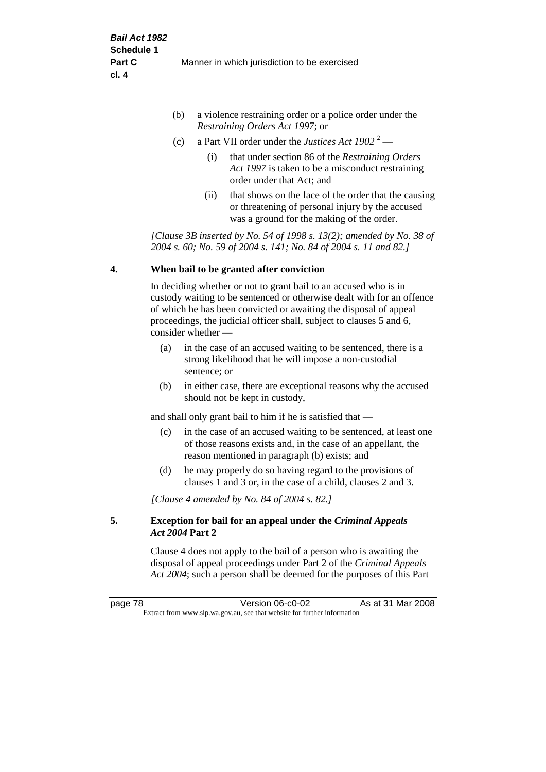| (b) | a violence restraining order or a police order under the |
|-----|----------------------------------------------------------|
|     | <i>Restraining Orders Act 1997; or</i>                   |

- (c) a Part VII order under the *Justices Act 1902* <sup>2</sup>
	- (i) that under section 86 of the *Restraining Orders Act 1997* is taken to be a misconduct restraining order under that Act; and
	- (ii) that shows on the face of the order that the causing or threatening of personal injury by the accused was a ground for the making of the order.

*[Clause 3B inserted by No. 54 of 1998 s. 13(2); amended by No. 38 of 2004 s. 60; No. 59 of 2004 s. 141; No. 84 of 2004 s. 11 and 82.]*

#### **4. When bail to be granted after conviction**

In deciding whether or not to grant bail to an accused who is in custody waiting to be sentenced or otherwise dealt with for an offence of which he has been convicted or awaiting the disposal of appeal proceedings, the judicial officer shall, subject to clauses 5 and 6, consider whether —

- (a) in the case of an accused waiting to be sentenced, there is a strong likelihood that he will impose a non-custodial sentence; or
- (b) in either case, there are exceptional reasons why the accused should not be kept in custody,

and shall only grant bail to him if he is satisfied that —

- (c) in the case of an accused waiting to be sentenced, at least one of those reasons exists and, in the case of an appellant, the reason mentioned in paragraph (b) exists; and
- (d) he may properly do so having regard to the provisions of clauses 1 and 3 or, in the case of a child, clauses 2 and 3.

*[Clause 4 amended by No. 84 of 2004 s. 82.]*

#### **5. Exception for bail for an appeal under the** *Criminal Appeals Act 2004* **Part 2**

Clause 4 does not apply to the bail of a person who is awaiting the disposal of appeal proceedings under Part 2 of the *Criminal Appeals Act 2004*; such a person shall be deemed for the purposes of this Part

page 78 Version 06-c0-02 As at 31 Mar 2008 Extract from www.slp.wa.gov.au, see that website for further information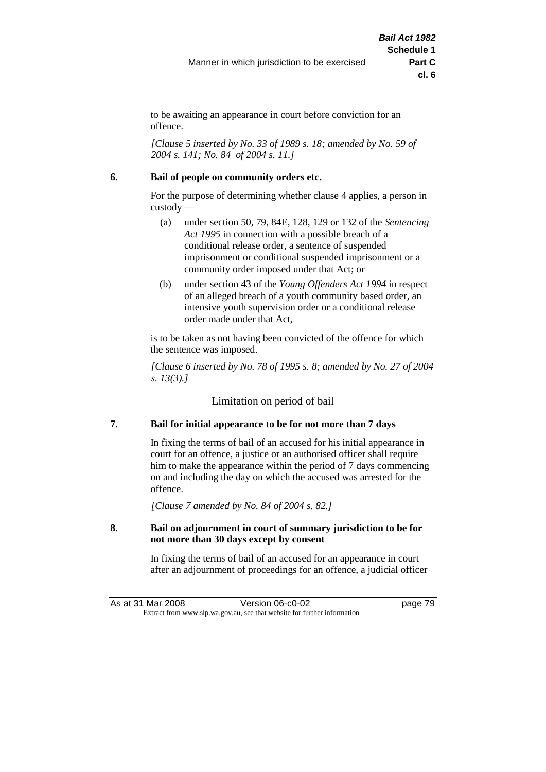to be awaiting an appearance in court before conviction for an offence.

*[Clause 5 inserted by No. 33 of 1989 s. 18; amended by No. 59 of 2004 s. 141; No. 84 of 2004 s. 11.]*

#### **6. Bail of people on community orders etc.**

For the purpose of determining whether clause 4 applies, a person in custody —

- (a) under section 50, 79, 84E, 128, 129 or 132 of the *Sentencing Act 1995* in connection with a possible breach of a conditional release order, a sentence of suspended imprisonment or conditional suspended imprisonment or a community order imposed under that Act; or
- (b) under section 43 of the *Young Offenders Act 1994* in respect of an alleged breach of a youth community based order, an intensive youth supervision order or a conditional release order made under that Act,

is to be taken as not having been convicted of the offence for which the sentence was imposed.

*[Clause 6 inserted by No. 78 of 1995 s. 8; amended by No. 27 of 2004 s. 13(3).]*

Limitation on period of bail

## **7. Bail for initial appearance to be for not more than 7 days**

In fixing the terms of bail of an accused for his initial appearance in court for an offence, a justice or an authorised officer shall require him to make the appearance within the period of 7 days commencing on and including the day on which the accused was arrested for the offence.

*[Clause 7 amended by No. 84 of 2004 s. 82.]*

#### **8. Bail on adjournment in court of summary jurisdiction to be for not more than 30 days except by consent**

In fixing the terms of bail of an accused for an appearance in court after an adjournment of proceedings for an offence, a judicial officer

As at 31 Mar 2008 Version 06-c0-02 page 79 Extract from www.slp.wa.gov.au, see that website for further information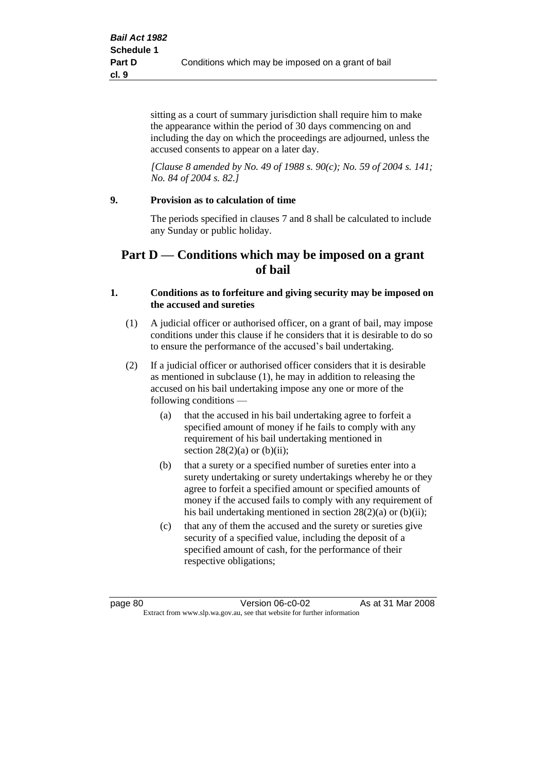sitting as a court of summary jurisdiction shall require him to make the appearance within the period of 30 days commencing on and including the day on which the proceedings are adjourned, unless the accused consents to appear on a later day.

*[Clause 8 amended by No. 49 of 1988 s. 90(c); No. 59 of 2004 s. 141; No. 84 of 2004 s. 82.]*

#### **9. Provision as to calculation of time**

The periods specified in clauses 7 and 8 shall be calculated to include any Sunday or public holiday.

# **Part D — Conditions which may be imposed on a grant of bail**

#### **1. Conditions as to forfeiture and giving security may be imposed on the accused and sureties**

- (1) A judicial officer or authorised officer, on a grant of bail, may impose conditions under this clause if he considers that it is desirable to do so to ensure the performance of the accused's bail undertaking.
- (2) If a judicial officer or authorised officer considers that it is desirable as mentioned in subclause (1), he may in addition to releasing the accused on his bail undertaking impose any one or more of the following conditions —
	- (a) that the accused in his bail undertaking agree to forfeit a specified amount of money if he fails to comply with any requirement of his bail undertaking mentioned in section  $28(2)(a)$  or  $(b)(ii)$ ;
	- (b) that a surety or a specified number of sureties enter into a surety undertaking or surety undertakings whereby he or they agree to forfeit a specified amount or specified amounts of money if the accused fails to comply with any requirement of his bail undertaking mentioned in section 28(2)(a) or (b)(ii);
	- (c) that any of them the accused and the surety or sureties give security of a specified value, including the deposit of a specified amount of cash, for the performance of their respective obligations;

page 80 Version 06-c0-02 As at 31 Mar 2008 Extract from www.slp.wa.gov.au, see that website for further information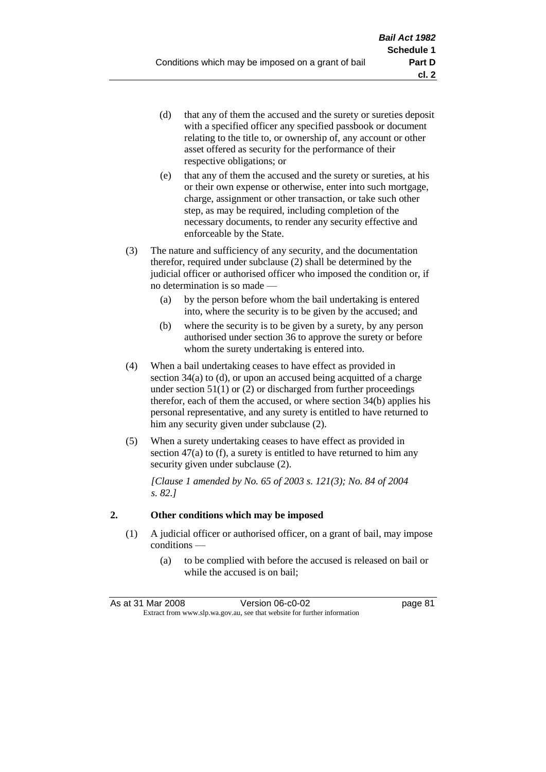- (d) that any of them the accused and the surety or sureties deposit with a specified officer any specified passbook or document relating to the title to, or ownership of, any account or other asset offered as security for the performance of their respective obligations; or
- (e) that any of them the accused and the surety or sureties, at his or their own expense or otherwise, enter into such mortgage, charge, assignment or other transaction, or take such other step, as may be required, including completion of the necessary documents, to render any security effective and enforceable by the State.
- (3) The nature and sufficiency of any security, and the documentation therefor, required under subclause (2) shall be determined by the judicial officer or authorised officer who imposed the condition or, if no determination is so made —
	- (a) by the person before whom the bail undertaking is entered into, where the security is to be given by the accused; and
	- (b) where the security is to be given by a surety, by any person authorised under section 36 to approve the surety or before whom the surety undertaking is entered into.
- (4) When a bail undertaking ceases to have effect as provided in section 34(a) to (d), or upon an accused being acquitted of a charge under section  $51(1)$  or (2) or discharged from further proceedings therefor, each of them the accused, or where section 34(b) applies his personal representative, and any surety is entitled to have returned to him any security given under subclause (2).
- (5) When a surety undertaking ceases to have effect as provided in section 47(a) to (f), a surety is entitled to have returned to him any security given under subclause  $(2)$ .

*[Clause 1 amended by No. 65 of 2003 s. 121(3); No. 84 of 2004 s. 82.]*

## **2. Other conditions which may be imposed**

- (1) A judicial officer or authorised officer, on a grant of bail, may impose conditions —
	- (a) to be complied with before the accused is released on bail or while the accused is on bail;

| As at 31 Mar 2008                                                        | Version 06-c0-02 | page 81 |
|--------------------------------------------------------------------------|------------------|---------|
| Extract from www.slp.wa.gov.au, see that website for further information |                  |         |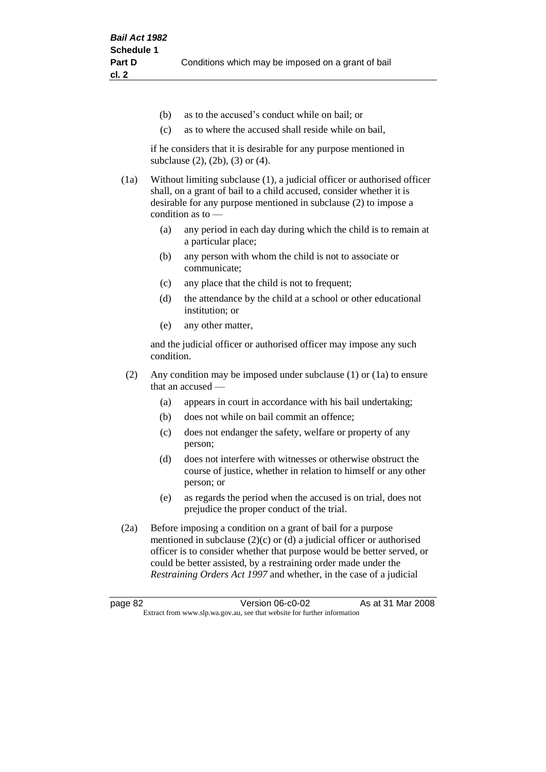- (b) as to the accused's conduct while on bail; or
- (c) as to where the accused shall reside while on bail,

if he considers that it is desirable for any purpose mentioned in subclause (2), (2b), (3) or (4).

(1a) Without limiting subclause (1), a judicial officer or authorised officer shall, on a grant of bail to a child accused, consider whether it is desirable for any purpose mentioned in subclause (2) to impose a condition as to —

- (a) any period in each day during which the child is to remain at a particular place;
- (b) any person with whom the child is not to associate or communicate;
- (c) any place that the child is not to frequent;
- (d) the attendance by the child at a school or other educational institution; or
- (e) any other matter,

and the judicial officer or authorised officer may impose any such condition.

- (2) Any condition may be imposed under subclause (1) or (1a) to ensure that an accused —
	- (a) appears in court in accordance with his bail undertaking;
	- (b) does not while on bail commit an offence;
	- (c) does not endanger the safety, welfare or property of any person;
	- (d) does not interfere with witnesses or otherwise obstruct the course of justice, whether in relation to himself or any other person; or
	- (e) as regards the period when the accused is on trial, does not prejudice the proper conduct of the trial.
- (2a) Before imposing a condition on a grant of bail for a purpose mentioned in subclause (2)(c) or (d) a judicial officer or authorised officer is to consider whether that purpose would be better served, or could be better assisted, by a restraining order made under the *Restraining Orders Act 1997* and whether, in the case of a judicial

page 82 Version 06-c0-02 As at 31 Mar 2008 Extract from www.slp.wa.gov.au, see that website for further information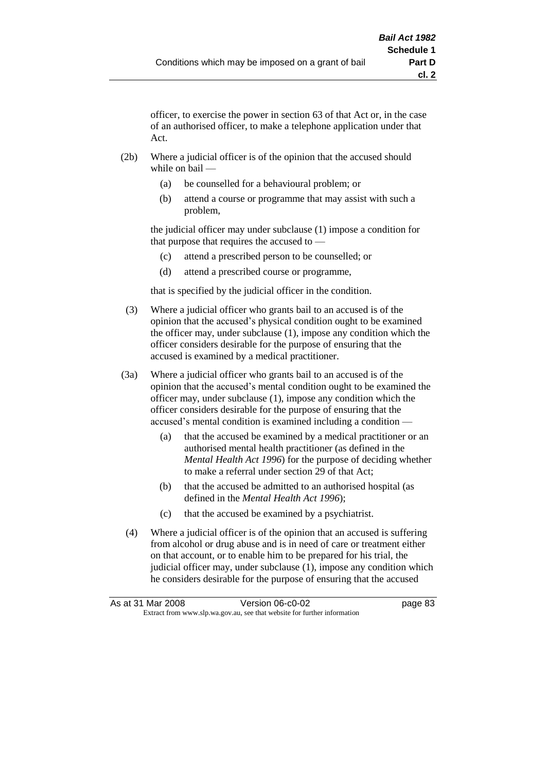officer, to exercise the power in section 63 of that Act or, in the case of an authorised officer, to make a telephone application under that Act.

- (2b) Where a judicial officer is of the opinion that the accused should while on bail —
	- (a) be counselled for a behavioural problem; or
	- (b) attend a course or programme that may assist with such a problem,

the judicial officer may under subclause (1) impose a condition for that purpose that requires the accused to —

- (c) attend a prescribed person to be counselled; or
- (d) attend a prescribed course or programme,

that is specified by the judicial officer in the condition.

- (3) Where a judicial officer who grants bail to an accused is of the opinion that the accused's physical condition ought to be examined the officer may, under subclause (1), impose any condition which the officer considers desirable for the purpose of ensuring that the accused is examined by a medical practitioner.
- (3a) Where a judicial officer who grants bail to an accused is of the opinion that the accused's mental condition ought to be examined the officer may, under subclause (1), impose any condition which the officer considers desirable for the purpose of ensuring that the accused's mental condition is examined including a condition —
	- (a) that the accused be examined by a medical practitioner or an authorised mental health practitioner (as defined in the *Mental Health Act 1996*) for the purpose of deciding whether to make a referral under section 29 of that Act;
	- (b) that the accused be admitted to an authorised hospital (as defined in the *Mental Health Act 1996*);
	- (c) that the accused be examined by a psychiatrist.
- (4) Where a judicial officer is of the opinion that an accused is suffering from alcohol or drug abuse and is in need of care or treatment either on that account, or to enable him to be prepared for his trial, the judicial officer may, under subclause (1), impose any condition which he considers desirable for the purpose of ensuring that the accused

| As at 31 Mar 2008 | Version 06-c0-02                                                         | page 83 |
|-------------------|--------------------------------------------------------------------------|---------|
|                   | Extract from www.slp.wa.gov.au, see that website for further information |         |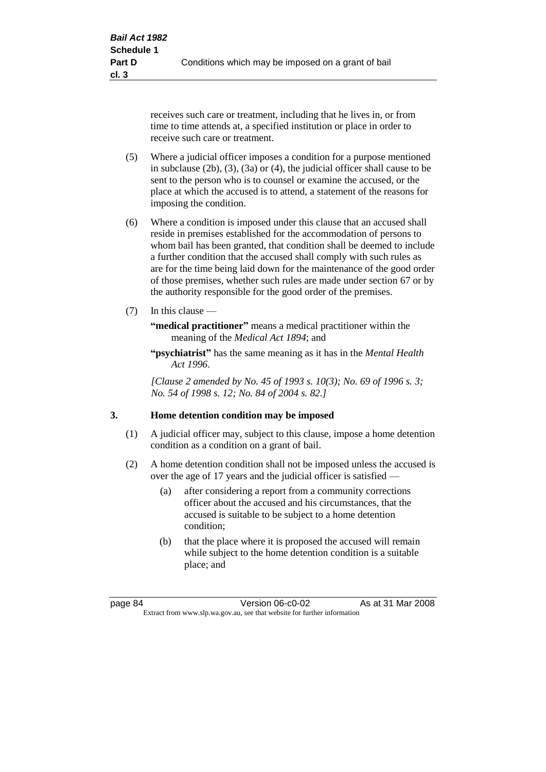receives such care or treatment, including that he lives in, or from time to time attends at, a specified institution or place in order to receive such care or treatment.

- (5) Where a judicial officer imposes a condition for a purpose mentioned in subclause (2b), (3), (3a) or (4), the judicial officer shall cause to be sent to the person who is to counsel or examine the accused, or the place at which the accused is to attend, a statement of the reasons for imposing the condition.
- (6) Where a condition is imposed under this clause that an accused shall reside in premises established for the accommodation of persons to whom bail has been granted, that condition shall be deemed to include a further condition that the accused shall comply with such rules as are for the time being laid down for the maintenance of the good order of those premises, whether such rules are made under section 67 or by the authority responsible for the good order of the premises.
- (7) In this clause —

**"medical practitioner"** means a medical practitioner within the meaning of the *Medical Act 1894*; and

**"psychiatrist"** has the same meaning as it has in the *Mental Health Act 1996*.

*[Clause 2 amended by No. 45 of 1993 s. 10(3); No. 69 of 1996 s. 3; No. 54 of 1998 s. 12; No. 84 of 2004 s. 82.]*

#### **3. Home detention condition may be imposed**

- (1) A judicial officer may, subject to this clause, impose a home detention condition as a condition on a grant of bail.
- (2) A home detention condition shall not be imposed unless the accused is over the age of 17 years and the judicial officer is satisfied —
	- (a) after considering a report from a community corrections officer about the accused and his circumstances, that the accused is suitable to be subject to a home detention condition;
	- (b) that the place where it is proposed the accused will remain while subject to the home detention condition is a suitable place; and

page 84 Version 06-c0-02 As at 31 Mar 2008 Extract from www.slp.wa.gov.au, see that website for further information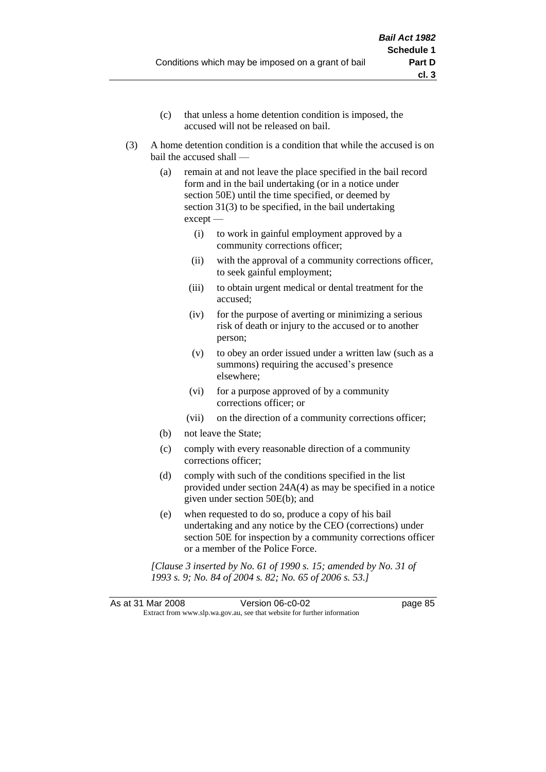- (c) that unless a home detention condition is imposed, the accused will not be released on bail.
- (3) A home detention condition is a condition that while the accused is on bail the accused shall —
	- (a) remain at and not leave the place specified in the bail record form and in the bail undertaking (or in a notice under section 50E) until the time specified, or deemed by section 31(3) to be specified, in the bail undertaking except —
		- (i) to work in gainful employment approved by a community corrections officer;
		- (ii) with the approval of a community corrections officer, to seek gainful employment;
		- (iii) to obtain urgent medical or dental treatment for the accused;
		- (iv) for the purpose of averting or minimizing a serious risk of death or injury to the accused or to another person;
		- (v) to obey an order issued under a written law (such as a summons) requiring the accused's presence elsewhere;
		- (vi) for a purpose approved of by a community corrections officer; or
		- (vii) on the direction of a community corrections officer;
	- (b) not leave the State;
	- (c) comply with every reasonable direction of a community corrections officer;
	- (d) comply with such of the conditions specified in the list provided under section 24A(4) as may be specified in a notice given under section 50E(b); and
	- (e) when requested to do so, produce a copy of his bail undertaking and any notice by the CEO (corrections) under section 50E for inspection by a community corrections officer or a member of the Police Force.

*[Clause 3 inserted by No. 61 of 1990 s. 15; amended by No. 31 of 1993 s. 9; No. 84 of 2004 s. 82; No. 65 of 2006 s. 53.]*

As at 31 Mar 2008 Version 06-c0-02 page 85 Extract from www.slp.wa.gov.au, see that website for further information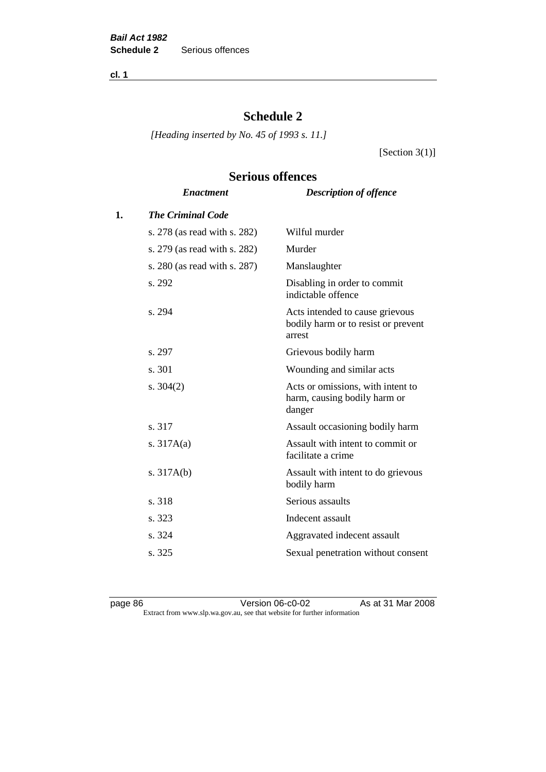**cl. 1**

# **Schedule 2**

**Serious offences**

*[Heading inserted by No. 45 of 1993 s. 11.]*

[Section  $3(1)$ ]

# *Enactment Description of offence* **1.** *The Criminal Code* s. 278 (as read with s. 282) Wilful murder s. 279 (as read with s. 282) Murder s. 280 (as read with s. 287) Manslaughter s. 292 Disabling in order to commit indictable offence s. 294 Acts intended to cause grievous bodily harm or to resist or prevent arrest s. 297 Grievous bodily harm s. 301 Wounding and similar acts s. 304(2) Acts or omissions, with intent to harm, causing bodily harm or danger s. 317 Assault occasioning bodily harm s. 317A(a) Assault with intent to commit or facilitate a crime s. 317A(b) Assault with intent to do grievous bodily harm s. 318 Serious assaults s. 323 Indecent assault s. 324 Aggravated indecent assault s. 325 Sexual penetration without consent

page 86 Version 06-c0-02 As at 31 Mar 2008 Extract from www.slp.wa.gov.au, see that website for further information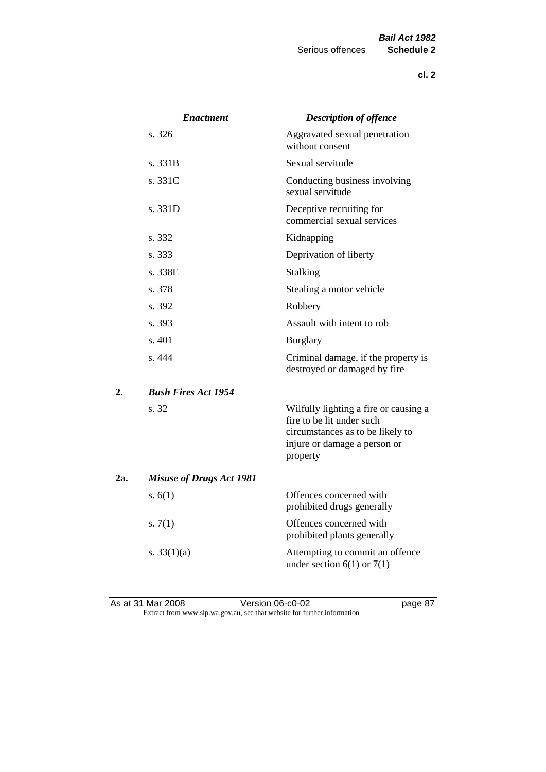|     | <b>Enactment</b>                | <b>Description of offence</b>                                                                                                                      |
|-----|---------------------------------|----------------------------------------------------------------------------------------------------------------------------------------------------|
|     | s. 326                          | Aggravated sexual penetration<br>without consent                                                                                                   |
|     | s. 331B                         | Sexual servitude                                                                                                                                   |
|     | s. 331C                         | Conducting business involving<br>sexual servitude                                                                                                  |
|     | s. 331D                         | Deceptive recruiting for<br>commercial sexual services                                                                                             |
|     | s. 332                          | Kidnapping                                                                                                                                         |
|     | s. 333                          | Deprivation of liberty                                                                                                                             |
|     | s. 338E                         | Stalking                                                                                                                                           |
|     | s. 378                          | Stealing a motor vehicle                                                                                                                           |
|     | s. 392                          | Robbery                                                                                                                                            |
|     | s. 393                          | Assault with intent to rob                                                                                                                         |
|     | s. 401                          | <b>Burglary</b>                                                                                                                                    |
|     | s. 444                          | Criminal damage, if the property is<br>destroyed or damaged by fire                                                                                |
| 2.  | <b>Bush Fires Act 1954</b>      |                                                                                                                                                    |
|     | s. 32                           | Wilfully lighting a fire or causing a<br>fire to be lit under such<br>circumstances as to be likely to<br>injure or damage a person or<br>property |
| 2a. | <b>Misuse of Drugs Act 1981</b> |                                                                                                                                                    |
|     | s. $6(1)$                       | Offences concerned with<br>prohibited drugs generally                                                                                              |
|     | s. $7(1)$                       | Offences concerned with<br>prohibited plants generally                                                                                             |
|     | s. $33(1)(a)$                   | Attempting to commit an offence<br>under section $6(1)$ or $7(1)$                                                                                  |

As at 31 Mar 2008 **Version 06-c0-02 Page 87** Extract from www.slp.wa.gov.au, see that website for further information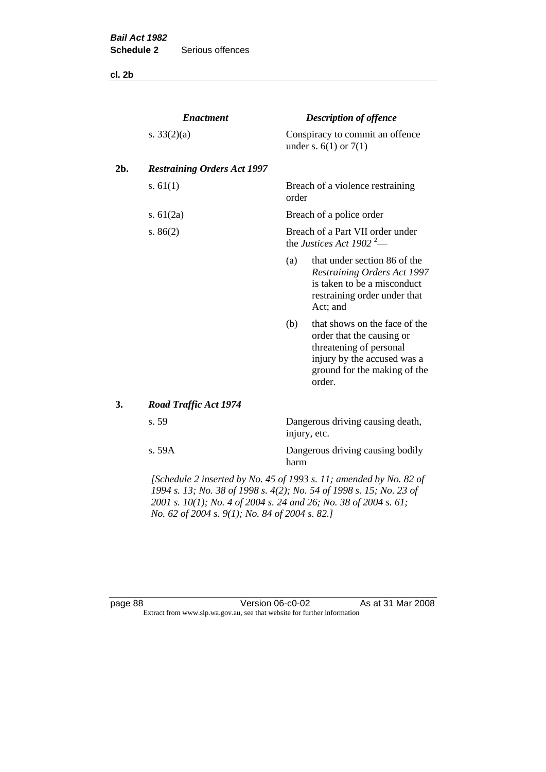**cl. 2b**

|     | <b>Enactment</b>                                                   |       | <b>Description of offence</b>                                                                                                                                  |
|-----|--------------------------------------------------------------------|-------|----------------------------------------------------------------------------------------------------------------------------------------------------------------|
|     | s. $33(2)(a)$                                                      |       | Conspiracy to commit an offence<br>under s. $6(1)$ or $7(1)$                                                                                                   |
| 2b. | <b>Restraining Orders Act 1997</b>                                 |       |                                                                                                                                                                |
|     | s. $61(1)$                                                         | order | Breach of a violence restraining                                                                                                                               |
|     | s. $61(2a)$                                                        |       | Breach of a police order                                                                                                                                       |
|     | s. $86(2)$                                                         |       | Breach of a Part VII order under<br>the Justices Act 1902 <sup>2</sup> —                                                                                       |
|     |                                                                    | (a)   | that under section 86 of the<br>Restraining Orders Act 1997<br>is taken to be a misconduct<br>restraining order under that<br>Act; and                         |
|     |                                                                    | (b)   | that shows on the face of the<br>order that the causing or<br>threatening of personal<br>injury by the accused was a<br>ground for the making of the<br>order. |
| 3.  | <b>Road Traffic Act 1974</b>                                       |       |                                                                                                                                                                |
|     | s. 59                                                              |       | Dangerous driving causing death,<br>injury, etc.                                                                                                               |
|     | s. 59A                                                             | harm  | Dangerous driving causing bodily                                                                                                                               |
|     | [Schedule 2 inserted by No. 45 of 1993 s. 11; amended by No. 82 of |       |                                                                                                                                                                |

*1994 s. 13; No. 38 of 1998 s. 4(2); No. 54 of 1998 s. 15; No. 23 of 2001 s. 10(1); No. 4 of 2004 s. 24 and 26; No. 38 of 2004 s. 61; No. 62 of 2004 s. 9(1); No. 84 of 2004 s. 82.]* 

page 88 Version 06-c0-02 As at 31 Mar 2008 Extract from www.slp.wa.gov.au, see that website for further information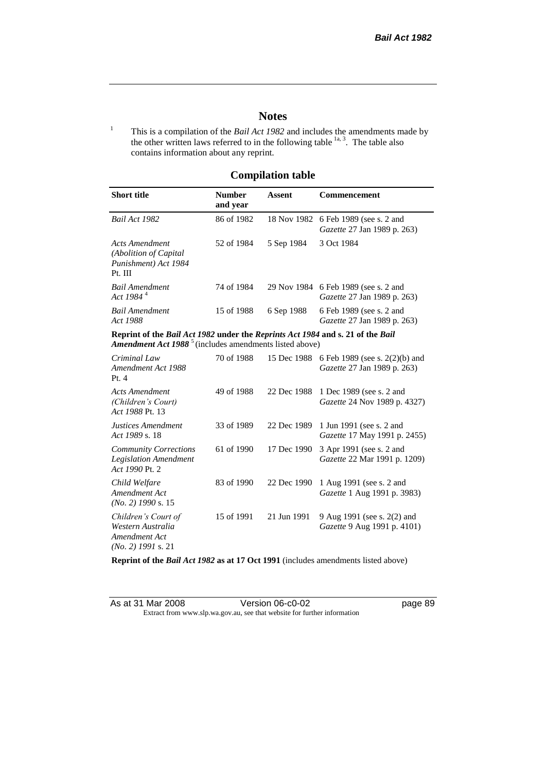# **Notes**

<sup>1</sup> This is a compilation of the *Bail Act 1982* and includes the amendments made by the other written laws referred to in the following table  $\frac{1}{a}$ , The table also contains information about any reprint.

# **Compilation table**

| <b>Short title</b>                                                                                                                                          | <b>Number</b><br>and year | Assent     | <b>Commencement</b>                                                              |
|-------------------------------------------------------------------------------------------------------------------------------------------------------------|---------------------------|------------|----------------------------------------------------------------------------------|
| Bail Act 1982                                                                                                                                               | 86 of 1982                |            | 18 Nov 1982 6 Feb 1989 (see s. 2 and<br><i>Gazette</i> 27 Jan 1989 p. 263)       |
| Acts Amendment<br>(Abolition of Capital)<br>Punishment) Act 1984<br>Pt. III                                                                                 | 52 of 1984                | 5 Sep 1984 | 3 Oct 1984                                                                       |
| <b>Bail Amendment</b><br>Act 1984 <sup>4</sup>                                                                                                              | 74 of 1984                |            | 29 Nov 1984 6 Feb 1989 (see s. 2 and<br><i>Gazette</i> 27 Jan 1989 p. 263)       |
| <b>Bail Amendment</b><br>Act 1988                                                                                                                           | 15 of 1988                | 6 Sep 1988 | 6 Feb 1989 (see s. 2 and<br>Gazette 27 Jan 1989 p. 263)                          |
| Reprint of the Bail Act 1982 under the Reprints Act 1984 and s. 21 of the Bail<br><b>Amendment Act 1988</b> <sup>5</sup> (includes amendments listed above) |                           |            |                                                                                  |
| Criminal Law<br>Amendment Act 1988                                                                                                                          | 70 of 1988                |            | 15 Dec 1988 6 Feb 1989 (see s. 2(2)(b) and<br><i>Gazette</i> 27 Jan 1989 p. 263) |

| Amendment Act 1988<br>Pt.4                                                        |            |             | Gazette 27 Jan 1989 p. 263)                                                 |
|-----------------------------------------------------------------------------------|------------|-------------|-----------------------------------------------------------------------------|
| Acts Amendment<br>(Children's Court)<br>Act 1988 Pt. 13                           | 49 of 1988 | 22 Dec 1988 | 1 Dec 1989 (see s. 2 and<br>Gazette 24 Nov 1989 p. 4327)                    |
| Justices Amendment<br>Act 1989 s. 18                                              | 33 of 1989 |             | 22 Dec 1989 1 Jun 1991 (see s. 2 and<br><i>Gazette</i> 17 May 1991 p. 2455) |
| <b>Community Corrections</b><br><b>Legislation Amendment</b><br>Act 1990 Pt. 2    | 61 of 1990 | 17 Dec 1990 | 3 Apr 1991 (see s. 2 and<br>Gazette 22 Mar 1991 p. 1209)                    |
| Child Welfare<br>Amendment Act<br>$(No. 2)$ 1990 s. 15                            | 83 of 1990 | 22 Dec 1990 | 1 Aug 1991 (see s. 2 and<br>Gazette 1 Aug 1991 p. 3983)                     |
| Children's Court of<br>Western Australia<br>Amendment Act<br>$(No. 2)$ 1991 s. 21 | 15 of 1991 | 21 Jun 1991 | 9 Aug 1991 (see s. 2(2) and<br>Gazette 9 Aug 1991 p. 4101)                  |

**Reprint of the** *Bail Act 1982* **as at 17 Oct 1991** (includes amendments listed above)

| As at 31 Mar 2008 | Version 06-c0-02                                                         |
|-------------------|--------------------------------------------------------------------------|
|                   | Extract from www.slp.wa.gov.au, see that website for further information |

page 89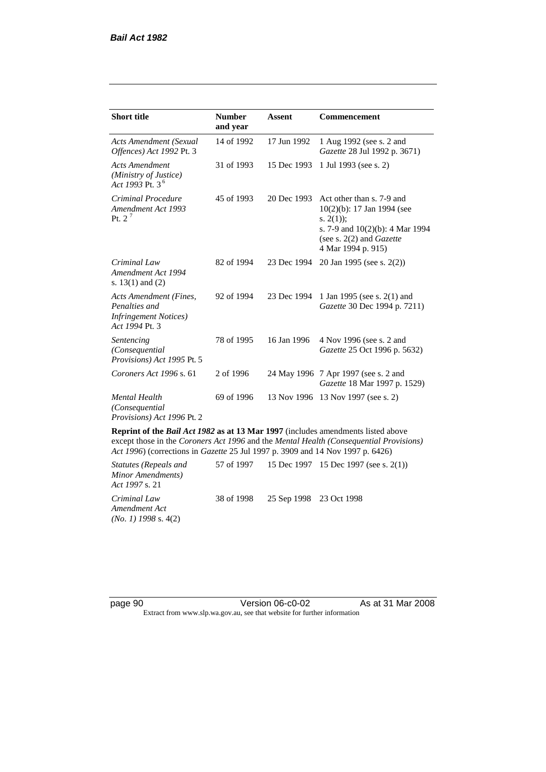| <b>Short title</b>                                                                         | <b>Number</b><br>and year | <b>Assent</b> | <b>Commencement</b>                                                                                                                                                        |
|--------------------------------------------------------------------------------------------|---------------------------|---------------|----------------------------------------------------------------------------------------------------------------------------------------------------------------------------|
| <b>Acts Amendment (Sexual</b><br>Offences) Act 1992 Pt. 3                                  | 14 of 1992                | 17 Jun 1992   | 1 Aug 1992 (see s. 2 and<br>Gazette 28 Jul 1992 p. 3671)                                                                                                                   |
| <b>Acts Amendment</b><br>(Ministry of Justice)<br>Act 1993 Pt. 3 <sup>6</sup>              | 31 of 1993                | 15 Dec 1993   | 1 Jul 1993 (see s. 2)                                                                                                                                                      |
| Criminal Procedure<br>Amendment Act 1993<br>Pt. $2^7$                                      | 45 of 1993                | 20 Dec 1993   | Act other than s. 7-9 and<br>$10(2)(b)$ : 17 Jan 1994 (see<br>s. $2(1)$ ;<br>s. 7-9 and $10(2)(b)$ : 4 Mar 1994<br>(see s. $2(2)$ and <i>Gazette</i><br>4 Mar 1994 p. 915) |
| Criminal Law<br>Amendment Act 1994<br>s. $13(1)$ and $(2)$                                 | 82 of 1994                | 23 Dec 1994   | 20 Jan 1995 (see s. 2(2))                                                                                                                                                  |
| Acts Amendment (Fines,<br>Penalties and<br><b>Infringement Notices</b> )<br>Act 1994 Pt. 3 | 92 of 1994                | 23 Dec 1994   | 1 Jan 1995 (see s. 2(1) and<br>Gazette 30 Dec 1994 p. 7211)                                                                                                                |
| Sentencing<br>(Consequential<br>Provisions) Act 1995 Pt. 5                                 | 78 of 1995                | 16 Jan 1996   | 4 Nov 1996 (see s. 2 and<br><i>Gazette</i> 25 Oct 1996 p. 5632)                                                                                                            |
| Coroners Act 1996 s. 61                                                                    | 2 of 1996                 |               | 24 May 1996 7 Apr 1997 (see s. 2 and<br>Gazette 18 Mar 1997 p. 1529)                                                                                                       |
| <b>Mental Health</b><br>(Consequential<br>Provisions) Act 1996 Pt. 2                       | 69 of 1996                | 13 Nov 1996   | 13 Nov 1997 (see s. 2)                                                                                                                                                     |

**Reprint of the** *Bail Act 1982* **as at 13 Mar 1997** (includes amendments listed above except those in the *Coroners Act 1996* and the *Mental Health (Consequential Provisions) Act 1996*) (corrections in *Gazette* 25 Jul 1997 p. 3909 and 14 Nov 1997 p. 6426)

*Statutes (Repeals and Minor Amendments) Act 1997* s. 21 57 of 1997 15 Dec 1997 15 Dec 1997 (see s. 2(1)) *Criminal Law Amendment Act (No. 1) 1998* s. 4(2) 38 of 1998 25 Sep 1998 23 Oct 1998

page 90 Version 06-c0-02 As at 31 Mar 2008 Extract from www.slp.wa.gov.au, see that website for further information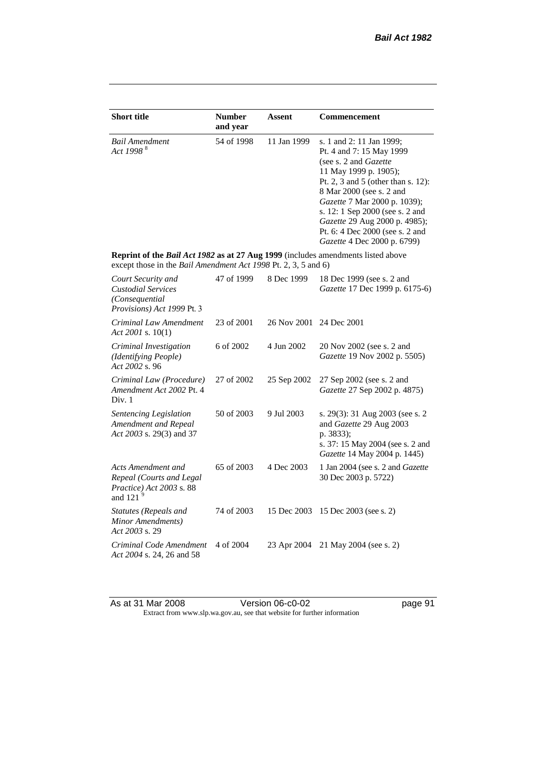| <b>Short title</b>                                                                                                                                 | <b>Number</b><br>and year | <b>Assent</b> | <b>Commencement</b>                                                                                                                                                                                                                                                                                                                            |
|----------------------------------------------------------------------------------------------------------------------------------------------------|---------------------------|---------------|------------------------------------------------------------------------------------------------------------------------------------------------------------------------------------------------------------------------------------------------------------------------------------------------------------------------------------------------|
| <b>Bail Amendment</b><br>Act 1998 <sup>8</sup>                                                                                                     | 54 of 1998                | 11 Jan 1999   | s. 1 and 2: 11 Jan 1999;<br>Pt. 4 and 7: 15 May 1999<br>(see s. 2 and Gazette<br>11 May 1999 p. 1905);<br>Pt. 2, 3 and 5 (other than s. 12):<br>8 Mar 2000 (see s. 2 and<br>Gazette 7 Mar 2000 p. 1039);<br>s. 12: 1 Sep 2000 (see s. 2 and<br>Gazette 29 Aug 2000 p. 4985);<br>Pt. 6: 4 Dec 2000 (see s. 2 and<br>Gazette 4 Dec 2000 p. 6799) |
| Reprint of the Bail Act 1982 as at 27 Aug 1999 (includes amendments listed above<br>except those in the Bail Amendment Act 1998 Pt. 2, 3, 5 and 6) |                           |               |                                                                                                                                                                                                                                                                                                                                                |
| Court Security and<br><b>Custodial Services</b><br>(Consequential<br>Provisions) Act 1999 Pt. 3                                                    | 47 of 1999                | 8 Dec 1999    | 18 Dec 1999 (see s. 2 and<br>Gazette 17 Dec 1999 p. 6175-6)                                                                                                                                                                                                                                                                                    |
| Criminal Law Amendment<br>Act 2001 s. $10(1)$                                                                                                      | 23 of 2001                | 26 Nov 2001   | 24 Dec 2001                                                                                                                                                                                                                                                                                                                                    |
| Criminal Investigation<br>(Identifying People)<br>Act 2002 s. 96                                                                                   | 6 of 2002                 | 4 Jun 2002    | 20 Nov 2002 (see s. 2 and<br>Gazette 19 Nov 2002 p. 5505)                                                                                                                                                                                                                                                                                      |
| Criminal Law (Procedure)<br>Amendment Act 2002 Pt. 4<br>Div. 1                                                                                     | 27 of 2002                | 25 Sep 2002   | 27 Sep 2002 (see s. 2 and<br>Gazette 27 Sep 2002 p. 4875)                                                                                                                                                                                                                                                                                      |
| Sentencing Legislation<br>Amendment and Repeal<br>Act 2003 s. 29(3) and 37                                                                         | 50 of 2003                | 9 Jul 2003    | s. 29(3): 31 Aug 2003 (see s. 2<br>and Gazette 29 Aug 2003<br>p. 3833);<br>s. 37: 15 May 2004 (see s. 2 and<br>Gazette 14 May 2004 p. 1445)                                                                                                                                                                                                    |
| Acts Amendment and<br>Repeal (Courts and Legal<br>Practice) Act 2003 s. 88<br>and 121 $9$                                                          | 65 of 2003                | 4 Dec 2003    | 1 Jan 2004 (see s. 2 and <i>Gazette</i><br>30 Dec 2003 p. 5722)                                                                                                                                                                                                                                                                                |
| Statutes (Repeals and<br>Minor Amendments)<br>Act 2003 s. 29                                                                                       | 74 of 2003                | 15 Dec 2003   | 15 Dec 2003 (see s. 2)                                                                                                                                                                                                                                                                                                                         |
| Criminal Code Amendment<br>Act 2004 s. 24, 26 and 58                                                                                               | 4 of 2004                 | 23 Apr 2004   | 21 May 2004 (see s. 2)                                                                                                                                                                                                                                                                                                                         |

As at 31 Mar 2008 **Version 06-c0-02 Page 91** Extract from www.slp.wa.gov.au, see that website for further information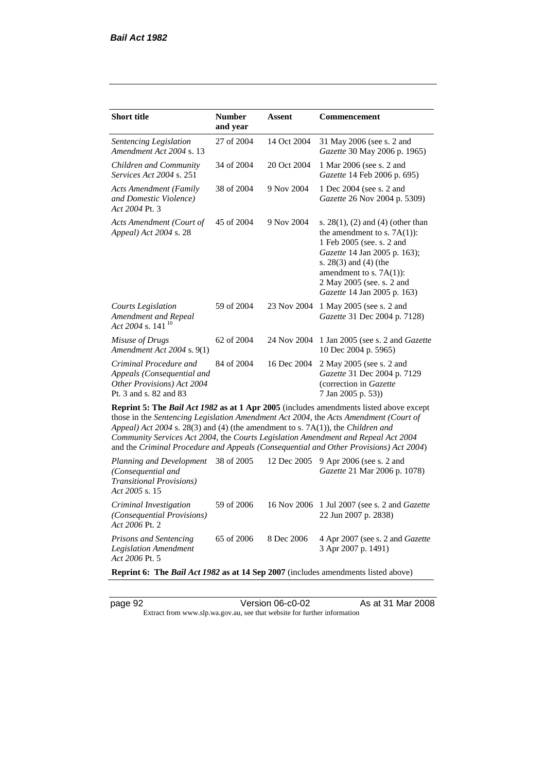| <b>Short title</b>                                                                                           | <b>Number</b><br>and year | Assent      | Commencement                                                                                                                                                                                                                                                                                                                                                 |
|--------------------------------------------------------------------------------------------------------------|---------------------------|-------------|--------------------------------------------------------------------------------------------------------------------------------------------------------------------------------------------------------------------------------------------------------------------------------------------------------------------------------------------------------------|
| Sentencing Legislation<br>Amendment Act 2004 s. 13                                                           | 27 of 2004                | 14 Oct 2004 | 31 May 2006 (see s. 2 and<br>Gazette 30 May 2006 p. 1965)                                                                                                                                                                                                                                                                                                    |
| Children and Community<br>Services Act 2004 s. 251                                                           | 34 of 2004                | 20 Oct 2004 | 1 Mar 2006 (see s. 2 and<br>Gazette 14 Feb 2006 p. 695)                                                                                                                                                                                                                                                                                                      |
| <b>Acts Amendment (Family</b><br>and Domestic Violence)<br>Act 2004 Pt. 3                                    | 38 of 2004                | 9 Nov 2004  | 1 Dec 2004 (see s. 2 and<br>Gazette 26 Nov 2004 p. 5309)                                                                                                                                                                                                                                                                                                     |
| Acts Amendment (Court of<br>Appeal) Act 2004 s. 28                                                           | 45 of 2004                | 9 Nov 2004  | s. $28(1)$ , (2) and (4) (other than<br>the amendment to s. $7A(1)$ :<br>1 Feb 2005 (see. s. 2 and<br>Gazette 14 Jan 2005 p. 163);<br>s. $28(3)$ and $(4)$ (the<br>amendment to s. $7A(1)$ :<br>2 May 2005 (see. s. 2 and<br>Gazette 14 Jan 2005 p. 163)                                                                                                     |
| <b>Courts Legislation</b><br>Amendment and Repeal<br>Act 2004 s. 141 $10$                                    | 59 of 2004                | 23 Nov 2004 | 1 May 2005 (see s. 2 and<br>Gazette 31 Dec 2004 p. 7128)                                                                                                                                                                                                                                                                                                     |
| Misuse of Drugs<br>Amendment Act 2004 s. 9(1)                                                                | 62 of 2004                | 24 Nov 2004 | 1 Jan 2005 (see s. 2 and <i>Gazette</i><br>10 Dec 2004 p. 5965)                                                                                                                                                                                                                                                                                              |
| Criminal Procedure and<br>Appeals (Consequential and<br>Other Provisions) Act 2004<br>Pt. 3 and s. 82 and 83 | 84 of 2004                | 16 Dec 2004 | 2 May 2005 (see s. 2 and<br>Gazette 31 Dec 2004 p. 7129<br>(correction in Gazette<br>7 Jan 2005 p. 53))                                                                                                                                                                                                                                                      |
| Appeal) Act 2004 s. 28(3) and (4) (the amendment to s. 7A(1)), the Children and                              |                           |             | Reprint 5: The Bail Act 1982 as at 1 Apr 2005 (includes amendments listed above except<br>those in the Sentencing Legislation Amendment Act 2004, the Acts Amendment (Court of<br>Community Services Act 2004, the Courts Legislation Amendment and Repeal Act 2004<br>and the Criminal Procedure and Appeals (Consequential and Other Provisions) Act 2004) |
| Planning and Development<br>(Consequential and<br><b>Transitional Provisions)</b><br>Act 2005 s. 15          | 38 of 2005                | 12 Dec 2005 | 9 Apr 2006 (see s. 2 and<br>Gazette 21 Mar 2006 p. 1078)                                                                                                                                                                                                                                                                                                     |
| Criminal Investigation<br>(Consequential Provisions)<br>Act 2006 Pt. 2                                       | 59 of 2006                | 16 Nov 2006 | 1 Jul 2007 (see s. 2 and <i>Gazette</i><br>22 Jun 2007 p. 2838)                                                                                                                                                                                                                                                                                              |
| <b>Prisons and Sentencing</b>                                                                                | 65 of 2006                | 8 Dec 2006  | 4 Apr 2007 (see s. 2 and Gazette                                                                                                                                                                                                                                                                                                                             |

**Reprint 6: The** *Bail Act 1982* **as at 14 Sep 2007** (includes amendments listed above)

*Act 2006* Pt. 5

*Legislation Amendment* 

page 92 Version 06-c0-02 As at 31 Mar 2008

Extract from www.slp.wa.gov.au, see that website for further information

3 Apr 2007 p. 1491)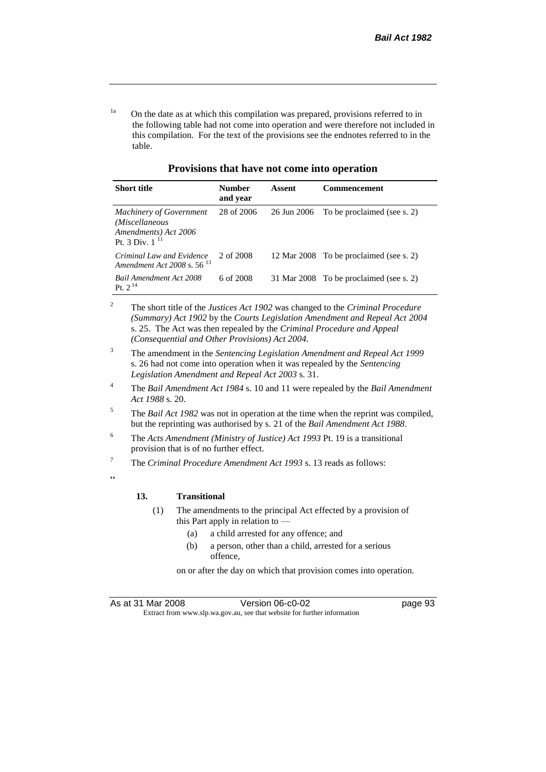<sup>1a</sup> On the date as at which this compilation was prepared, provisions referred to in the following table had not come into operation and were therefore not included in this compilation. For the text of the provisions see the endnotes referred to in the table.

**Provisions that have not come into operation**

| <b>Short title</b>                                                                              | <b>Number</b><br>and year | Assent      | <b>Commencement</b>                     |
|-------------------------------------------------------------------------------------------------|---------------------------|-------------|-----------------------------------------|
| <b>Machinery of Government</b><br>(Miscellaneous<br>Amendments) Act 2006<br>Pt. 3 Div. $1^{11}$ | 28 of 2006                | 26 Jun 2006 | To be proclaimed (see s. 2)             |
| Criminal Law and Evidence<br>Amendment Act 2008 s. 56 <sup>13</sup>                             | 2 of 2008                 |             | 12 Mar 2008 To be proclaimed (see s. 2) |
| <b>Bail Amendment Act 2008</b><br>Pt. $2^{14}$                                                  | 6 of 2008                 |             | 31 Mar 2008 To be proclaimed (see s. 2) |

<sup>2</sup> The short title of the *Justices Act 1902* was changed to the *Criminal Procedure (Summary) Act 1902* by the *Courts Legislation Amendment and Repeal Act 2004*  s. 25. The Act was then repealed by the *Criminal Procedure and Appeal (Consequential and Other Provisions) Act 2004.*

- <sup>3</sup> The amendment in the *Sentencing Legislation Amendment and Repeal Act 1999* s. 26 had not come into operation when it was repealed by the *Sentencing Legislation Amendment and Repeal Act 2003* s. 31.
- <sup>4</sup> The *Bail Amendment Act 1984* s. 10 and 11 were repealed by the *Bail Amendment Act 1988* s. 20.
- <sup>5</sup> The *Bail Act 1982* was not in operation at the time when the reprint was compiled, but the reprinting was authorised by s. 21 of the *Bail Amendment Act 1988*.
- <sup>6</sup> The *Acts Amendment (Ministry of Justice) Act 1993* Pt. 19 is a transitional provision that is of no further effect.
- <sup>7</sup> The *Criminal Procedure Amendment Act 1993* s. 13 reads as follows:

 $\epsilon$ 

#### **13. Transitional**

- (1) The amendments to the principal Act effected by a provision of this Part apply in relation to —
	- (a) a child arrested for any offence; and
	- (b) a person, other than a child, arrested for a serious offence,

on or after the day on which that provision comes into operation.

As at 31 Mar 2008 Version 06-c0-02 page 93 Extract from www.slp.wa.gov.au, see that website for further information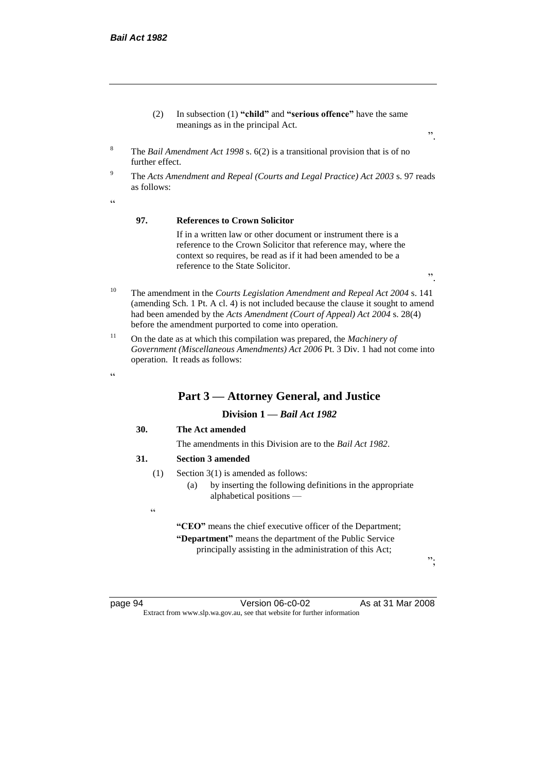- (2) In subsection (1) **"child"** and **"serious offence"** have the same meanings as in the principal Act.
- ".

".

- <sup>8</sup> The *Bail Amendment Act 1998* s. 6(2) is a transitional provision that is of no further effect.
- <sup>9</sup> The *Acts Amendment and Repeal (Courts and Legal Practice) Act 2003* s. 97 reads as follows:

 $\epsilon$ 

#### **97. References to Crown Solicitor**

If in a written law or other document or instrument there is a reference to the Crown Solicitor that reference may, where the context so requires, be read as if it had been amended to be a reference to the State Solicitor.

- <sup>10</sup> The amendment in the *Courts Legislation Amendment and Repeal Act 2004* s. 141 (amending Sch. 1 Pt. A cl. 4) is not included because the clause it sought to amend had been amended by the *Acts Amendment (Court of Appeal) Act 2004* s. 28(4) before the amendment purported to come into operation.
- <sup>11</sup> On the date as at which this compilation was prepared, the *Machinery of Government (Miscellaneous Amendments) Act 2006* Pt. 3 Div. 1 had not come into operation. It reads as follows:

#### $\epsilon$

## **Part 3 — Attorney General, and Justice**

#### **Division 1 —** *Bail Act 1982*

#### **30. The Act amended**

The amendments in this Division are to the *Bail Act 1982*.

#### **31. Section 3 amended**

- (1) Section 3(1) is amended as follows:
	- (a) by inserting the following definitions in the appropriate alphabetical positions —

**"CEO"** means the chief executive officer of the Department; **"Department"** means the department of the Public Service principally assisting in the administration of this Act;

";

 $\epsilon$ 

page 94 Version 06-c0-02 As at 31 Mar 2008 Extract from www.slp.wa.gov.au, see that website for further information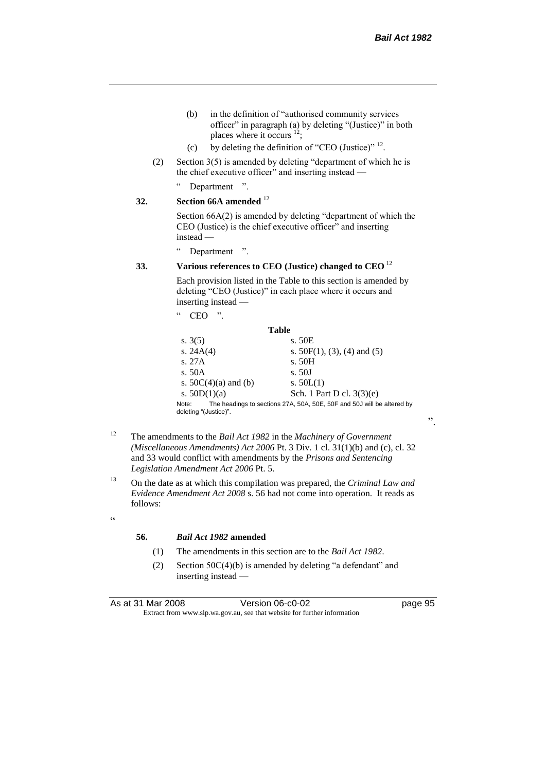".

- (b) in the definition of "authorised community services officer" in paragraph (a) by deleting "(Justice)" in both places where it occurs  $^{12}$ ;
- (c) by deleting the definition of "CEO (Justice)"  $^{12}$ .
- (2) Section 3(5) is amended by deleting "department of which he is the chief executive officer" and inserting instead —

" Department ".

```
32. Section 66A amended 12
```
Section 66A(2) is amended by deleting "department of which the CEO (Justice) is the chief executive officer" and inserting instead —

" Department ".

#### **33. Various references to CEO (Justice) changed to CEO** <sup>12</sup>

Each provision listed in the Table to this section is amended by deleting "CEO (Justice)" in each place where it occurs and inserting instead —

| $\epsilon$ | <b>CEO</b> | יי |  |
|------------|------------|----|--|
|            |            |    |  |

| <b>Table</b>                   |                                                                        |
|--------------------------------|------------------------------------------------------------------------|
| s. $3(5)$                      | s. 50E                                                                 |
| s. $24A(4)$                    | s. $50F(1)$ , (3), (4) and (5)                                         |
| s. 27A                         | s. 50H                                                                 |
| s. 50A                         | s.50J                                                                  |
| s. $50C(4)(a)$ and (b)         | s. $50L(1)$                                                            |
| s. $50D(1)(a)$                 | Sch. 1 Part D cl. $3(3)(e)$                                            |
| Note:<br>deleting "(Justice)". | The headings to sections 27A, 50A, 50E, 50F and 50J will be altered by |

- <sup>12</sup> The amendments to the *Bail Act 1982* in the *Machinery of Government (Miscellaneous Amendments) Act 2006* Pt. 3 Div. 1 cl. 31(1)(b) and (c), cl. 32 and 33 would conflict with amendments by the *Prisons and Sentencing Legislation Amendment Act 2006* Pt. 5.
- <sup>13</sup> On the date as at which this compilation was prepared, the *Criminal Law and Evidence Amendment Act 2008* s. 56 had not come into operation. It reads as follows:
- $\epsilon$

#### **56.** *Bail Act 1982* **amended**

- (1) The amendments in this section are to the *Bail Act 1982*.
- (2) Section 50C(4)(b) is amended by deleting "a defendant" and inserting instead —

| As at 31 Mar 2008 | Version 06-c0-02                                                         | page 95 |
|-------------------|--------------------------------------------------------------------------|---------|
|                   | Extract from www.slp.wa.gov.au, see that website for further information |         |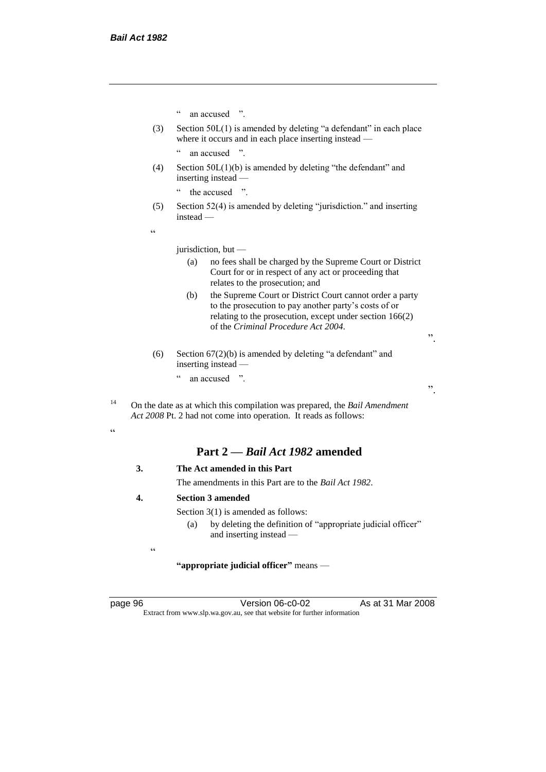" an accused ".

(3) Section 50L(1) is amended by deleting "a defendant" in each place where it occurs and in each place inserting instead —

" an accused ".

(4) Section 50L(1)(b) is amended by deleting "the defendant" and inserting instead —

" the accused ".

(5) Section 52(4) is amended by deleting "jurisdiction." and inserting instead —

 $\epsilon$ 

jurisdiction, but —

- (a) no fees shall be charged by the Supreme Court or District Court for or in respect of any act or proceeding that relates to the prosecution; and
- (b) the Supreme Court or District Court cannot order a party to the prosecution to pay another party's costs of or relating to the prosecution, except under section 166(2) of the *Criminal Procedure Act 2004*.
- (6) Section 67(2)(b) is amended by deleting "a defendant" and inserting instead — " an accused ".

<sup>14</sup> On the date as at which this compilation was prepared, the *Bail Amendment Act 2008* Pt. 2 had not come into operation. It reads as follows:

.<br>"

# **Part 2 —** *Bail Act 1982* **amended**

- **3. The Act amended in this Part** The amendments in this Part are to the *Bail Act 1982*.
- **4. Section 3 amended**

Section 3(1) is amended as follows:

(a) by deleting the definition of "appropriate judicial officer" and inserting instead —

**"appropriate judicial officer"** means —

 $\epsilon$ 

page 96 Version 06-c0-02 As at 31 Mar 2008 Extract from www.slp.wa.gov.au, see that website for further information

".

".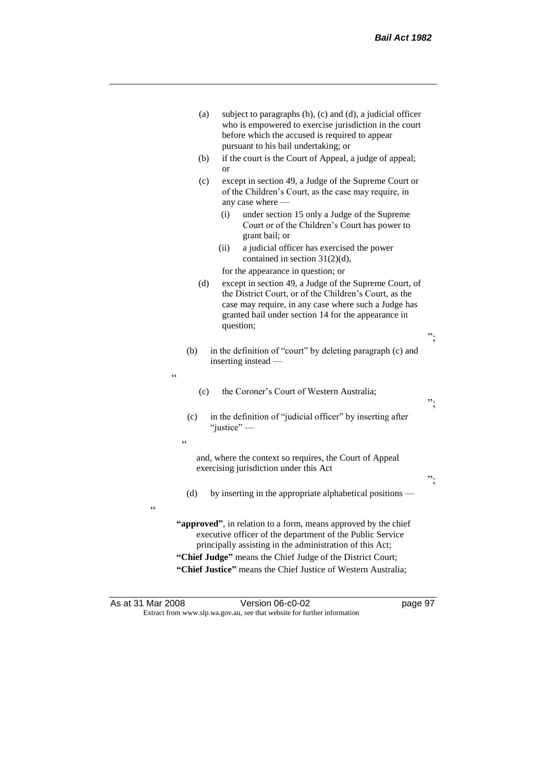| (a)               | subject to paragraphs (b), (c) and (d), a judicial officer<br>who is empowered to exercise jurisdiction in the court<br>before which the accused is required to appear<br>pursuant to his bail undertaking; or                                                                                                         |    |
|-------------------|------------------------------------------------------------------------------------------------------------------------------------------------------------------------------------------------------------------------------------------------------------------------------------------------------------------------|----|
| (b)               | if the court is the Court of Appeal, a judge of appeal;<br>$\alpha$                                                                                                                                                                                                                                                    |    |
| (c)               | except in section 49, a Judge of the Supreme Court or<br>of the Children's Court, as the case may require, in<br>any case where -                                                                                                                                                                                      |    |
|                   | under section 15 only a Judge of the Supreme<br>(i)<br>Court or of the Children's Court has power to<br>grant bail; or                                                                                                                                                                                                 |    |
|                   | (ii)<br>a judicial officer has exercised the power<br>contained in section 31(2)(d),                                                                                                                                                                                                                                   |    |
|                   | for the appearance in question; or                                                                                                                                                                                                                                                                                     |    |
| (d)               | except in section 49, a Judge of the Supreme Court, of<br>the District Court, or of the Children's Court, as the<br>case may require, in any case where such a Judge has<br>granted bail under section 14 for the appearance in<br>question;                                                                           |    |
|                   |                                                                                                                                                                                                                                                                                                                        | ". |
| (b)<br>$\epsilon$ | in the definition of "court" by deleting paragraph (c) and<br>inserting instead —                                                                                                                                                                                                                                      |    |
| (c)               | the Coroner's Court of Western Australia;                                                                                                                                                                                                                                                                              | ". |
| (c)               | in the definition of "judicial officer" by inserting after<br>"justice" —                                                                                                                                                                                                                                              |    |
| $\epsilon$        | and, where the context so requires, the Court of Appeal<br>exercising jurisdiction under this Act                                                                                                                                                                                                                      | ". |
| (d)               | by inserting in the appropriate alphabetical positions —                                                                                                                                                                                                                                                               |    |
| $\epsilon$        | "approved", in relation to a form, means approved by the chief<br>executive officer of the department of the Public Service<br>principally assisting in the administration of this Act;<br>"Chief Judge" means the Chief Judge of the District Court;<br>"Chief Justice" means the Chief Justice of Western Australia; |    |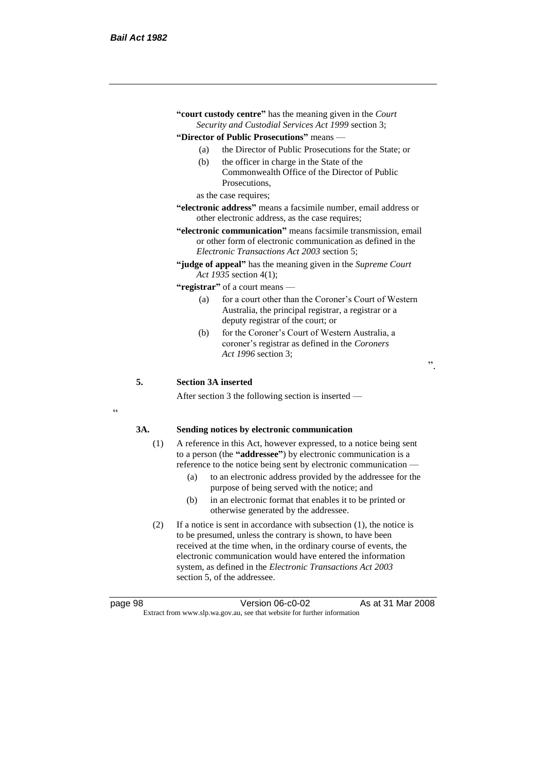| "court custody centre" has the meaning given in the Court<br>Security and Custodial Services Act 1999 section 3;          |                                                                                                                                                                                     |  |
|---------------------------------------------------------------------------------------------------------------------------|-------------------------------------------------------------------------------------------------------------------------------------------------------------------------------------|--|
| "Director of Public Prosecutions" means —                                                                                 |                                                                                                                                                                                     |  |
| (a)                                                                                                                       | the Director of Public Prosecutions for the State; or                                                                                                                               |  |
| (b)                                                                                                                       | the officer in charge in the State of the                                                                                                                                           |  |
|                                                                                                                           | Commonwealth Office of the Director of Public                                                                                                                                       |  |
|                                                                                                                           | Prosecutions.                                                                                                                                                                       |  |
| as the case requires;                                                                                                     |                                                                                                                                                                                     |  |
| <b>"electronic address"</b> means a facsimile number, email address or<br>other electronic address, as the case requires; |                                                                                                                                                                                     |  |
|                                                                                                                           | "electronic communication" means facsimile transmission, email<br>or other form of electronic communication as defined in the<br><i>Electronic Transactions Act 2003 section 5;</i> |  |
|                                                                                                                           | "judge of appeal" has the meaning given in the Supreme Court<br>Act 1935 section 4(1);                                                                                              |  |

**"registrar"** of a court means —

- (a) for a court other than the Coroner's Court of Western Australia, the principal registrar, a registrar or a deputy registrar of the court; or
- (b) for the Coroner's Court of Western Australia, a coroner's registrar as defined in the *Coroners Act 1996* section 3;

".

#### **5. Section 3A inserted**

After section 3 the following section is inserted —

 $\epsilon$ 

#### **3A. Sending notices by electronic communication**

- (1) A reference in this Act, however expressed, to a notice being sent to a person (the **"addressee"**) by electronic communication is a reference to the notice being sent by electronic communication —
	- (a) to an electronic address provided by the addressee for the purpose of being served with the notice; and
	- (b) in an electronic format that enables it to be printed or otherwise generated by the addressee.
- (2) If a notice is sent in accordance with subsection (1), the notice is to be presumed, unless the contrary is shown, to have been received at the time when, in the ordinary course of events, the electronic communication would have entered the information system, as defined in the *Electronic Transactions Act 2003* section 5, of the addressee.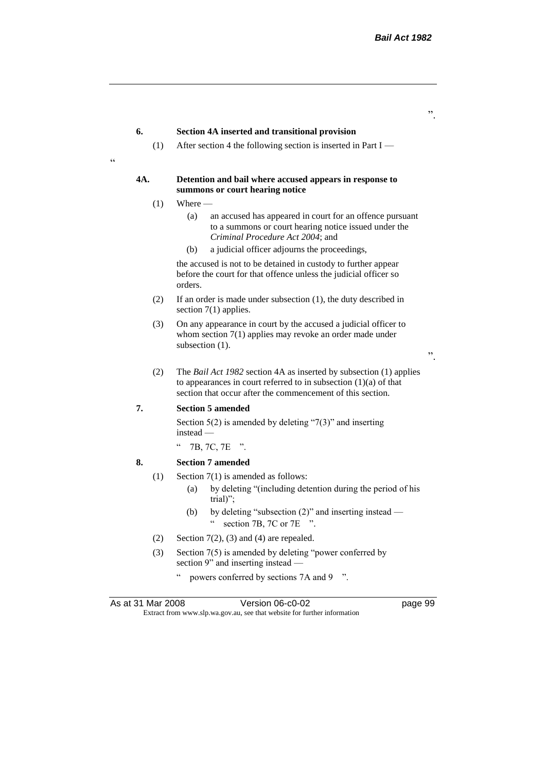".

".

#### **6. Section 4A inserted and transitional provision**

(1) After section 4 the following section is inserted in Part I —

#### **4A. Detention and bail where accused appears in response to summons or court hearing notice**

 $(1)$  Where —

"

- (a) an accused has appeared in court for an offence pursuant to a summons or court hearing notice issued under the *Criminal Procedure Act 2004*; and
- (b) a judicial officer adjourns the proceedings,

the accused is not to be detained in custody to further appear before the court for that offence unless the judicial officer so orders.

- (2) If an order is made under subsection (1), the duty described in section 7(1) applies.
- (3) On any appearance in court by the accused a judicial officer to whom section 7(1) applies may revoke an order made under subsection  $(1)$ .
- (2) The *Bail Act 1982* section 4A as inserted by subsection (1) applies to appearances in court referred to in subsection (1)(a) of that section that occur after the commencement of this section.

#### **7. Section 5 amended**

Section  $5(2)$  is amended by deleting "7(3)" and inserting instead —

 $"$  7B, 7C, 7E ".

#### **8. Section 7 amended**

- (1) Section 7(1) is amended as follows:
	- (a) by deleting "(including detention during the period of his trial)";
	- (b) by deleting "subsection (2)" and inserting instead " section 7B, 7C or 7E ".
- (2) Section  $7(2)$ , (3) and (4) are repealed.
- (3) Section 7(5) is amended by deleting "power conferred by section 9" and inserting instead
	- powers conferred by sections 7A and 9  $\degree$ ".

| As at 31 Mar 2008 | Version 06-c0-02                                                         |
|-------------------|--------------------------------------------------------------------------|
|                   | Extract from www.slp.wa.gov.au, see that website for further information |

as 31 Mar 2008 version of  $p$ age 99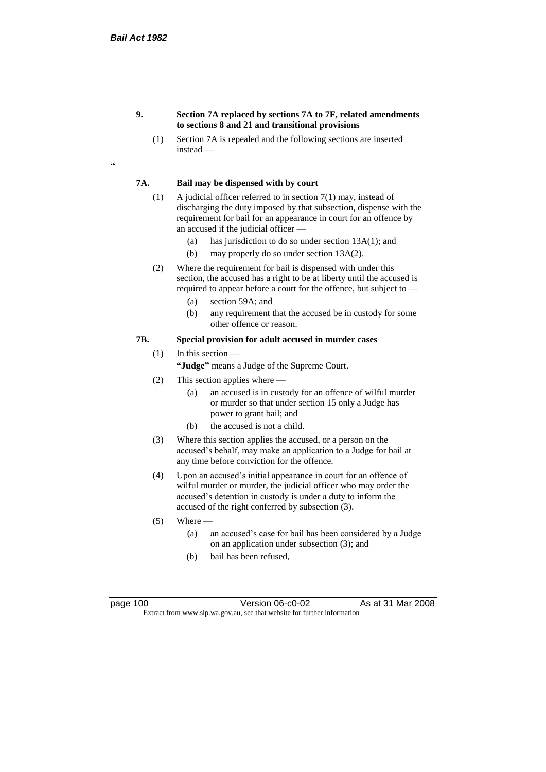#### **9. Section 7A replaced by sections 7A to 7F, related amendments to sections 8 and 21 and transitional provisions**

(1) Section 7A is repealed and the following sections are inserted instead —

#### **7A. Bail may be dispensed with by court**

- (1) A judicial officer referred to in section 7(1) may, instead of discharging the duty imposed by that subsection, dispense with the requirement for bail for an appearance in court for an offence by an accused if the judicial officer —
	- (a) has jurisdiction to do so under section 13A(1); and
	- (b) may properly do so under section 13A(2).
- (2) Where the requirement for bail is dispensed with under this section, the accused has a right to be at liberty until the accused is required to appear before a court for the offence, but subject to —
	- (a) section 59A; and
	- (b) any requirement that the accused be in custody for some other offence or reason.

#### **7B. Special provision for adult accused in murder cases**

- (1) In this section
	- **"Judge"** means a Judge of the Supreme Court.
- (2) This section applies where
	- (a) an accused is in custody for an offence of wilful murder or murder so that under section 15 only a Judge has power to grant bail; and
	- (b) the accused is not a child.
- (3) Where this section applies the accused, or a person on the accused's behalf, may make an application to a Judge for bail at any time before conviction for the offence.
- (4) Upon an accused's initial appearance in court for an offence of wilful murder or murder, the judicial officer who may order the accused's detention in custody is under a duty to inform the accused of the right conferred by subsection (3).
- $(5)$  Where
	- (a) an accused's case for bail has been considered by a Judge on an application under subsection (3); and
	- (b) bail has been refused,

page 100 Version 06-c0-02 As at 31 Mar 2008 Extract from www.slp.wa.gov.au, see that website for further information

 $\epsilon$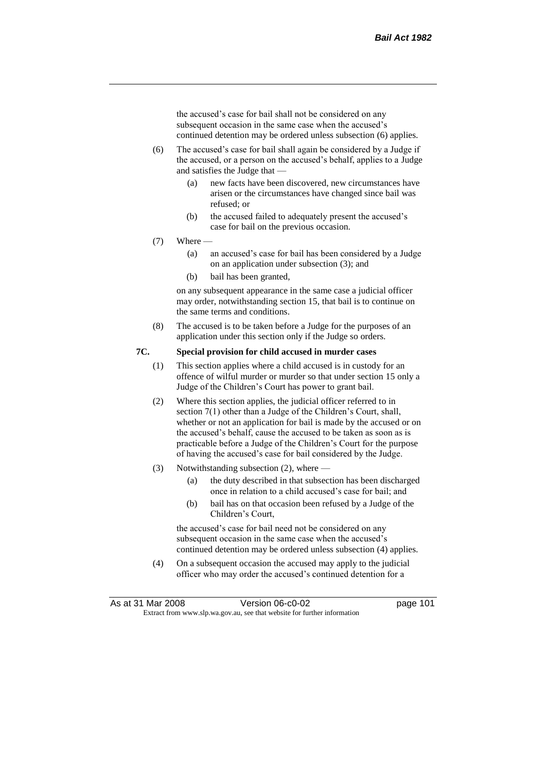the accused's case for bail shall not be considered on any subsequent occasion in the same case when the accused's continued detention may be ordered unless subsection (6) applies.

- (6) The accused's case for bail shall again be considered by a Judge if the accused, or a person on the accused's behalf, applies to a Judge and satisfies the Judge that —
	- (a) new facts have been discovered, new circumstances have arisen or the circumstances have changed since bail was refused; or
	- (b) the accused failed to adequately present the accused's case for bail on the previous occasion.
- $(7)$  Where
	- (a) an accused's case for bail has been considered by a Judge on an application under subsection (3); and
	- (b) bail has been granted,

on any subsequent appearance in the same case a judicial officer may order, notwithstanding section 15, that bail is to continue on the same terms and conditions.

(8) The accused is to be taken before a Judge for the purposes of an application under this section only if the Judge so orders.

## **7C. Special provision for child accused in murder cases**

- (1) This section applies where a child accused is in custody for an offence of wilful murder or murder so that under section 15 only a Judge of the Children's Court has power to grant bail.
- (2) Where this section applies, the judicial officer referred to in section 7(1) other than a Judge of the Children's Court, shall, whether or not an application for bail is made by the accused or on the accused's behalf, cause the accused to be taken as soon as is practicable before a Judge of the Children's Court for the purpose of having the accused's case for bail considered by the Judge.
- (3) Notwithstanding subsection (2), where
	- (a) the duty described in that subsection has been discharged once in relation to a child accused's case for bail; and
	- (b) bail has on that occasion been refused by a Judge of the Children's Court,

the accused's case for bail need not be considered on any subsequent occasion in the same case when the accused's continued detention may be ordered unless subsection (4) applies.

(4) On a subsequent occasion the accused may apply to the judicial officer who may order the accused's continued detention for a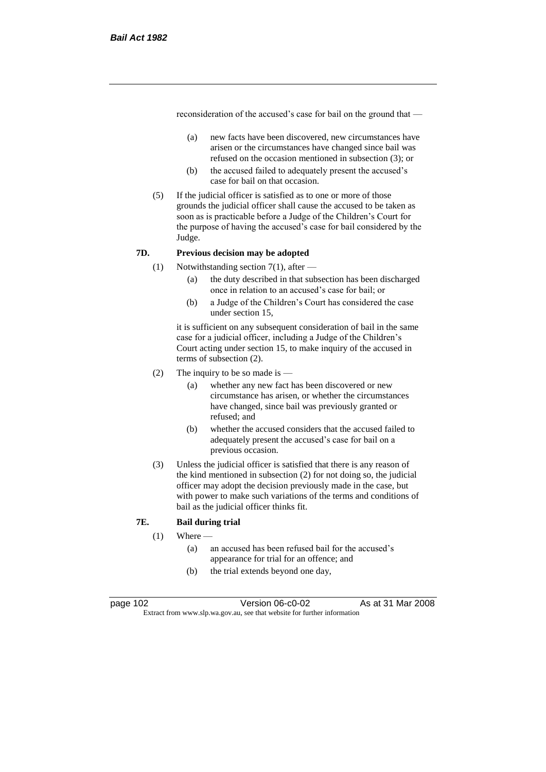reconsideration of the accused's case for bail on the ground that —

- (a) new facts have been discovered, new circumstances have arisen or the circumstances have changed since bail was refused on the occasion mentioned in subsection (3); or
- (b) the accused failed to adequately present the accused's case for bail on that occasion.
- (5) If the judicial officer is satisfied as to one or more of those grounds the judicial officer shall cause the accused to be taken as soon as is practicable before a Judge of the Children's Court for the purpose of having the accused's case for bail considered by the Judge.

## **7D. Previous decision may be adopted**

- (1) Notwithstanding section 7(1), after
	- (a) the duty described in that subsection has been discharged once in relation to an accused's case for bail; or
	- (b) a Judge of the Children's Court has considered the case under section 15,

it is sufficient on any subsequent consideration of bail in the same case for a judicial officer, including a Judge of the Children's Court acting under section 15, to make inquiry of the accused in terms of subsection (2).

- (2) The inquiry to be so made is  $-$ 
	- (a) whether any new fact has been discovered or new circumstance has arisen, or whether the circumstances have changed, since bail was previously granted or refused; and
	- (b) whether the accused considers that the accused failed to adequately present the accused's case for bail on a previous occasion.
- (3) Unless the judicial officer is satisfied that there is any reason of the kind mentioned in subsection (2) for not doing so, the judicial officer may adopt the decision previously made in the case, but with power to make such variations of the terms and conditions of bail as the judicial officer thinks fit.

#### **7E. Bail during trial**

 $(1)$  Where —

- (a) an accused has been refused bail for the accused's appearance for trial for an offence; and
- (b) the trial extends beyond one day,

page 102 Version 06-c0-02 As at 31 Mar 2008 Extract from www.slp.wa.gov.au, see that website for further information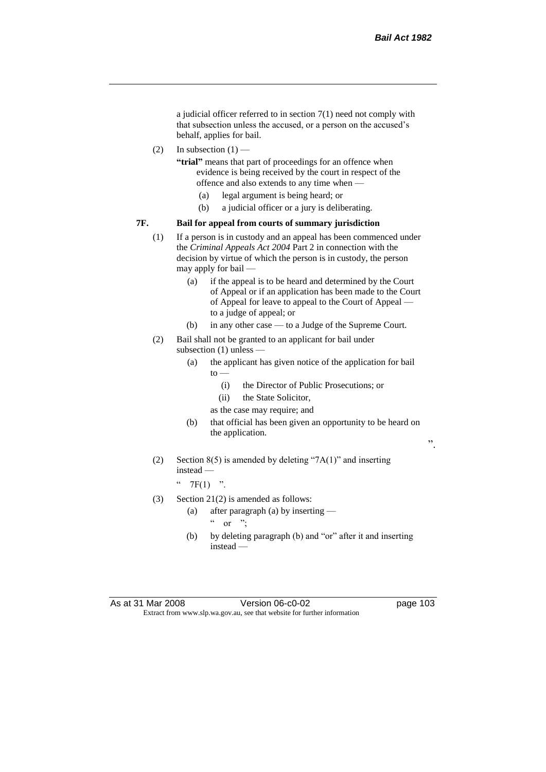a judicial officer referred to in section 7(1) need not comply with that subsection unless the accused, or a person on the accused's behalf, applies for bail.

(2) In subsection  $(1)$  —

**"trial"** means that part of proceedings for an offence when evidence is being received by the court in respect of the offence and also extends to any time when —

- (a) legal argument is being heard; or
- (b) a judicial officer or a jury is deliberating.

#### **7F. Bail for appeal from courts of summary jurisdiction**

- (1) If a person is in custody and an appeal has been commenced under the *Criminal Appeals Act 2004* Part 2 in connection with the decision by virtue of which the person is in custody, the person may apply for bail —
	- (a) if the appeal is to be heard and determined by the Court of Appeal or if an application has been made to the Court of Appeal for leave to appeal to the Court of Appeal to a judge of appeal; or
	- (b) in any other case to a Judge of the Supreme Court.
- (2) Bail shall not be granted to an applicant for bail under subsection (1) unless —
	- (a) the applicant has given notice of the application for bail  $to -$ 
		- (i) the Director of Public Prosecutions; or
		- (ii) the State Solicitor,
		- as the case may require; and
	- (b) that official has been given an opportunity to be heard on the application.

(2) Section  $8(5)$  is amended by deleting "7A(1)" and inserting instead —

 $"$  7F(1) ".

- (3) Section 21(2) is amended as follows:
	- (a) after paragraph (a) by inserting  $\alpha$  or ";
	- (b) by deleting paragraph (b) and "or" after it and inserting instead —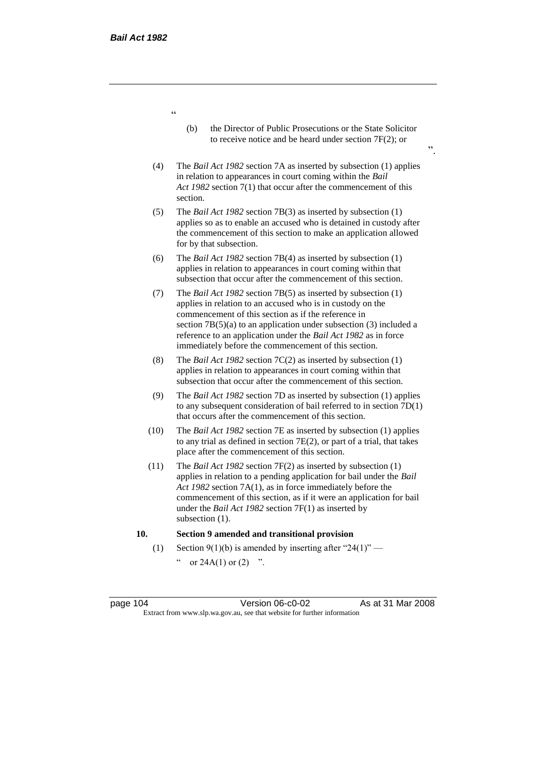"

- (b) the Director of Public Prosecutions or the State Solicitor to receive notice and be heard under section 7F(2); or
- (4) The *Bail Act 1982* section 7A as inserted by subsection (1) applies in relation to appearances in court coming within the *Bail Act 1982* section 7(1) that occur after the commencement of this section.
- (5) The *Bail Act 1982* section 7B(3) as inserted by subsection (1) applies so as to enable an accused who is detained in custody after the commencement of this section to make an application allowed for by that subsection.
- (6) The *Bail Act 1982* section 7B(4) as inserted by subsection (1) applies in relation to appearances in court coming within that subsection that occur after the commencement of this section.
- (7) The *Bail Act 1982* section 7B(5) as inserted by subsection (1) applies in relation to an accused who is in custody on the commencement of this section as if the reference in section  $7B(5)(a)$  to an application under subsection (3) included a reference to an application under the *Bail Act 1982* as in force immediately before the commencement of this section.
- (8) The *Bail Act 1982* section 7C(2) as inserted by subsection (1) applies in relation to appearances in court coming within that subsection that occur after the commencement of this section.
- (9) The *Bail Act 1982* section 7D as inserted by subsection (1) applies to any subsequent consideration of bail referred to in section 7D(1) that occurs after the commencement of this section.
- (10) The *Bail Act 1982* section 7E as inserted by subsection (1) applies to any trial as defined in section 7E(2), or part of a trial, that takes place after the commencement of this section.
- (11) The *Bail Act 1982* section 7F(2) as inserted by subsection (1) applies in relation to a pending application for bail under the *Bail Act 1982* section 7A(1), as in force immediately before the commencement of this section, as if it were an application for bail under the *Bail Act 1982* section 7F(1) as inserted by subsection  $(1)$ .

## **10. Section 9 amended and transitional provision**

(1) Section 9(1)(b) is amended by inserting after "24(1)" or  $24A(1)$  or  $(2)$  ".

page 104 Version 06-c0-02 As at 31 Mar 2008 Extract from www.slp.wa.gov.au, see that website for further information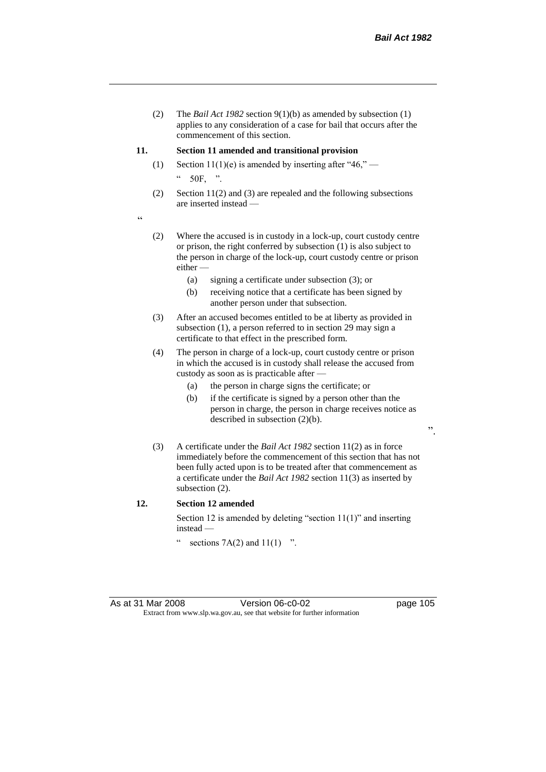(2) The *Bail Act 1982* section 9(1)(b) as amended by subsection (1) applies to any consideration of a case for bail that occurs after the commencement of this section.

#### **11. Section 11 amended and transitional provision**

- (1) Section 11(1)(e) is amended by inserting after "46,"  $\degree$  50F, ".
- (2) Section 11(2) and (3) are repealed and the following subsections are inserted instead —

"

- (2) Where the accused is in custody in a lock-up, court custody centre or prison, the right conferred by subsection (1) is also subject to the person in charge of the lock-up, court custody centre or prison either —
	- (a) signing a certificate under subsection (3); or
	- (b) receiving notice that a certificate has been signed by another person under that subsection.
- (3) After an accused becomes entitled to be at liberty as provided in subsection (1), a person referred to in section 29 may sign a certificate to that effect in the prescribed form.
- (4) The person in charge of a lock-up, court custody centre or prison in which the accused is in custody shall release the accused from custody as soon as is practicable after —
	- (a) the person in charge signs the certificate; or
	- (b) if the certificate is signed by a person other than the person in charge, the person in charge receives notice as described in subsection (2)(b).
- (3) A certificate under the *Bail Act 1982* section 11(2) as in force immediately before the commencement of this section that has not been fully acted upon is to be treated after that commencement as a certificate under the *Bail Act 1982* section 11(3) as inserted by subsection  $(2)$ .

#### **12. Section 12 amended**

Section 12 is amended by deleting "section 11(1)" and inserting instead —

" sections  $7A(2)$  and  $11(1)$  ".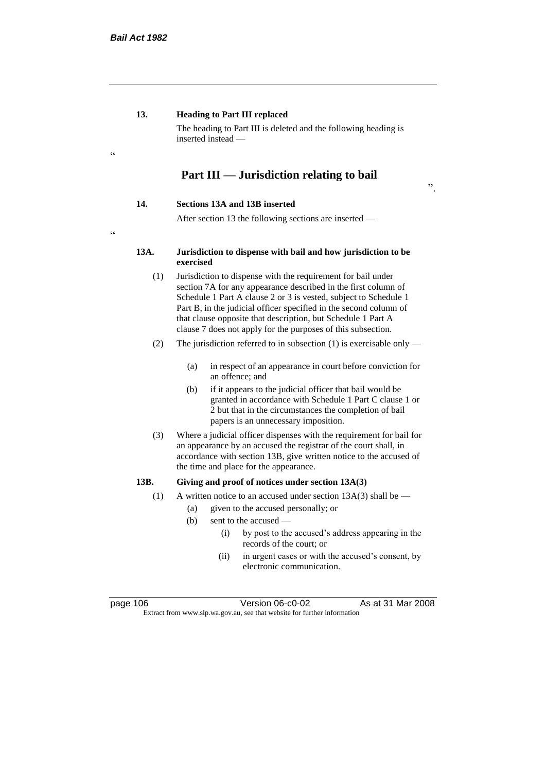## **13. Heading to Part III replaced**

The heading to Part III is deleted and the following heading is inserted instead —

# **Part III — Jurisdiction relating to bail**

## **14. Sections 13A and 13B inserted**

After section 13 the following sections are inserted —

# $C$

.<br>cc

#### **13A. Jurisdiction to dispense with bail and how jurisdiction to be exercised**

- (1) Jurisdiction to dispense with the requirement for bail under section 7A for any appearance described in the first column of Schedule 1 Part A clause 2 or 3 is vested, subject to Schedule 1 Part B, in the judicial officer specified in the second column of that clause opposite that description, but Schedule 1 Part A clause 7 does not apply for the purposes of this subsection.
- (2) The jurisdiction referred to in subsection (1) is exercisable only
	- (a) in respect of an appearance in court before conviction for an offence; and
	- (b) if it appears to the judicial officer that bail would be granted in accordance with Schedule 1 Part C clause 1 or 2 but that in the circumstances the completion of bail papers is an unnecessary imposition.
- (3) Where a judicial officer dispenses with the requirement for bail for an appearance by an accused the registrar of the court shall, in accordance with section 13B, give written notice to the accused of the time and place for the appearance.

## **13B. Giving and proof of notices under section 13A(3)**

- (1) A written notice to an accused under section  $13A(3)$  shall be
	- (a) given to the accused personally; or
	- (b) sent to the accused
		- (i) by post to the accused's address appearing in the records of the court; or
		- (ii) in urgent cases or with the accused's consent, by electronic communication.

page 106 Version 06-c0-02 As at 31 Mar 2008 Extract from www.slp.wa.gov.au, see that website for further information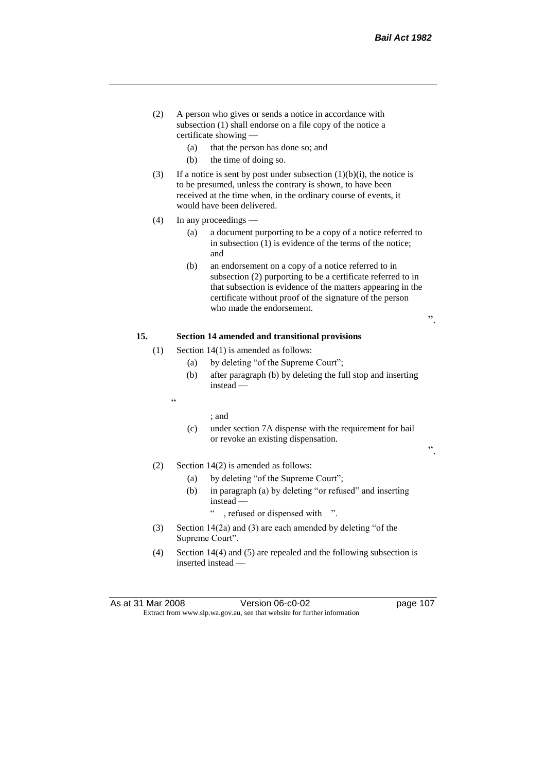".

- (2) A person who gives or sends a notice in accordance with subsection (1) shall endorse on a file copy of the notice a certificate showing —
	- (a) that the person has done so; and
	- (b) the time of doing so.
- (3) If a notice is sent by post under subsection  $(1)(b)(i)$ , the notice is to be presumed, unless the contrary is shown, to have been received at the time when, in the ordinary course of events, it would have been delivered.
- (4) In any proceedings
	- (a) a document purporting to be a copy of a notice referred to in subsection (1) is evidence of the terms of the notice; and
	- (b) an endorsement on a copy of a notice referred to in subsection (2) purporting to be a certificate referred to in that subsection is evidence of the matters appearing in the certificate without proof of the signature of the person who made the endorsement.

## **15. Section 14 amended and transitional provisions**

- (1) Section  $14(1)$  is amended as follows:
	- (a) by deleting "of the Supreme Court";
	- (b) after paragraph (b) by deleting the full stop and inserting instead —
	-

 $\epsilon$ 

## ; and

- (c) under section 7A dispense with the requirement for bail or revoke an existing dispensation.
- (2) Section 14(2) is amended as follows:
	- (a) by deleting "of the Supreme Court";
	- (b) in paragraph (a) by deleting "or refused" and inserting instead —

, refused or dispensed with ".

- (3) Section 14(2a) and (3) are each amended by deleting "of the Supreme Court".
- (4) Section 14(4) and (5) are repealed and the following subsection is inserted instead —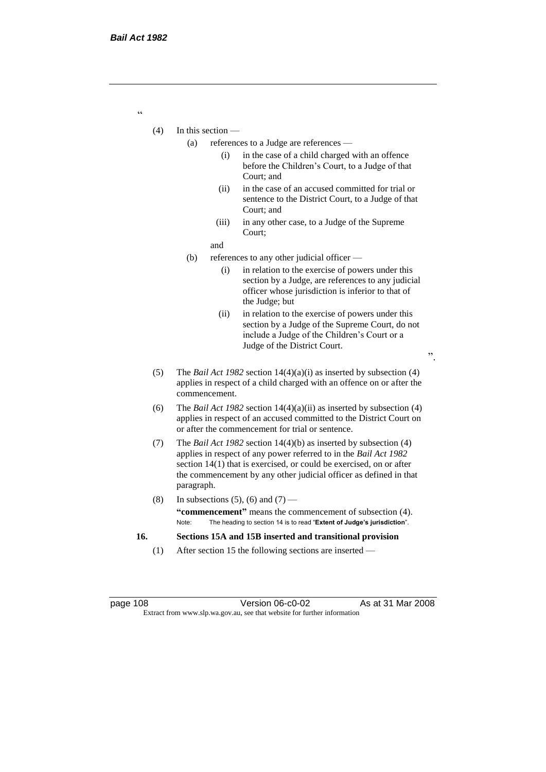- (4) In this section
	- (a) references to a Judge are references
		- (i) in the case of a child charged with an offence before the Children's Court, to a Judge of that Court; and
		- (ii) in the case of an accused committed for trial or sentence to the District Court, to a Judge of that Court; and
		- (iii) in any other case, to a Judge of the Supreme Court;
		- and
	- (b) references to any other judicial officer
		- (i) in relation to the exercise of powers under this section by a Judge, are references to any judicial officer whose jurisdiction is inferior to that of the Judge; but
		- (ii) in relation to the exercise of powers under this section by a Judge of the Supreme Court, do not include a Judge of the Children's Court or a Judge of the District Court.
	- (5) The *Bail Act 1982* section 14(4)(a)(i) as inserted by subsection (4) applies in respect of a child charged with an offence on or after the commencement.
	- (6) The *Bail Act 1982* section 14(4)(a)(ii) as inserted by subsection (4) applies in respect of an accused committed to the District Court on or after the commencement for trial or sentence.
	- (7) The *Bail Act 1982* section 14(4)(b) as inserted by subsection (4) applies in respect of any power referred to in the *Bail Act 1982* section 14(1) that is exercised, or could be exercised, on or after the commencement by any other judicial officer as defined in that paragraph.
	- (8) In subsections (5), (6) and (7) **"commencement"** means the commencement of subsection (4). Note: The heading to section 14 is to read "**Extent of Judge's jurisdiction**".
- **16. Sections 15A and 15B inserted and transitional provision**
	- (1) After section 15 the following sections are inserted —

page 108 Version 06-c0-02 As at 31 Mar 2008 Extract from www.slp.wa.gov.au, see that website for further information

".

"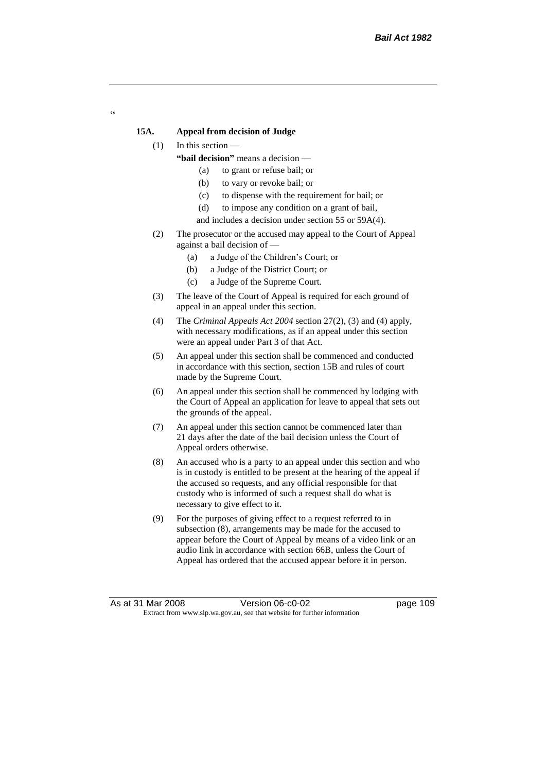### **15A. Appeal from decision of Judge**

#### (1) In this section —

 $\alpha$ 

- **"bail decision"** means a decision
	- (a) to grant or refuse bail; or
	- (b) to vary or revoke bail; or
	- (c) to dispense with the requirement for bail; or
	- (d) to impose any condition on a grant of bail,
	- and includes a decision under section 55 or 59A(4).
- (2) The prosecutor or the accused may appeal to the Court of Appeal against a bail decision of —
	- (a) a Judge of the Children's Court; or
	- (b) a Judge of the District Court; or
	- (c) a Judge of the Supreme Court.
- (3) The leave of the Court of Appeal is required for each ground of appeal in an appeal under this section.
- (4) The *Criminal Appeals Act 2004* section 27(2), (3) and (4) apply, with necessary modifications, as if an appeal under this section were an appeal under Part 3 of that Act.
- (5) An appeal under this section shall be commenced and conducted in accordance with this section, section 15B and rules of court made by the Supreme Court.
- (6) An appeal under this section shall be commenced by lodging with the Court of Appeal an application for leave to appeal that sets out the grounds of the appeal.
- (7) An appeal under this section cannot be commenced later than 21 days after the date of the bail decision unless the Court of Appeal orders otherwise.
- (8) An accused who is a party to an appeal under this section and who is in custody is entitled to be present at the hearing of the appeal if the accused so requests, and any official responsible for that custody who is informed of such a request shall do what is necessary to give effect to it.
- (9) For the purposes of giving effect to a request referred to in subsection (8), arrangements may be made for the accused to appear before the Court of Appeal by means of a video link or an audio link in accordance with section 66B, unless the Court of Appeal has ordered that the accused appear before it in person.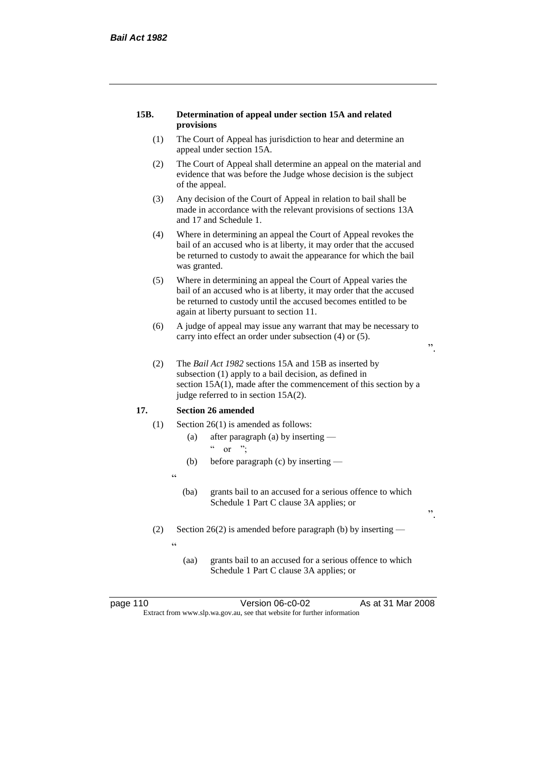#### **15B. Determination of appeal under section 15A and related provisions**

- (1) The Court of Appeal has jurisdiction to hear and determine an appeal under section 15A.
- (2) The Court of Appeal shall determine an appeal on the material and evidence that was before the Judge whose decision is the subject of the appeal.
- (3) Any decision of the Court of Appeal in relation to bail shall be made in accordance with the relevant provisions of sections 13A and 17 and Schedule 1.
- (4) Where in determining an appeal the Court of Appeal revokes the bail of an accused who is at liberty, it may order that the accused be returned to custody to await the appearance for which the bail was granted.
- (5) Where in determining an appeal the Court of Appeal varies the bail of an accused who is at liberty, it may order that the accused be returned to custody until the accused becomes entitled to be again at liberty pursuant to section 11.
- (6) A judge of appeal may issue any warrant that may be necessary to carry into effect an order under subsection (4) or (5).
- ".

".

(2) The *Bail Act 1982* sections 15A and 15B as inserted by subsection (1) apply to a bail decision, as defined in section 15A(1), made after the commencement of this section by a judge referred to in section 15A(2).

## **17. Section 26 amended**

- (1) Section 26(1) is amended as follows:
	- (a) after paragraph (a) by inserting or  $"$ :
	- (b) before paragraph (c) by inserting —
	-

 $\epsilon$ 

"

- (ba) grants bail to an accused for a serious offence to which Schedule 1 Part C clause 3A applies; or
- (2) Section 26(2) is amended before paragraph (b) by inserting
	-
	- (aa) grants bail to an accused for a serious offence to which Schedule 1 Part C clause 3A applies; or

| page 110 | Version 06-c0-02                                                         | As at 31 Mar 2008 |
|----------|--------------------------------------------------------------------------|-------------------|
|          | Extract from www.slp.wa.gov.au, see that website for further information |                   |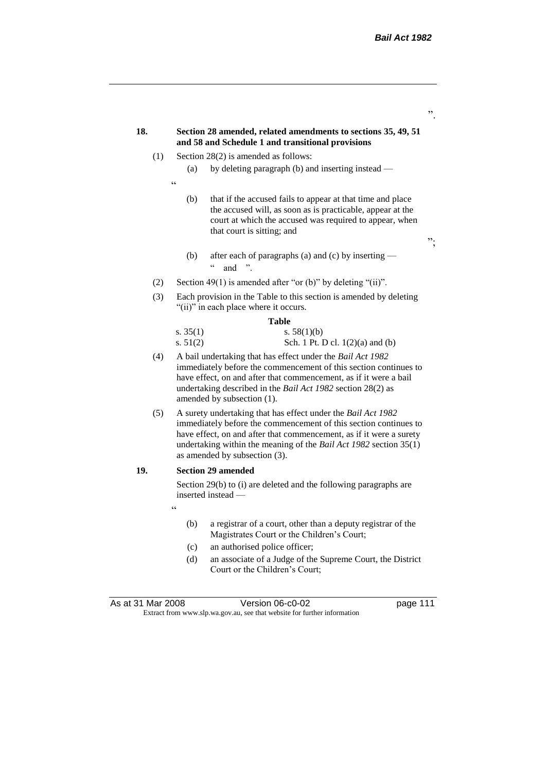| 18. |     | Section 28 amended, related amendments to sections 35, 49, 51<br>and 58 and Schedule 1 and transitional provisions                                                                                                                                                                                            |    |  |
|-----|-----|---------------------------------------------------------------------------------------------------------------------------------------------------------------------------------------------------------------------------------------------------------------------------------------------------------------|----|--|
|     | (1) | Section $28(2)$ is amended as follows:                                                                                                                                                                                                                                                                        |    |  |
|     |     | by deleting paragraph (b) and inserting instead —<br>(a)                                                                                                                                                                                                                                                      |    |  |
|     |     | $\epsilon$                                                                                                                                                                                                                                                                                                    |    |  |
|     |     | that if the accused fails to appear at that time and place<br>(b)<br>the accused will, as soon as is practicable, appear at the<br>court at which the accused was required to appear, when<br>that court is sitting; and                                                                                      | ". |  |
|     |     | after each of paragraphs (a) and (c) by inserting —<br>(b)<br>and                                                                                                                                                                                                                                             |    |  |
|     | (2) | Section 49(1) is amended after "or (b)" by deleting "(ii)".                                                                                                                                                                                                                                                   |    |  |
|     | (3) | Each provision in the Table to this section is amended by deleting<br>"(ii)" in each place where it occurs.                                                                                                                                                                                                   |    |  |
|     |     | Table                                                                                                                                                                                                                                                                                                         |    |  |
|     |     | s. $35(1)$<br>s. $58(1)(b)$<br>s. $51(2)$<br>Sch. 1 Pt. D cl. $1(2)(a)$ and $(b)$                                                                                                                                                                                                                             |    |  |
|     | (4) | A bail undertaking that has effect under the Bail Act 1982<br>immediately before the commencement of this section continues to<br>have effect, on and after that commencement, as if it were a bail<br>undertaking described in the Bail Act 1982 section 28(2) as<br>amended by subsection (1).              |    |  |
|     | (5) | A surety undertaking that has effect under the Bail Act 1982<br>immediately before the commencement of this section continues to<br>have effect, on and after that commencement, as if it were a surety<br>undertaking within the meaning of the Bail Act 1982 section 35(1)<br>as amended by subsection (3). |    |  |
| 19. |     | <b>Section 29 amended</b>                                                                                                                                                                                                                                                                                     |    |  |
|     |     | Section 29(b) to (i) are deleted and the following paragraphs are<br>inserted instead —                                                                                                                                                                                                                       |    |  |
|     |     | $\epsilon$                                                                                                                                                                                                                                                                                                    |    |  |
|     |     | a registrar of a court, other than a deputy registrar of the<br>(b)<br>Magistrates Court or the Children's Court;                                                                                                                                                                                             |    |  |
|     |     | an authorised police officer;<br>(c)                                                                                                                                                                                                                                                                          |    |  |
|     |     | an associate of a Judge of the Supreme Court, the District<br>(d)<br>Court or the Children's Court;                                                                                                                                                                                                           |    |  |

As at 31 Mar 2008 **Version 06-c0-02 page 111** Extract from www.slp.wa.gov.au, see that website for further information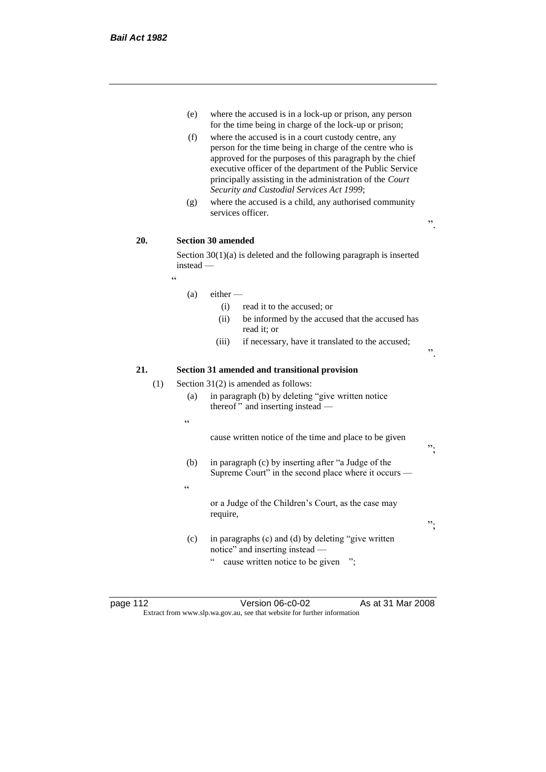- (e) where the accused is in a lock-up or prison, any person for the time being in charge of the lock-up or prison;
- (f) where the accused is in a court custody centre, any person for the time being in charge of the centre who is approved for the purposes of this paragraph by the chief executive officer of the department of the Public Service principally assisting in the administration of the *Court Security and Custodial Services Act 1999*;
- (g) where the accused is a child, any authorised community services officer.

".

 $"$ 

";

## **20. Section 30 amended**

Section 30(1)(a) is deleted and the following paragraph is inserted instead —

"

#### $(a)$  either —

- (i) read it to the accused; or
- (ii) be informed by the accused that the accused has read it; or
- (iii) if necessary, have it translated to the accused;

## **21. Section 31 amended and transitional provision**

(1) Section 31(2) is amended as follows:

- (a) in paragraph (b) by deleting "give written notice thereof " and inserting instead —
- $\epsilon$

 $\epsilon$ 

cause written notice of the time and place to be given

(b) in paragraph (c) by inserting after "a Judge of the Supreme Court" in the second place where it occurs —

> or a Judge of the Children's Court, as the case may require,

(c) in paragraphs (c) and (d) by deleting "give written notice" and inserting instead —

" cause written notice to be given ";

page 112 Version 06-c0-02 As at 31 Mar 2008 Extract from www.slp.wa.gov.au, see that website for further information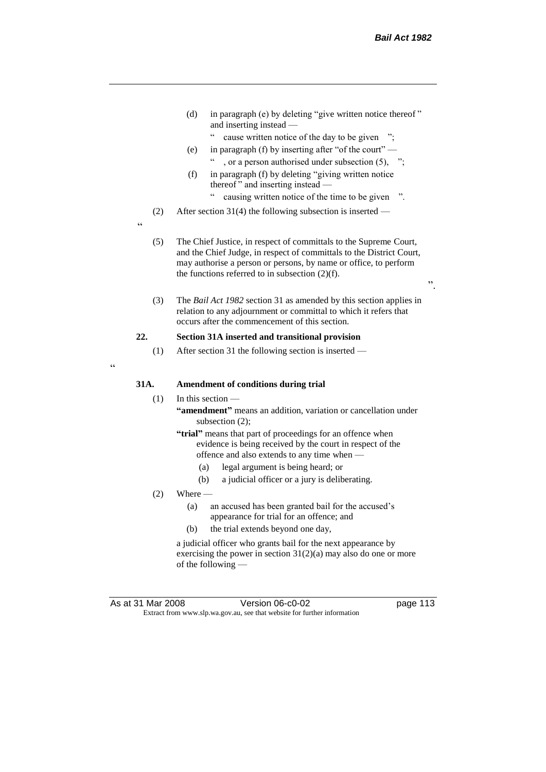- (d) in paragraph (e) by deleting "give written notice thereof " and inserting instead —
	- " cause written notice of the day to be given ";
- (e) in paragraph (f) by inserting after "of the court" , or a person authorised under subsection  $(5)$ , ";
- (f) in paragraph (f) by deleting "giving written notice thereof " and inserting instead
	- causing written notice of the time to be given ".
- (2) After section 31(4) the following subsection is inserted —
- "
- (5) The Chief Justice, in respect of committals to the Supreme Court, and the Chief Judge, in respect of committals to the District Court, may authorise a person or persons, by name or office, to perform the functions referred to in subsection  $(2)(f)$ .

(3) The *Bail Act 1982* section 31 as amended by this section applies in relation to any adjournment or committal to which it refers that occurs after the commencement of this section.

## **22. Section 31A inserted and transitional provision**

(1) After section 31 the following section is inserted —

 $\epsilon$ 

#### **31A. Amendment of conditions during trial**

- (1) In this section
	- **"amendment"** means an addition, variation or cancellation under subsection (2);
	- **"trial"** means that part of proceedings for an offence when evidence is being received by the court in respect of the offence and also extends to any time when —
		- (a) legal argument is being heard; or
		- (b) a judicial officer or a jury is deliberating.
- $(2)$  Where
	- (a) an accused has been granted bail for the accused's appearance for trial for an offence; and
	- (b) the trial extends beyond one day,

a judicial officer who grants bail for the next appearance by exercising the power in section 31(2)(a) may also do one or more of the following —

As at 31 Mar 2008 Version 06-c0-02 page 113 Extract from www.slp.wa.gov.au, see that website for further information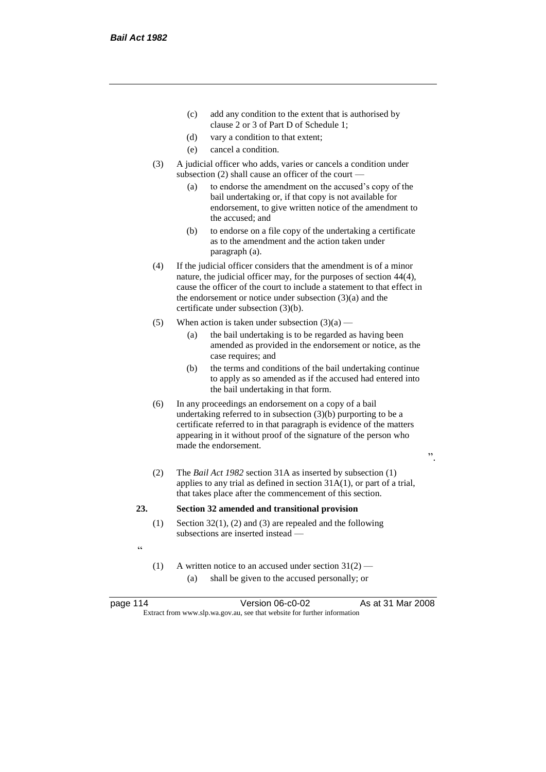- (c) add any condition to the extent that is authorised by clause 2 or 3 of Part D of Schedule 1;
- (d) vary a condition to that extent;
- (e) cancel a condition.
- (3) A judicial officer who adds, varies or cancels a condition under subsection (2) shall cause an officer of the court —
	- (a) to endorse the amendment on the accused's copy of the bail undertaking or, if that copy is not available for endorsement, to give written notice of the amendment to the accused; and
	- (b) to endorse on a file copy of the undertaking a certificate as to the amendment and the action taken under paragraph (a).
- (4) If the judicial officer considers that the amendment is of a minor nature, the judicial officer may, for the purposes of section 44(4), cause the officer of the court to include a statement to that effect in the endorsement or notice under subsection (3)(a) and the certificate under subsection (3)(b).
- (5) When action is taken under subsection  $(3)(a)$ 
	- (a) the bail undertaking is to be regarded as having been amended as provided in the endorsement or notice, as the case requires; and
	- (b) the terms and conditions of the bail undertaking continue to apply as so amended as if the accused had entered into the bail undertaking in that form.

- (6) In any proceedings an endorsement on a copy of a bail undertaking referred to in subsection (3)(b) purporting to be a certificate referred to in that paragraph is evidence of the matters appearing in it without proof of the signature of the person who made the endorsement.
- (2) The *Bail Act 1982* section 31A as inserted by subsection (1) applies to any trial as defined in section 31A(1), or part of a trial, that takes place after the commencement of this section.

#### **23. Section 32 amended and transitional provision**

- (1) Section 32(1), (2) and (3) are repealed and the following subsections are inserted instead —
- "
- (1) A written notice to an accused under section  $31(2)$  (a) shall be given to the accused personally; or

page 114 Version 06-c0-02 As at 31 Mar 2008 Extract from www.slp.wa.gov.au, see that website for further information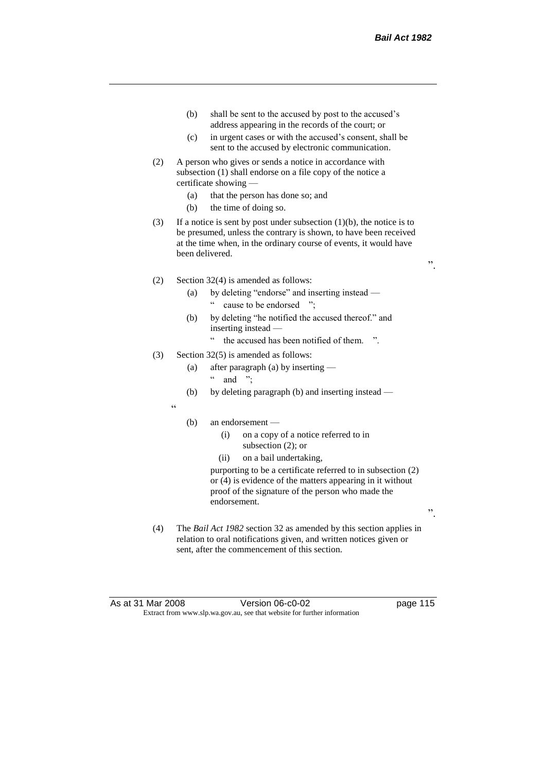- (b) shall be sent to the accused by post to the accused's address appearing in the records of the court; or
- (c) in urgent cases or with the accused's consent, shall be sent to the accused by electronic communication.
- (2) A person who gives or sends a notice in accordance with subsection (1) shall endorse on a file copy of the notice a certificate showing —
	- (a) that the person has done so; and
	- (b) the time of doing so.
- (3) If a notice is sent by post under subsection  $(1)(b)$ , the notice is to be presumed, unless the contrary is shown, to have been received at the time when, in the ordinary course of events, it would have been delivered.
- (2) Section 32(4) is amended as follows:
	- (a) by deleting "endorse" and inserting instead " cause to be endorsed ";
	- (b) by deleting "he notified the accused thereof." and inserting instead —
		- " the accused has been notified of them. ".
- (3) Section 32(5) is amended as follows:
	- (a) after paragraph (a) by inserting  $\lq$  and ";
	- (b) by deleting paragraph (b) and inserting instead —
	- $\epsilon$
- (b) an endorsement
	- (i) on a copy of a notice referred to in subsection (2); or
	- (ii) on a bail undertaking,

purporting to be a certificate referred to in subsection (2) or (4) is evidence of the matters appearing in it without proof of the signature of the person who made the endorsement.

(4) The *Bail Act 1982* section 32 as amended by this section applies in relation to oral notifications given, and written notices given or sent, after the commencement of this section.

".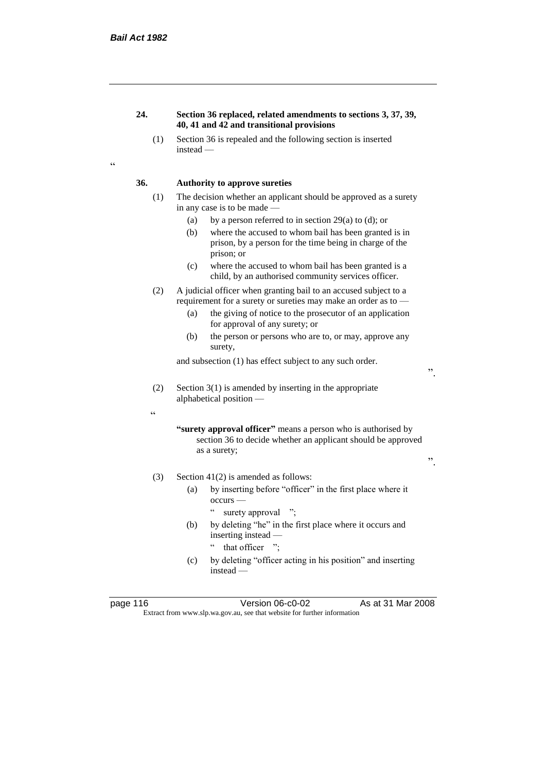## **24. Section 36 replaced, related amendments to sections 3, 37, 39, 40, 41 and 42 and transitional provisions**

(1) Section 36 is repealed and the following section is inserted instead —

 $\epsilon$ 

## **36. Authority to approve sureties**

- (1) The decision whether an applicant should be approved as a surety in any case is to be made —
	- (a) by a person referred to in section 29(a) to (d); or
	- (b) where the accused to whom bail has been granted is in prison, by a person for the time being in charge of the prison; or
	- (c) where the accused to whom bail has been granted is a child, by an authorised community services officer.
- (2) A judicial officer when granting bail to an accused subject to a requirement for a surety or sureties may make an order as to —
	- (a) the giving of notice to the prosecutor of an application for approval of any surety; or
	- (b) the person or persons who are to, or may, approve any surety,

and subsection (1) has effect subject to any such order.

- (2) Section 3(1) is amended by inserting in the appropriate alphabetical position —
	- **"surety approval officer"** means a person who is authorised by section 36 to decide whether an applicant should be approved as a surety; ".
- (3) Section 41(2) is amended as follows:
	- (a) by inserting before "officer" in the first place where it occurs —
		- " surety approval ";
	- (b) by deleting "he" in the first place where it occurs and inserting instead — " that officer ";
	- (c) by deleting "officer acting in his position" and inserting instead —

 $\epsilon$ 

page 116 Version 06-c0-02 As at 31 Mar 2008 Extract from www.slp.wa.gov.au, see that website for further information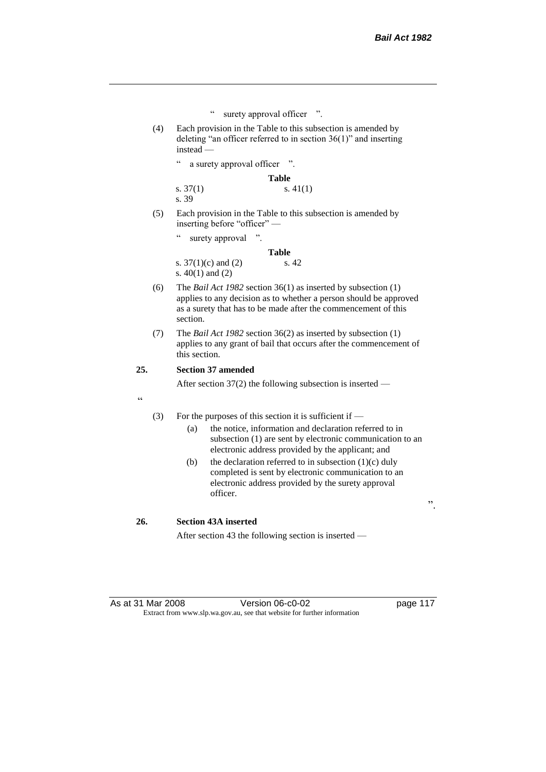- " surety approval officer ".
- (4) Each provision in the Table to this subsection is amended by deleting "an officer referred to in section 36(1)" and inserting instead
	- a surety approval officer ".

**Table** s. 37(1) s. 41(1) s. 39

(5) Each provision in the Table to this subsection is amended by inserting before "officer" —

" surety approval ".

|                       | <b>Table</b> |
|-----------------------|--------------|
| s. $37(1)(c)$ and (2) | s. 42        |
| s. $40(1)$ and $(2)$  |              |

- (6) The *Bail Act 1982* section 36(1) as inserted by subsection (1) applies to any decision as to whether a person should be approved as a surety that has to be made after the commencement of this section.
- (7) The *Bail Act 1982* section 36(2) as inserted by subsection (1) applies to any grant of bail that occurs after the commencement of this section.

## **25. Section 37 amended**

After section 37(2) the following subsection is inserted —

.<br>cc

- (3) For the purposes of this section it is sufficient if  $-$ 
	- (a) the notice, information and declaration referred to in subsection (1) are sent by electronic communication to an electronic address provided by the applicant; and
	- (b) the declaration referred to in subsection  $(1)(c)$  duly completed is sent by electronic communication to an electronic address provided by the surety approval officer.

".

#### **26. Section 43A inserted**

After section 43 the following section is inserted —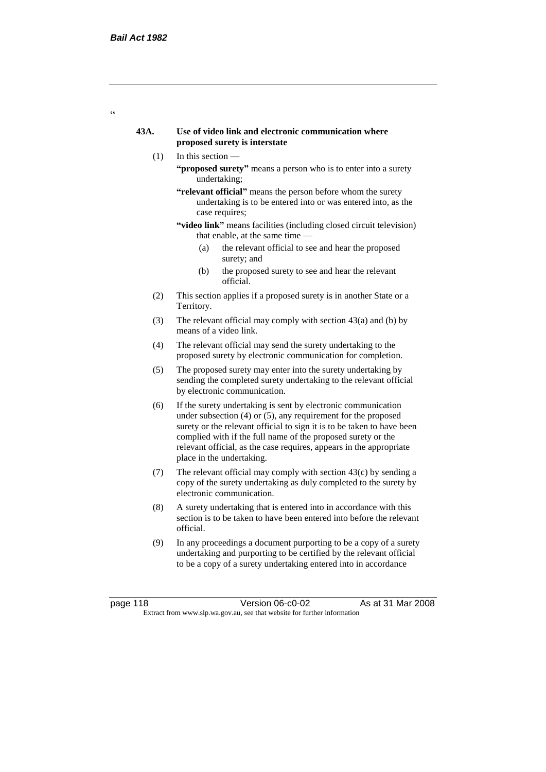$\epsilon$ 

## **43A. Use of video link and electronic communication where proposed surety is interstate**

- (1) In this section
	- **"proposed surety"** means a person who is to enter into a surety undertaking;
	- **"relevant official"** means the person before whom the surety undertaking is to be entered into or was entered into, as the case requires;
	- **"video link"** means facilities (including closed circuit television) that enable, at the same time —
		- (a) the relevant official to see and hear the proposed surety; and
		- (b) the proposed surety to see and hear the relevant official.
- (2) This section applies if a proposed surety is in another State or a Territory.
- (3) The relevant official may comply with section  $43(a)$  and (b) by means of a video link.
- (4) The relevant official may send the surety undertaking to the proposed surety by electronic communication for completion.
- (5) The proposed surety may enter into the surety undertaking by sending the completed surety undertaking to the relevant official by electronic communication.
- (6) If the surety undertaking is sent by electronic communication under subsection (4) or (5), any requirement for the proposed surety or the relevant official to sign it is to be taken to have been complied with if the full name of the proposed surety or the relevant official, as the case requires, appears in the appropriate place in the undertaking.
- (7) The relevant official may comply with section  $43(c)$  by sending a copy of the surety undertaking as duly completed to the surety by electronic communication.
- (8) A surety undertaking that is entered into in accordance with this section is to be taken to have been entered into before the relevant official.
- (9) In any proceedings a document purporting to be a copy of a surety undertaking and purporting to be certified by the relevant official to be a copy of a surety undertaking entered into in accordance

page 118 Version 06-c0-02 As at 31 Mar 2008 Extract from www.slp.wa.gov.au, see that website for further information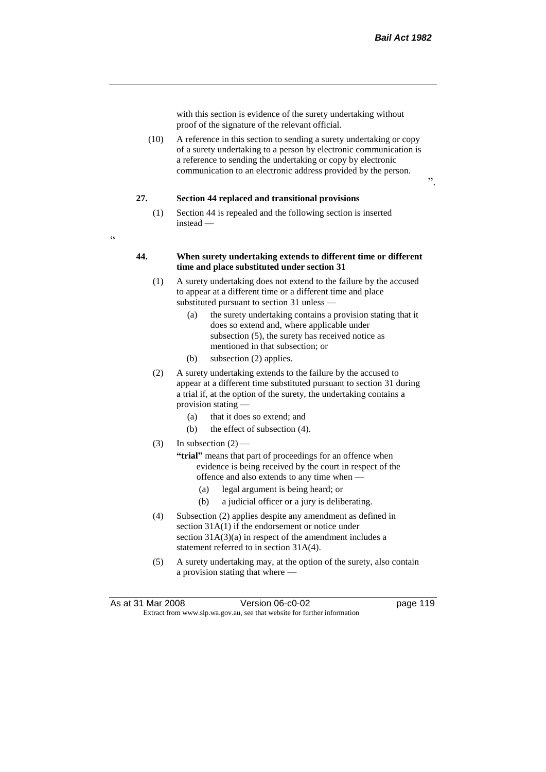with this section is evidence of the surety undertaking without proof of the signature of the relevant official.

(10) A reference in this section to sending a surety undertaking or copy of a surety undertaking to a person by electronic communication is a reference to sending the undertaking or copy by electronic communication to an electronic address provided by the person.

#### **27. Section 44 replaced and transitional provisions**

(1) Section 44 is repealed and the following section is inserted instead —

 $\epsilon$ 

#### **44. When surety undertaking extends to different time or different time and place substituted under section 31**

- (1) A surety undertaking does not extend to the failure by the accused to appear at a different time or a different time and place substituted pursuant to section 31 unless —
	- (a) the surety undertaking contains a provision stating that it does so extend and, where applicable under subsection (5), the surety has received notice as mentioned in that subsection; or
	- (b) subsection (2) applies.
- (2) A surety undertaking extends to the failure by the accused to appear at a different time substituted pursuant to section 31 during a trial if, at the option of the surety, the undertaking contains a provision stating —
	- (a) that it does so extend; and
	- (b) the effect of subsection (4).
- (3) In subsection  $(2)$ 
	- **"trial"** means that part of proceedings for an offence when evidence is being received by the court in respect of the offence and also extends to any time when —
		- (a) legal argument is being heard; or
		- (b) a judicial officer or a jury is deliberating.
- (4) Subsection (2) applies despite any amendment as defined in section 31A(1) if the endorsement or notice under section  $31A(3)(a)$  in respect of the amendment includes a statement referred to in section 31A(4).
- (5) A surety undertaking may, at the option of the surety, also contain a provision stating that where —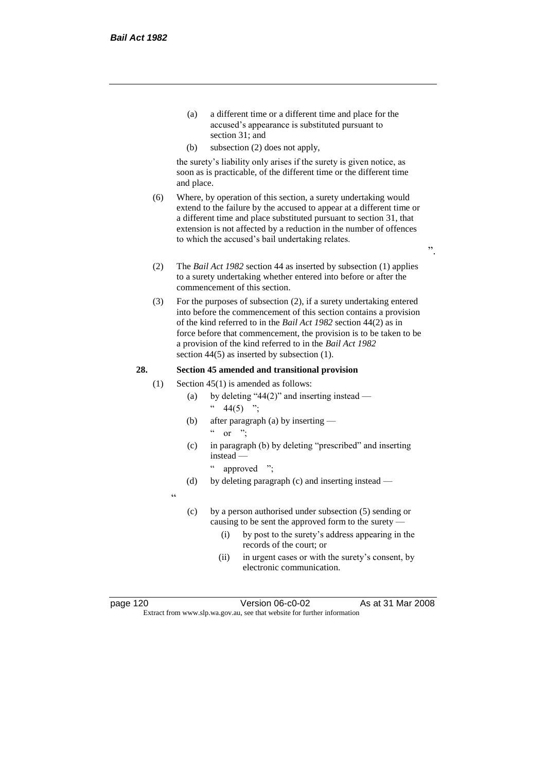- (a) a different time or a different time and place for the accused's appearance is substituted pursuant to section 31; and
- (b) subsection (2) does not apply,

the surety's liability only arises if the surety is given notice, as soon as is practicable, of the different time or the different time and place.

(6) Where, by operation of this section, a surety undertaking would extend to the failure by the accused to appear at a different time or a different time and place substituted pursuant to section 31, that extension is not affected by a reduction in the number of offences to which the accused's bail undertaking relates.

".

- (2) The *Bail Act 1982* section 44 as inserted by subsection (1) applies to a surety undertaking whether entered into before or after the commencement of this section.
- (3) For the purposes of subsection (2), if a surety undertaking entered into before the commencement of this section contains a provision of the kind referred to in the *Bail Act 1982* section 44(2) as in force before that commencement, the provision is to be taken to be a provision of the kind referred to in the *Bail Act 1982*  section 44(5) as inserted by subsection (1).

## **28. Section 45 amended and transitional provision**

- (1) Section 45(1) is amended as follows:
	- (a) by deleting "44(2)" and inserting instead  $44(5)$  ";
	- (b) after paragraph (a) by inserting or  $"$
	- (c) in paragraph (b) by deleting "prescribed" and inserting instead
		- approved ":
	- (d) by deleting paragraph (c) and inserting instead —

 $\epsilon$ 

- (c) by a person authorised under subsection (5) sending or causing to be sent the approved form to the surety —
	- (i) by post to the surety's address appearing in the records of the court; or
	- (ii) in urgent cases or with the surety's consent, by electronic communication.

page 120 Version 06-c0-02 As at 31 Mar 2008 Extract from www.slp.wa.gov.au, see that website for further information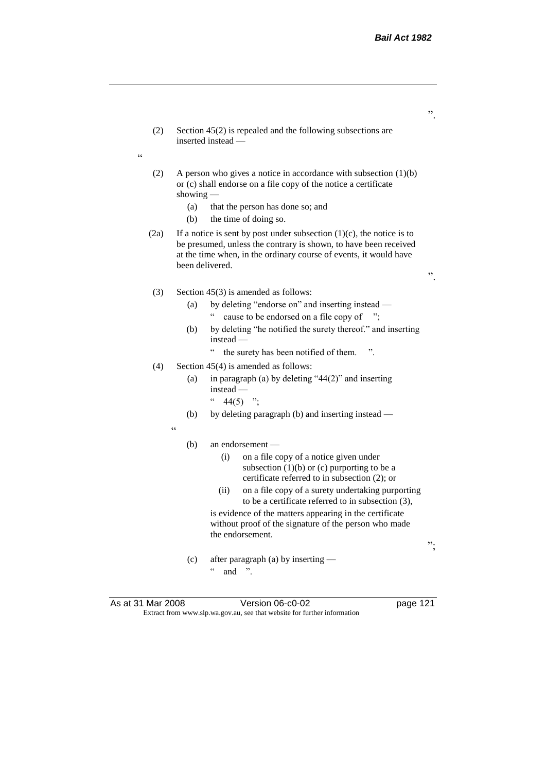(2) Section 45(2) is repealed and the following subsections are inserted instead — (2) A person who gives a notice in accordance with subsection (1)(b) or (c) shall endorse on a file copy of the notice a certificate showing — (a) that the person has done so; and (b) the time of doing so. (2a) If a notice is sent by post under subsection  $(1)(c)$ , the notice is to be presumed, unless the contrary is shown, to have been received at the time when, in the ordinary course of events, it would have been delivered. ". (3) Section 45(3) is amended as follows: (a) by deleting "endorse on" and inserting instead — " cause to be endorsed on a file copy of "; (b) by deleting "he notified the surety thereof." and inserting instead — " the surety has been notified of them. ". (4) Section  $45(4)$  is amended as follows: (a) in paragraph (a) by deleting "44(2)" and inserting instead —  $44(5)$  "; (b) by deleting paragraph (b) and inserting instead —  $\epsilon$ (b) an endorsement — (i) on a file copy of a notice given under subsection  $(1)(b)$  or  $(c)$  purporting to be a certificate referred to in subsection (2); or (ii) on a file copy of a surety undertaking purporting to be a certificate referred to in subsection (3), is evidence of the matters appearing in the certificate without proof of the signature of the person who made the endorsement. "; (c) after paragraph (a) by inserting —  $\ldots$  and ".

 $\epsilon$ 

As at 31 Mar 2008 **Version 06-c0-02** page 121 Extract from www.slp.wa.gov.au, see that website for further information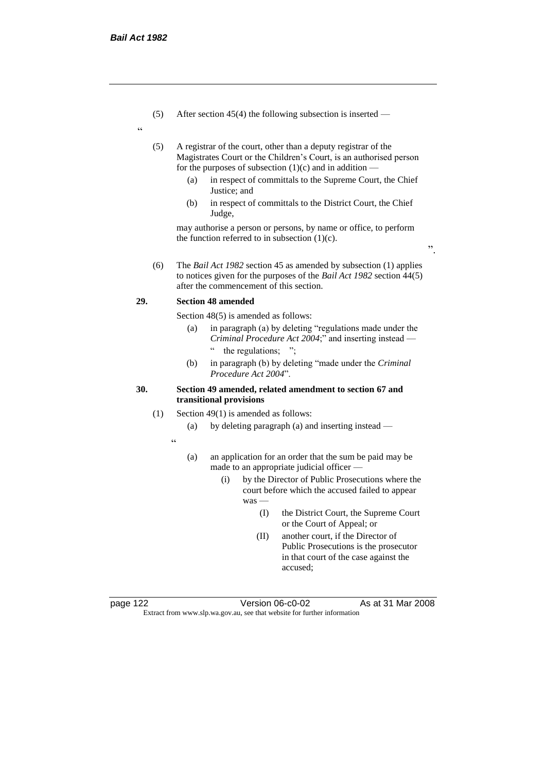(5) After section 45(4) the following subsection is inserted —

"

(5) A registrar of the court, other than a deputy registrar of the Magistrates Court or the Children's Court, is an authorised person for the purposes of subsection  $(1)(c)$  and in addition —

- (a) in respect of committals to the Supreme Court, the Chief Justice; and
- (b) in respect of committals to the District Court, the Chief Judge,

may authorise a person or persons, by name or office, to perform the function referred to in subsection  $(1)(c)$ .

".

(6) The *Bail Act 1982* section 45 as amended by subsection (1) applies to notices given for the purposes of the *Bail Act 1982* section 44(5) after the commencement of this section.

### **29. Section 48 amended**

Section 48(5) is amended as follows:

- (a) in paragraph (a) by deleting "regulations made under the *Criminal Procedure Act 2004*;" and inserting instead the regulations;
- (b) in paragraph (b) by deleting "made under the *Criminal Procedure Act 2004*".

## **30. Section 49 amended, related amendment to section 67 and transitional provisions**

- (1) Section 49(1) is amended as follows:
	- (a) by deleting paragraph (a) and inserting instead —
	- .<br>.
- (a) an application for an order that the sum be paid may be made to an appropriate judicial officer —
	- (i) by the Director of Public Prosecutions where the court before which the accused failed to appear was —
		- (I) the District Court, the Supreme Court or the Court of Appeal; or
		- (II) another court, if the Director of Public Prosecutions is the prosecutor in that court of the case against the accused;

page 122 Version 06-c0-02 As at 31 Mar 2008 Extract from www.slp.wa.gov.au, see that website for further information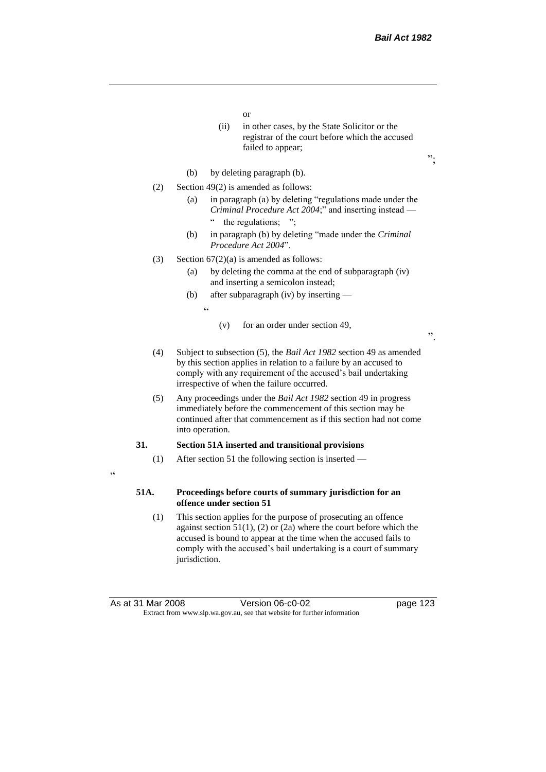- or
- (ii) in other cases, by the State Solicitor or the registrar of the court before which the accused failed to appear;
- (b) by deleting paragraph (b).
- (2) Section 49(2) is amended as follows:
	- (a) in paragraph (a) by deleting "regulations made under the *Criminal Procedure Act 2004*;" and inserting instead the regulations; ";
	- (b) in paragraph (b) by deleting "made under the *Criminal Procedure Act 2004*".
- (3) Section  $67(2)(a)$  is amended as follows:
	- (a) by deleting the comma at the end of subparagraph (iv) and inserting a semicolon instead;
	- (b) after subparagraph (iv) by inserting
		- <u>،</u>
- (v) for an order under section 49,

";

- (4) Subject to subsection (5), the *Bail Act 1982* section 49 as amended by this section applies in relation to a failure by an accused to comply with any requirement of the accused's bail undertaking irrespective of when the failure occurred.
- (5) Any proceedings under the *Bail Act 1982* section 49 in progress immediately before the commencement of this section may be continued after that commencement as if this section had not come into operation.

#### **31. Section 51A inserted and transitional provisions**

- (1) After section 51 the following section is inserted —
- $\epsilon$

## **51A. Proceedings before courts of summary jurisdiction for an offence under section 51**

(1) This section applies for the purpose of prosecuting an offence against section 51(1), (2) or (2a) where the court before which the accused is bound to appear at the time when the accused fails to comply with the accused's bail undertaking is a court of summary jurisdiction.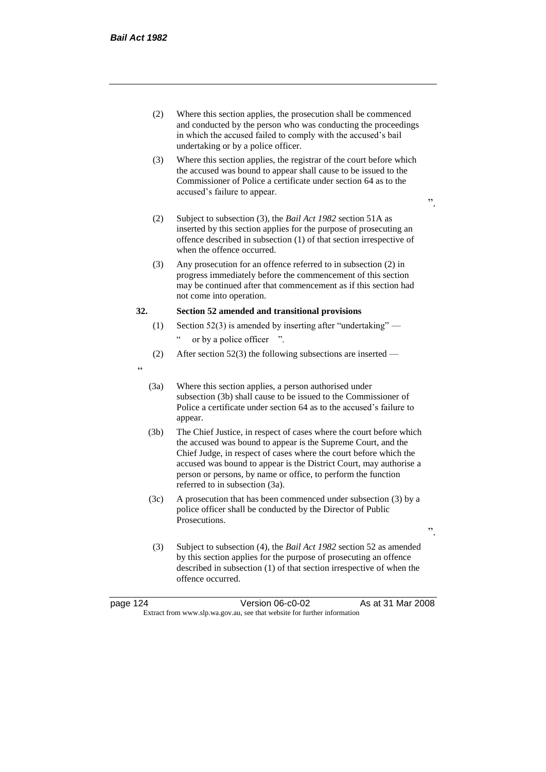- (2) Where this section applies, the prosecution shall be commenced and conducted by the person who was conducting the proceedings in which the accused failed to comply with the accused's bail undertaking or by a police officer.
- (3) Where this section applies, the registrar of the court before which the accused was bound to appear shall cause to be issued to the Commissioner of Police a certificate under section 64 as to the accused's failure to appear.

 $\cdot$ ,

".

- (2) Subject to subsection (3), the *Bail Act 1982* section 51A as inserted by this section applies for the purpose of prosecuting an offence described in subsection (1) of that section irrespective of when the offence occurred.
- (3) Any prosecution for an offence referred to in subsection (2) in progress immediately before the commencement of this section may be continued after that commencement as if this section had not come into operation.

#### **32. Section 52 amended and transitional provisions**

- (1) Section 52(3) is amended by inserting after "undertaking" or by a police officer ".
- (2) After section 52(3) the following subsections are inserted —
- "
- (3a) Where this section applies, a person authorised under subsection (3b) shall cause to be issued to the Commissioner of Police a certificate under section 64 as to the accused's failure to appear.
- (3b) The Chief Justice, in respect of cases where the court before which the accused was bound to appear is the Supreme Court, and the Chief Judge, in respect of cases where the court before which the accused was bound to appear is the District Court, may authorise a person or persons, by name or office, to perform the function referred to in subsection (3a).
- (3c) A prosecution that has been commenced under subsection (3) by a police officer shall be conducted by the Director of Public Prosecutions.
- (3) Subject to subsection (4), the *Bail Act 1982* section 52 as amended by this section applies for the purpose of prosecuting an offence described in subsection (1) of that section irrespective of when the offence occurred.

| page 124                                                                 | Version 06-c0-02 | As at 31 Mar 2008 |
|--------------------------------------------------------------------------|------------------|-------------------|
| Extract from www.slp.wa.gov.au, see that website for further information |                  |                   |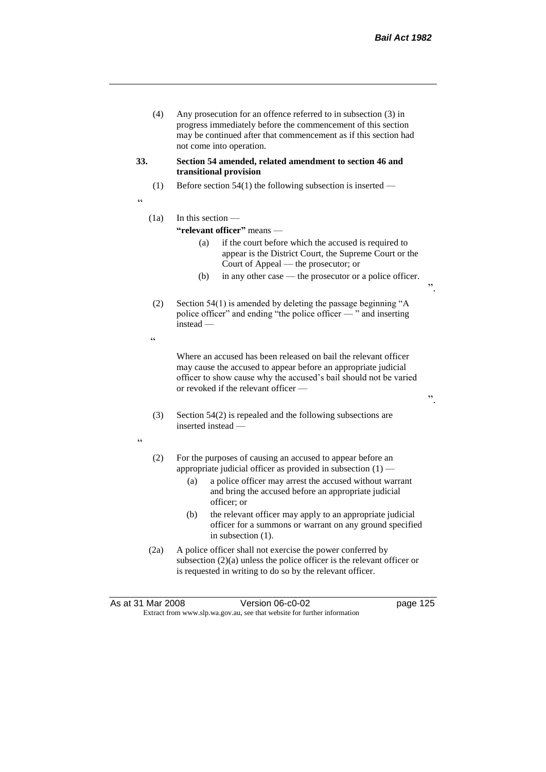(4) Any prosecution for an offence referred to in subsection (3) in progress immediately before the commencement of this section may be continued after that commencement as if this section had not come into operation.

#### **33. Section 54 amended, related amendment to section 46 and transitional provision**

(1) Before section 54(1) the following subsection is inserted —

"

## $(1a)$  In this section —

## **"relevant officer"** means —

- (a) if the court before which the accused is required to appear is the District Court, the Supreme Court or the Court of Appeal — the prosecutor; or
- (b) in any other case the prosecutor or a police officer.
- (2) Section 54(1) is amended by deleting the passage beginning "A police officer" and ending "the police officer — " and inserting instead —
- .<br>C

Where an accused has been released on bail the relevant officer may cause the accused to appear before an appropriate judicial officer to show cause why the accused's bail should not be varied or revoked if the relevant officer —

".

- (3) Section 54(2) is repealed and the following subsections are inserted instead —
- "
- (2) For the purposes of causing an accused to appear before an appropriate judicial officer as provided in subsection  $(1)$  —
	- (a) a police officer may arrest the accused without warrant and bring the accused before an appropriate judicial officer; or
	- (b) the relevant officer may apply to an appropriate judicial officer for a summons or warrant on any ground specified in subsection (1).
- (2a) A police officer shall not exercise the power conferred by subsection (2)(a) unless the police officer is the relevant officer or is requested in writing to do so by the relevant officer.

|                                                                          | As at 31 Mar 2008 | Version 06-c0-02 | page 125 |
|--------------------------------------------------------------------------|-------------------|------------------|----------|
| Extract from www.slp.wa.gov.au, see that website for further information |                   |                  |          |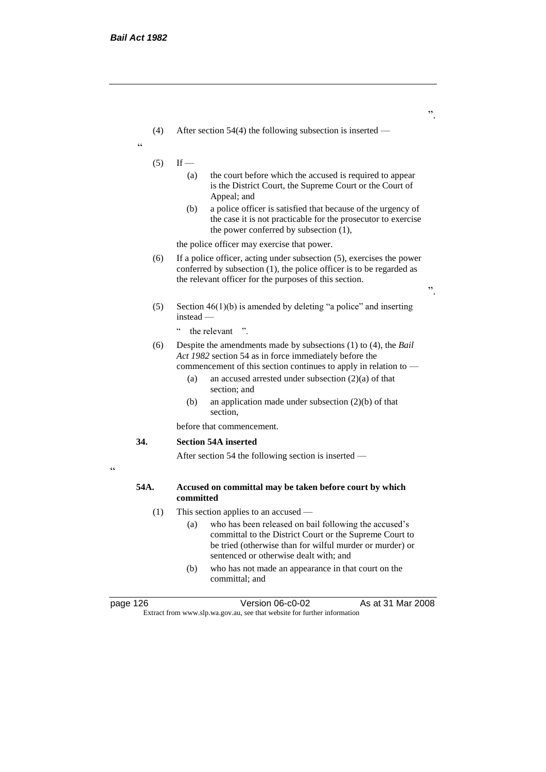- (4) After section 54(4) the following subsection is inserted —
- <u>،</u>
- $(5)$  If
	- (a) the court before which the accused is required to appear is the District Court, the Supreme Court or the Court of Appeal; and
	- (b) a police officer is satisfied that because of the urgency of the case it is not practicable for the prosecutor to exercise the power conferred by subsection (1),

the police officer may exercise that power.

- (6) If a police officer, acting under subsection (5), exercises the power conferred by subsection (1), the police officer is to be regarded as the relevant officer for the purposes of this section.
- (5) Section  $46(1)(b)$  is amended by deleting "a police" and inserting instead
	- the relevant ".
- (6) Despite the amendments made by subsections (1) to (4), the *Bail Act 1982* section 54 as in force immediately before the
	- commencement of this section continues to apply in relation to
		- (a) an accused arrested under subsection (2)(a) of that section; and
		- (b) an application made under subsection (2)(b) of that section,

before that commencement.

## **34. Section 54A inserted**

After section 54 the following section is inserted —

 $\epsilon$ 

## **54A. Accused on committal may be taken before court by which committed**

- (1) This section applies to an accused
	- (a) who has been released on bail following the accused's committal to the District Court or the Supreme Court to be tried (otherwise than for wilful murder or murder) or sentenced or otherwise dealt with; and
	- (b) who has not made an appearance in that court on the committal; and

page 126 Version 06-c0-02 As at 31 Mar 2008 Extract from www.slp.wa.gov.au, see that website for further information

".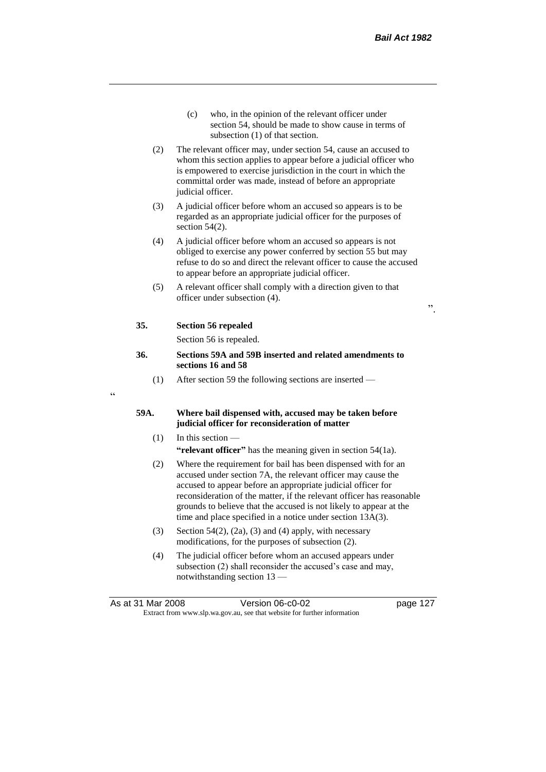- (c) who, in the opinion of the relevant officer under section 54, should be made to show cause in terms of subsection (1) of that section.
- (2) The relevant officer may, under section 54, cause an accused to whom this section applies to appear before a judicial officer who is empowered to exercise jurisdiction in the court in which the committal order was made, instead of before an appropriate judicial officer.
- (3) A judicial officer before whom an accused so appears is to be regarded as an appropriate judicial officer for the purposes of section 54(2).
- (4) A judicial officer before whom an accused so appears is not obliged to exercise any power conferred by section 55 but may refuse to do so and direct the relevant officer to cause the accused to appear before an appropriate judicial officer.
- (5) A relevant officer shall comply with a direction given to that officer under subsection (4).

## **35. Section 56 repealed**

Section 56 is repealed.

#### **36. Sections 59A and 59B inserted and related amendments to sections 16 and 58**

(1) After section 59 the following sections are inserted —

## $\epsilon$

#### **59A. Where bail dispensed with, accused may be taken before judicial officer for reconsideration of matter**

- (1) In this section **"relevant officer"** has the meaning given in section 54(1a).
- (2) Where the requirement for bail has been dispensed with for an accused under section 7A, the relevant officer may cause the accused to appear before an appropriate judicial officer for reconsideration of the matter, if the relevant officer has reasonable grounds to believe that the accused is not likely to appear at the time and place specified in a notice under section 13A(3).
- (3) Section 54(2), (2a), (3) and (4) apply, with necessary modifications, for the purposes of subsection (2).
- (4) The judicial officer before whom an accused appears under subsection (2) shall reconsider the accused's case and may, notwithstanding section 13 —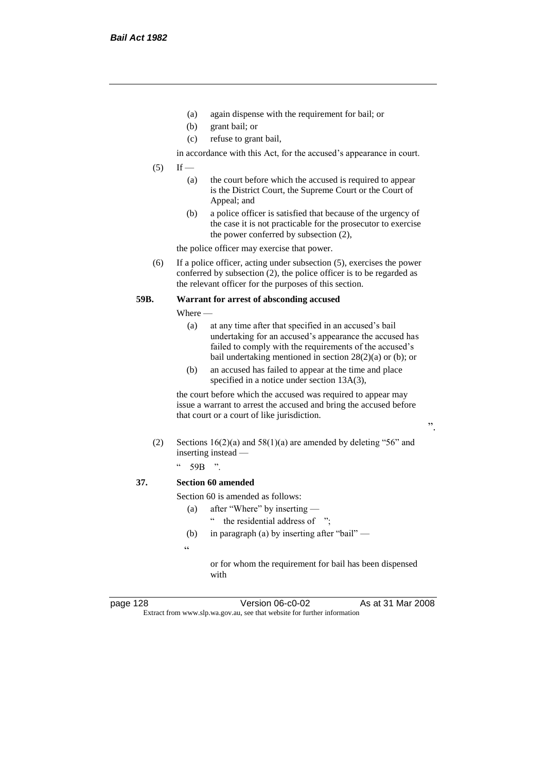- (a) again dispense with the requirement for bail; or
- (b) grant bail; or
- (c) refuse to grant bail,

in accordance with this Act, for the accused's appearance in court.

- $(5)$  If
	- (a) the court before which the accused is required to appear is the District Court, the Supreme Court or the Court of Appeal; and
	- (b) a police officer is satisfied that because of the urgency of the case it is not practicable for the prosecutor to exercise the power conferred by subsection (2),

the police officer may exercise that power.

(6) If a police officer, acting under subsection (5), exercises the power conferred by subsection (2), the police officer is to be regarded as the relevant officer for the purposes of this section.

## **59B. Warrant for arrest of absconding accused**

Where —

- (a) at any time after that specified in an accused's bail undertaking for an accused's appearance the accused has failed to comply with the requirements of the accused's bail undertaking mentioned in section 28(2)(a) or (b); or
- (b) an accused has failed to appear at the time and place specified in a notice under section 13A(3),

the court before which the accused was required to appear may issue a warrant to arrest the accused and bring the accused before that court or a court of like jurisdiction.

- (2) Sections  $16(2)(a)$  and  $58(1)(a)$  are amended by deleting "56" and inserting instead —
	- $"$  59B ".

## **37. Section 60 amended**

Section 60 is amended as follows:

- (a) after "Where" by inserting
	- the residential address of ";
- (b) in paragraph (a) by inserting after "bail" —
- $\epsilon$

or for whom the requirement for bail has been dispensed with

page 128 Version 06-c0-02 As at 31 Mar 2008 Extract from www.slp.wa.gov.au, see that website for further information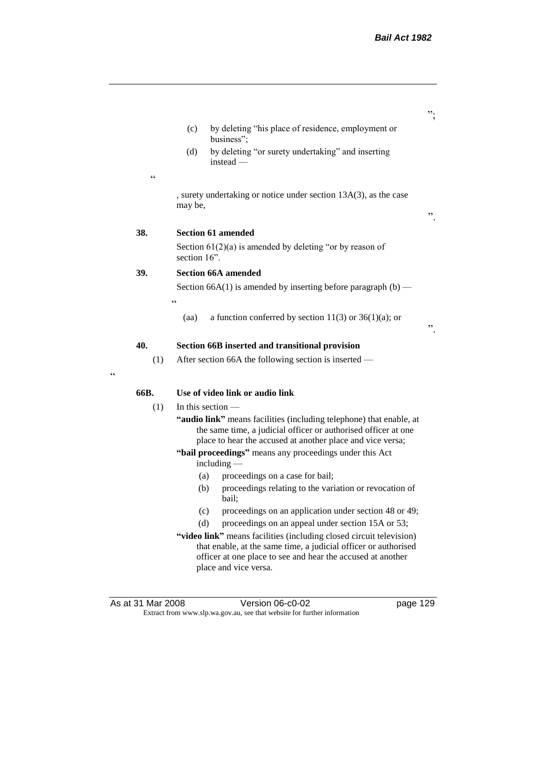- (c) by deleting "his place of residence, employment or business";
- (d) by deleting "or surety undertaking" and inserting instead —
- , surety undertaking or notice under section 13A(3), as the case may be,

".

";

#### **38. Section 61 amended**

 $\epsilon$ 

Section  $61(2)(a)$  is amended by deleting "or by reason of section 16".

## **39. Section 66A amended**

 $\epsilon$ 

Section 66A(1) is amended by inserting before paragraph  $(b)$  —

(aa) a function conferred by section  $11(3)$  or  $36(1)(a)$ ; or

## **40. Section 66B inserted and transitional provision**

(1) After section 66A the following section is inserted —

 $\epsilon$ 

#### **66B. Use of video link or audio link**

- (1) In this section
	- **"audio link"** means facilities (including telephone) that enable, at the same time, a judicial officer or authorised officer at one place to hear the accused at another place and vice versa;

**"bail proceedings"** means any proceedings under this Act including —

- (a) proceedings on a case for bail;
- (b) proceedings relating to the variation or revocation of bail;
- (c) proceedings on an application under section 48 or 49;
- (d) proceedings on an appeal under section 15A or 53;
- **"video link"** means facilities (including closed circuit television) that enable, at the same time, a judicial officer or authorised officer at one place to see and hear the accused at another place and vice versa.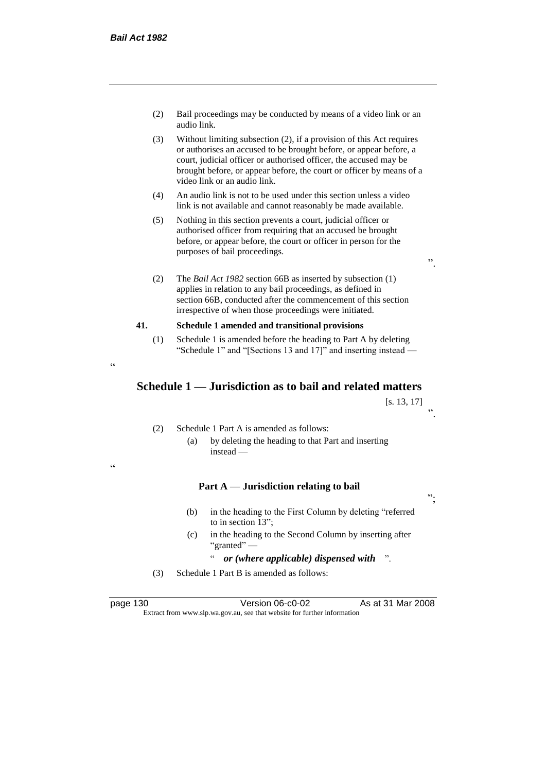- (2) Bail proceedings may be conducted by means of a video link or an audio link.
- (3) Without limiting subsection (2), if a provision of this Act requires or authorises an accused to be brought before, or appear before, a court, judicial officer or authorised officer, the accused may be brought before, or appear before, the court or officer by means of a video link or an audio link.
- (4) An audio link is not to be used under this section unless a video link is not available and cannot reasonably be made available.
- (5) Nothing in this section prevents a court, judicial officer or authorised officer from requiring that an accused be brought before, or appear before, the court or officer in person for the purposes of bail proceedings.

(2) The *Bail Act 1982* section 66B as inserted by subsection (1) applies in relation to any bail proceedings, as defined in section 66B, conducted after the commencement of this section irrespective of when those proceedings were initiated.

## **41. Schedule 1 amended and transitional provisions**

(1) Schedule 1 is amended before the heading to Part A by deleting "Schedule 1" and "[Sections 13 and 17]" and inserting instead —

 $\epsilon$ 

.<br>.

# **Schedule 1 — Jurisdiction as to bail and related matters**

[s. 13, 17] ".

- (2) Schedule 1 Part A is amended as follows:
	- (a) by deleting the heading to that Part and inserting instead —

**Part A** — **Jurisdiction relating to bail**

";

- (b) in the heading to the First Column by deleting "referred to in section 13";
- (c) in the heading to the Second Column by inserting after "granted" —
	- " *or (where applicable) dispensed with* ".
- (3) Schedule 1 Part B is amended as follows:

page 130 Version 06-c0-02 As at 31 Mar 2008 Extract from www.slp.wa.gov.au, see that website for further information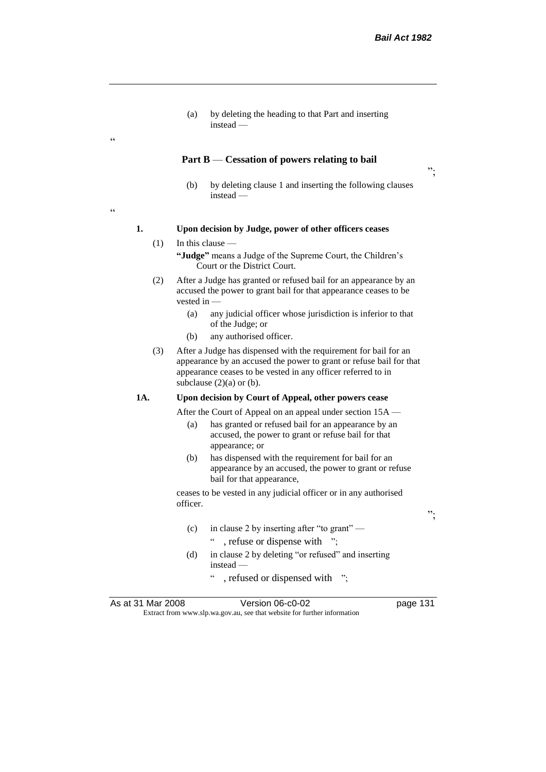";

(a) by deleting the heading to that Part and inserting instead —

#### **Part B** — **Cessation of powers relating to bail**

(b) by deleting clause 1 and inserting the following clauses instead —

## **1. Upon decision by Judge, power of other officers ceases**

- $(1)$  In this clause **"Judge"** means a Judge of the Supreme Court, the Children's Court or the District Court.
- (2) After a Judge has granted or refused bail for an appearance by an accused the power to grant bail for that appearance ceases to be vested in —
	- (a) any judicial officer whose jurisdiction is inferior to that of the Judge; or
	- (b) any authorised officer.
- (3) After a Judge has dispensed with the requirement for bail for an appearance by an accused the power to grant or refuse bail for that appearance ceases to be vested in any officer referred to in subclause  $(2)(a)$  or  $(b)$ .

#### **1A. Upon decision by Court of Appeal, other powers cease**

After the Court of Appeal on an appeal under section 15A —

- (a) has granted or refused bail for an appearance by an accused, the power to grant or refuse bail for that appearance; or
- (b) has dispensed with the requirement for bail for an appearance by an accused, the power to grant or refuse bail for that appearance,

ceases to be vested in any judicial officer or in any authorised officer.

(c) in clause 2 by inserting after "to grant" —

" , refuse or dispense with ";

- (d) in clause 2 by deleting "or refused" and inserting instead —
	- " , refused or dispensed with ";

As at 31 Mar 2008 **Version 06-c0-02** page 131 Extract from www.slp.wa.gov.au, see that website for further information

";

 $\epsilon$ 

.<br>C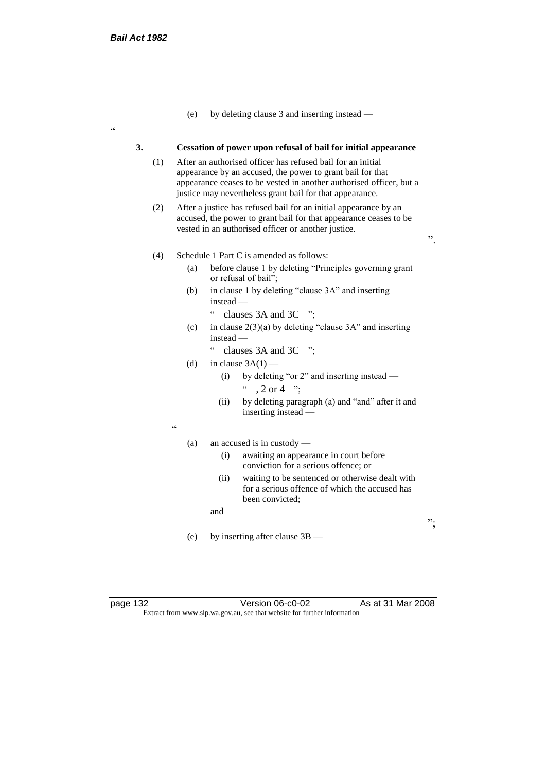$\epsilon$ 

|     |     | (e)                                                                                                                                                                                                                                                          | by deleting clause 3 and inserting instead —                                                                                                                                                 |    |
|-----|-----|--------------------------------------------------------------------------------------------------------------------------------------------------------------------------------------------------------------------------------------------------------------|----------------------------------------------------------------------------------------------------------------------------------------------------------------------------------------------|----|
| 3.  |     |                                                                                                                                                                                                                                                              | Cessation of power upon refusal of bail for initial appearance                                                                                                                               |    |
|     | (1) | After an authorised officer has refused bail for an initial<br>appearance by an accused, the power to grant bail for that<br>appearance ceases to be vested in another authorised officer, but a<br>justice may nevertheless grant bail for that appearance. |                                                                                                                                                                                              |    |
| (2) |     |                                                                                                                                                                                                                                                              | After a justice has refused bail for an initial appearance by an<br>accused, the power to grant bail for that appearance ceases to be<br>vested in an authorised officer or another justice. | ,, |
|     | (4) |                                                                                                                                                                                                                                                              | Schedule 1 Part C is amended as follows:                                                                                                                                                     |    |
|     |     | (a)                                                                                                                                                                                                                                                          | before clause 1 by deleting "Principles governing grant<br>or refusal of bail";                                                                                                              |    |
|     |     | (b)                                                                                                                                                                                                                                                          | in clause 1 by deleting "clause 3A" and inserting<br>$instead -$                                                                                                                             |    |
|     |     |                                                                                                                                                                                                                                                              | $\mathsf{c}\,\mathsf{c}$<br>clauses 3A and 3C<br>$\cdot$ $\cdot$                                                                                                                             |    |
|     |     | (c)                                                                                                                                                                                                                                                          | in clause $2(3)(a)$ by deleting "clause 3A" and inserting<br>$instead -$                                                                                                                     |    |
|     |     |                                                                                                                                                                                                                                                              | $\epsilon$<br>clauses $3A$ and $3C$ ";                                                                                                                                                       |    |
|     |     | (d)                                                                                                                                                                                                                                                          | in clause $3A(1)$ —                                                                                                                                                                          |    |
|     |     |                                                                                                                                                                                                                                                              | by deleting "or 2" and inserting instead —<br>(i)<br>. 2 or 4 $"$                                                                                                                            |    |
|     |     |                                                                                                                                                                                                                                                              | by deleting paragraph (a) and "and" after it and<br>(ii)<br>inserting instead —                                                                                                              |    |
|     |     | cc                                                                                                                                                                                                                                                           |                                                                                                                                                                                              |    |
|     |     | (a)                                                                                                                                                                                                                                                          | an accused is in custody $-$                                                                                                                                                                 |    |
|     |     |                                                                                                                                                                                                                                                              | awaiting an appearance in court before<br>(i)<br>conviction for a serious offence; or                                                                                                        |    |
|     |     |                                                                                                                                                                                                                                                              | waiting to be sentenced or otherwise dealt with<br>(ii)<br>for a serious offence of which the accused has<br>been convicted;                                                                 |    |
|     |     |                                                                                                                                                                                                                                                              | and                                                                                                                                                                                          |    |
|     |     |                                                                                                                                                                                                                                                              |                                                                                                                                                                                              | ᠉. |
|     |     | (e)                                                                                                                                                                                                                                                          | by inserting after clause 3B —                                                                                                                                                               |    |
|     |     |                                                                                                                                                                                                                                                              |                                                                                                                                                                                              |    |
|     |     |                                                                                                                                                                                                                                                              |                                                                                                                                                                                              |    |
|     |     |                                                                                                                                                                                                                                                              |                                                                                                                                                                                              |    |

page 132 Version 06-c0-02 As at 31 Mar 2008 Extract from www.slp.wa.gov.au, see that website for further information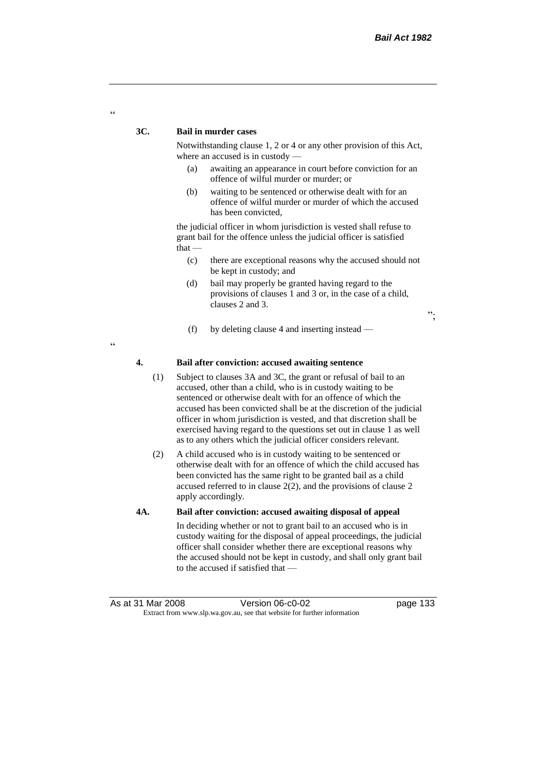";

#### **3C. Bail in murder cases**

Notwithstanding clause 1, 2 or 4 or any other provision of this Act, where an accused is in custody —

- (a) awaiting an appearance in court before conviction for an offence of wilful murder or murder; or
- (b) waiting to be sentenced or otherwise dealt with for an offence of wilful murder or murder of which the accused has been convicted,

the judicial officer in whom jurisdiction is vested shall refuse to grant bail for the offence unless the judicial officer is satisfied that —

- (c) there are exceptional reasons why the accused should not be kept in custody; and
- (d) bail may properly be granted having regard to the provisions of clauses 1 and 3 or, in the case of a child, clauses 2 and 3.
- (f) by deleting clause 4 and inserting instead —

"

 $\alpha$ 

#### **4. Bail after conviction: accused awaiting sentence**

- (1) Subject to clauses 3A and 3C, the grant or refusal of bail to an accused, other than a child, who is in custody waiting to be sentenced or otherwise dealt with for an offence of which the accused has been convicted shall be at the discretion of the judicial officer in whom jurisdiction is vested, and that discretion shall be exercised having regard to the questions set out in clause 1 as well as to any others which the judicial officer considers relevant.
- (2) A child accused who is in custody waiting to be sentenced or otherwise dealt with for an offence of which the child accused has been convicted has the same right to be granted bail as a child accused referred to in clause 2(2), and the provisions of clause 2 apply accordingly.

#### **4A. Bail after conviction: accused awaiting disposal of appeal**

In deciding whether or not to grant bail to an accused who is in custody waiting for the disposal of appeal proceedings, the judicial officer shall consider whether there are exceptional reasons why the accused should not be kept in custody, and shall only grant bail to the accused if satisfied that —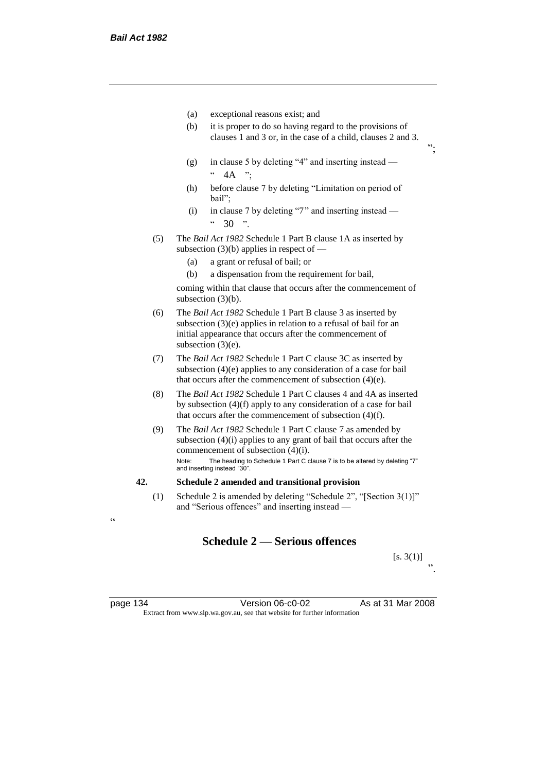- (a) exceptional reasons exist; and
- (b) it is proper to do so having regard to the provisions of clauses 1 and 3 or, in the case of a child, clauses 2 and 3.
- (g) in clause 5 by deleting "4" and inserting instead  $" 4A"$
- (h) before clause 7 by deleting "Limitation on period of bail";
- (i) in clause 7 by deleting "7" and inserting instead  $\frac{1}{20}$  .  $\frac{1}{20}$  .  $\frac{1}{20}$
- (5) The *Bail Act 1982* Schedule 1 Part B clause 1A as inserted by subsection  $(3)(b)$  applies in respect of —
	- (a) a grant or refusal of bail; or
	- (b) a dispensation from the requirement for bail,

coming within that clause that occurs after the commencement of subsection (3)(b).

- (6) The *Bail Act 1982* Schedule 1 Part B clause 3 as inserted by subsection (3)(e) applies in relation to a refusal of bail for an initial appearance that occurs after the commencement of subsection (3)(e).
- (7) The *Bail Act 1982* Schedule 1 Part C clause 3C as inserted by subsection (4)(e) applies to any consideration of a case for bail that occurs after the commencement of subsection (4)(e).
- (8) The *Bail Act 1982* Schedule 1 Part C clauses 4 and 4A as inserted by subsection (4)(f) apply to any consideration of a case for bail that occurs after the commencement of subsection (4)(f).
- (9) The *Bail Act 1982* Schedule 1 Part C clause 7 as amended by subsection (4)(i) applies to any grant of bail that occurs after the commencement of subsection (4)(i). Note: The heading to Schedule 1 Part C clause 7 is to be altered by deleting "7"

and inserting instead "30".

## **42. Schedule 2 amended and transitional provision**

(1) Schedule 2 is amended by deleting "Schedule 2", "[Section 3(1)]" and "Serious offences" and inserting instead —

# **Schedule 2 — Serious offences**

 $[s. 3(1)]$ ".

";

<u>،</u>

page 134 Version 06-c0-02 As at 31 Mar 2008 Extract from www.slp.wa.gov.au, see that website for further information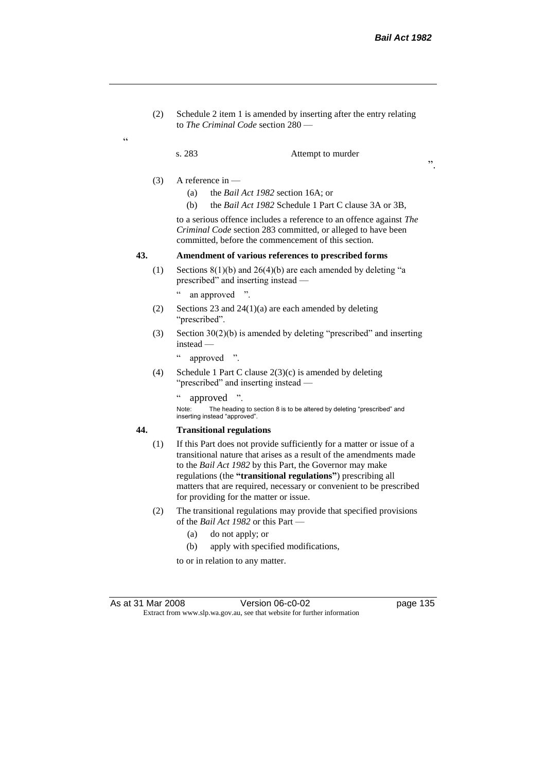(2) Schedule 2 item 1 is amended by inserting after the entry relating to *The Criminal Code* section 280 —

 $\epsilon$ 

s. 283 Attempt to murder

- (3) A reference in
	- (a) the *Bail Act 1982* section 16A; or
	- (b) the *Bail Act 1982* Schedule 1 Part C clause 3A or 3B,

to a serious offence includes a reference to an offence against *The Criminal Code* section 283 committed, or alleged to have been committed, before the commencement of this section.

## **43. Amendment of various references to prescribed forms**

- (1) Sections 8(1)(b) and 26(4)(b) are each amended by deleting "a prescribed" and inserting instead
	- an approved ".
- (2) Sections 23 and 24(1)(a) are each amended by deleting "prescribed".
- (3) Section 30(2)(b) is amended by deleting "prescribed" and inserting instead —
	- " approved ".
- (4) Schedule 1 Part C clause 2(3)(c) is amended by deleting "prescribed" and inserting instead —

" approved ".

Note: The heading to section 8 is to be altered by deleting "prescribed" and inserting instead "approved".

## **44. Transitional regulations**

- (1) If this Part does not provide sufficiently for a matter or issue of a transitional nature that arises as a result of the amendments made to the *Bail Act 1982* by this Part, the Governor may make regulations (the **"transitional regulations"**) prescribing all matters that are required, necessary or convenient to be prescribed for providing for the matter or issue.
- (2) The transitional regulations may provide that specified provisions of the *Bail Act 1982* or this Part —
	- (a) do not apply; or
	- (b) apply with specified modifications,

to or in relation to any matter.

As at 31 Mar 2008 Version 06-c0-02 page 135 Extract from www.slp.wa.gov.au, see that website for further information